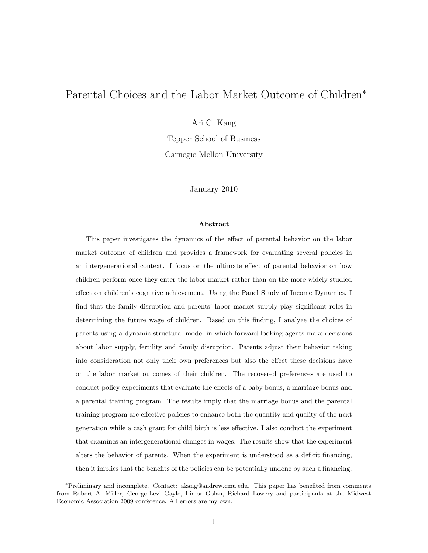# Parental Choices and the Labor Market Outcome of Children<sup>∗</sup>

Ari C. Kang

Tepper School of Business Carnegie Mellon University

January 2010

#### Abstract

This paper investigates the dynamics of the effect of parental behavior on the labor market outcome of children and provides a framework for evaluating several policies in an intergenerational context. I focus on the ultimate effect of parental behavior on how children perform once they enter the labor market rather than on the more widely studied effect on children's cognitive achievement. Using the Panel Study of Income Dynamics, I find that the family disruption and parents' labor market supply play significant roles in determining the future wage of children. Based on this finding, I analyze the choices of parents using a dynamic structural model in which forward looking agents make decisions about labor supply, fertility and family disruption. Parents adjust their behavior taking into consideration not only their own preferences but also the effect these decisions have on the labor market outcomes of their children. The recovered preferences are used to conduct policy experiments that evaluate the effects of a baby bonus, a marriage bonus and a parental training program. The results imply that the marriage bonus and the parental training program are effective policies to enhance both the quantity and quality of the next generation while a cash grant for child birth is less effective. I also conduct the experiment that examines an intergenerational changes in wages. The results show that the experiment alters the behavior of parents. When the experiment is understood as a deficit financing, then it implies that the benefits of the policies can be potentially undone by such a financing.

<sup>∗</sup>Preliminary and incomplete. Contact: akang@andrew.cmu.edu. This paper has benefited from comments from Robert A. Miller, George-Levi Gayle, Limor Golan, Richard Lowery and participants at the Midwest Economic Association 2009 conference. All errors are my own.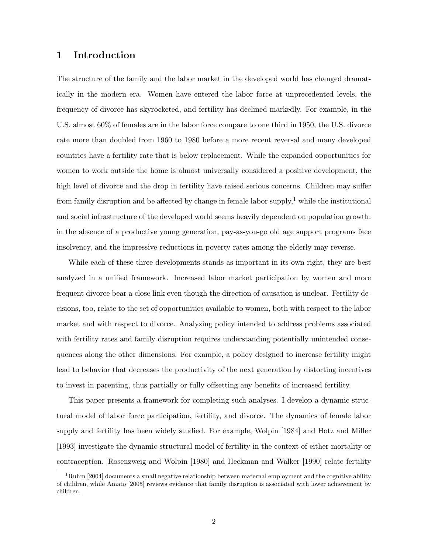## 1 Introduction

The structure of the family and the labor market in the developed world has changed dramatically in the modern era. Women have entered the labor force at unprecedented levels, the frequency of divorce has skyrocketed, and fertility has declined markedly. For example, in the U.S. almost 60% of females are in the labor force compare to one third in 1950, the U.S. divorce rate more than doubled from 1960 to 1980 before a more recent reversal and many developed countries have a fertility rate that is below replacement. While the expanded opportunities for women to work outside the home is almost universally considered a positive development, the high level of divorce and the drop in fertility have raised serious concerns. Children may suffer from family disruption and be affected by change in female labor supply,<sup>1</sup> while the institutional and social infrastructure of the developed world seems heavily dependent on population growth: in the absence of a productive young generation, pay-as-you-go old age support programs face insolvency, and the impressive reductions in poverty rates among the elderly may reverse.

While each of these three developments stands as important in its own right, they are best analyzed in a unified framework. Increased labor market participation by women and more frequent divorce bear a close link even though the direction of causation is unclear. Fertility decisions, too, relate to the set of opportunities available to women, both with respect to the labor market and with respect to divorce. Analyzing policy intended to address problems associated with fertility rates and family disruption requires understanding potentially unintended consequences along the other dimensions. For example, a policy designed to increase fertility might lead to behavior that decreases the productivity of the next generation by distorting incentives to invest in parenting, thus partially or fully offsetting any benefits of increased fertility.

This paper presents a framework for completing such analyses. I develop a dynamic structural model of labor force participation, fertility, and divorce. The dynamics of female labor supply and fertility has been widely studied. For example, Wolpin [1984] and Hotz and Miller [1993] investigate the dynamic structural model of fertility in the context of either mortality or contraception. Rosenzweig and Wolpin [1980] and Heckman and Walker [1990] relate fertility

 $1Ruhm$  [2004] documents a small negative relationship between maternal employment and the cognitive ability of children, while Amato [2005] reviews evidence that family disruption is associated with lower achievement by children.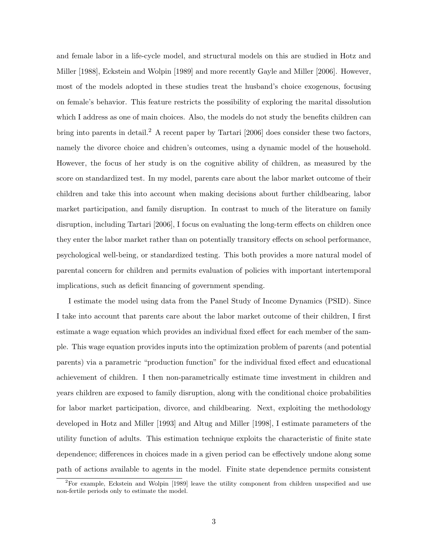and female labor in a life-cycle model, and structural models on this are studied in Hotz and Miller [1988], Eckstein and Wolpin [1989] and more recently Gayle and Miller [2006]. However, most of the models adopted in these studies treat the husband's choice exogenous, focusing on female's behavior. This feature restricts the possibility of exploring the marital dissolution which I address as one of main choices. Also, the models do not study the benefits children can bring into parents in detail.<sup>2</sup> A recent paper by Tartari [2006] does consider these two factors, namely the divorce choice and chidren's outcomes, using a dynamic model of the household. However, the focus of her study is on the cognitive ability of children, as measured by the score on standardized test. In my model, parents care about the labor market outcome of their children and take this into account when making decisions about further childbearing, labor market participation, and family disruption. In contrast to much of the literature on family disruption, including Tartari [2006], I focus on evaluating the long-term effects on children once they enter the labor market rather than on potentially transitory effects on school performance, psychological well-being, or standardized testing. This both provides a more natural model of parental concern for children and permits evaluation of policies with important intertemporal implications, such as deficit financing of government spending.

I estimate the model using data from the Panel Study of Income Dynamics (PSID). Since I take into account that parents care about the labor market outcome of their children, I first estimate a wage equation which provides an individual fixed effect for each member of the sample. This wage equation provides inputs into the optimization problem of parents (and potential parents) via a parametric "production function" for the individual fixed effect and educational achievement of children. I then non-parametrically estimate time investment in children and years children are exposed to family disruption, along with the conditional choice probabilities for labor market participation, divorce, and childbearing. Next, exploiting the methodology developed in Hotz and Miller [1993] and Altug and Miller [1998], I estimate parameters of the utility function of adults. This estimation technique exploits the characteristic of finite state dependence; differences in choices made in a given period can be effectively undone along some path of actions available to agents in the model. Finite state dependence permits consistent

 ${}^{2}$ For example, Eckstein and Wolpin [1989] leave the utility component from children unspecified and use non-fertile periods only to estimate the model.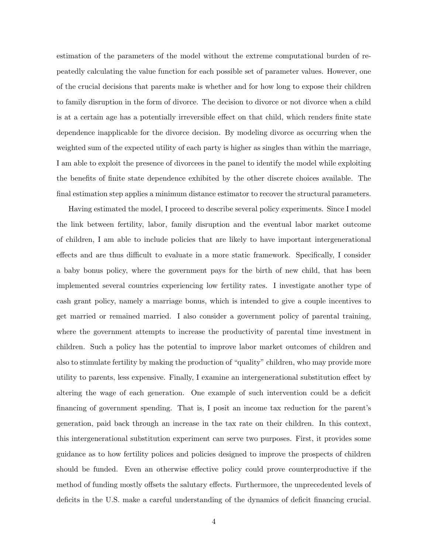estimation of the parameters of the model without the extreme computational burden of repeatedly calculating the value function for each possible set of parameter values. However, one of the crucial decisions that parents make is whether and for how long to expose their children to family disruption in the form of divorce. The decision to divorce or not divorce when a child is at a certain age has a potentially irreversible effect on that child, which renders finite state dependence inapplicable for the divorce decision. By modeling divorce as occurring when the weighted sum of the expected utility of each party is higher as singles than within the marriage, I am able to exploit the presence of divorcees in the panel to identify the model while exploiting the benefits of finite state dependence exhibited by the other discrete choices available. The final estimation step applies a minimum distance estimator to recover the structural parameters.

Having estimated the model, I proceed to describe several policy experiments. Since I model the link between fertility, labor, family disruption and the eventual labor market outcome of children, I am able to include policies that are likely to have important intergenerational effects and are thus difficult to evaluate in a more static framework. Specifically, I consider a baby bonus policy, where the government pays for the birth of new child, that has been implemented several countries experiencing low fertility rates. I investigate another type of cash grant policy, namely a marriage bonus, which is intended to give a couple incentives to get married or remained married. I also consider a government policy of parental training, where the government attempts to increase the productivity of parental time investment in children. Such a policy has the potential to improve labor market outcomes of children and also to stimulate fertility by making the production of "quality" children, who may provide more utility to parents, less expensive. Finally, I examine an intergenerational substitution effect by altering the wage of each generation. One example of such intervention could be a deficit financing of government spending. That is, I posit an income tax reduction for the parent's generation, paid back through an increase in the tax rate on their children. In this context, this intergenerational substitution experiment can serve two purposes. First, it provides some guidance as to how fertility polices and policies designed to improve the prospects of children should be funded. Even an otherwise effective policy could prove counterproductive if the method of funding mostly offsets the salutary effects. Furthermore, the unprecedented levels of deficits in the U.S. make a careful understanding of the dynamics of deficit financing crucial.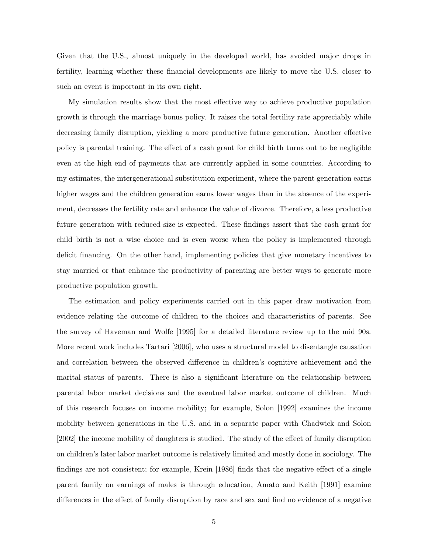Given that the U.S., almost uniquely in the developed world, has avoided major drops in fertility, learning whether these financial developments are likely to move the U.S. closer to such an event is important in its own right.

My simulation results show that the most effective way to achieve productive population growth is through the marriage bonus policy. It raises the total fertility rate appreciably while decreasing family disruption, yielding a more productive future generation. Another effective policy is parental training. The effect of a cash grant for child birth turns out to be negligible even at the high end of payments that are currently applied in some countries. According to my estimates, the intergenerational substitution experiment, where the parent generation earns higher wages and the children generation earns lower wages than in the absence of the experiment, decreases the fertility rate and enhance the value of divorce. Therefore, a less productive future generation with reduced size is expected. These findings assert that the cash grant for child birth is not a wise choice and is even worse when the policy is implemented through deficit financing. On the other hand, implementing policies that give monetary incentives to stay married or that enhance the productivity of parenting are better ways to generate more productive population growth.

The estimation and policy experiments carried out in this paper draw motivation from evidence relating the outcome of children to the choices and characteristics of parents. See the survey of Haveman and Wolfe [1995] for a detailed literature review up to the mid 90s. More recent work includes Tartari [2006], who uses a structural model to disentangle causation and correlation between the observed difference in children's cognitive achievement and the marital status of parents. There is also a significant literature on the relationship between parental labor market decisions and the eventual labor market outcome of children. Much of this research focuses on income mobility; for example, Solon [1992] examines the income mobility between generations in the U.S. and in a separate paper with Chadwick and Solon [2002] the income mobility of daughters is studied. The study of the effect of family disruption on children's later labor market outcome is relatively limited and mostly done in sociology. The findings are not consistent; for example, Krein [1986] finds that the negative effect of a single parent family on earnings of males is through education, Amato and Keith [1991] examine differences in the effect of family disruption by race and sex and find no evidence of a negative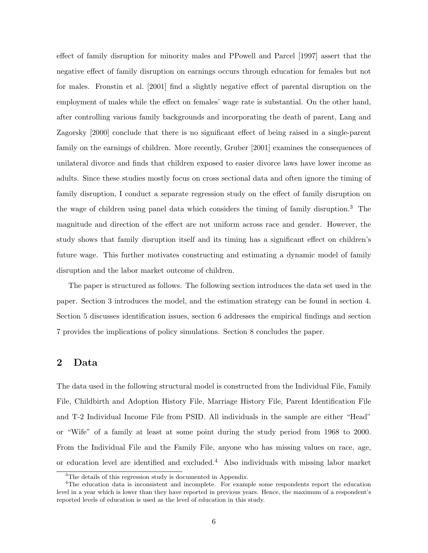effect of family disruption for minority males and PPowell and Parcel [1997] assert that the negative effect of family disruption on earnings occurs through education for females but not for males. Fronstin et al. [2001] find a slightly negative effect of parental disruption on the employment of males while the effect on females' wage rate is substantial. On the other hand, after controlling various family backgrounds and incorporating the death of parent, Lang and Zagorsky [2000] conclude that there is no significant effect of being raised in a single-parent family on the earnings of children. More recently, Gruber [2001] examines the consequences of unilateral divorce and finds that children exposed to easier divorce laws have lower income as adults. Since these studies mostly focus on cross sectional data and often ignore the timing of family disruption, I conduct a separate regression study on the effect of family disruption on the wage of children using panel data which considers the timing of family disruption.<sup>3</sup> The magnitude and direction of the effect are not uniform across race and gender. However, the study shows that family disruption itself and its timing has a significant effect on children's future wage. This further motivates constructing and estimating a dynamic model of family disruption and the labor market outcome of children.

The paper is structured as follows. The following section introduces the data set used in the paper. Section 3 introduces the model, and the estimation strategy can be found in section 4. Section 5 discusses identification issues, section 6 addresses the empirical findings and section 7 provides the implications of policy simulations. Section 8 concludes the paper.

## 2 Data

The data used in the following structural model is constructed from the Individual File, Family File, Childbirth and Adoption History File, Marriage History File, Parent Identification File and T-2 Individual Income File from PSID. All individuals in the sample are either "Head" or "Wife" of a family at least at some point during the study period from 1968 to 2000. From the Individual File and the Family File, anyone who has missing values on race, age, or education level are identified and excluded.<sup>4</sup> Also individuals with missing labor market

<sup>3</sup>The details of this regression study is documented in Appendix.

<sup>4</sup>The education data is inconsistent and incomplete. For example some respondents report the education level in a year which is lower than they have reported in previous years. Hence, the maximum of a respondent's reported levels of education is used as the level of education in this study.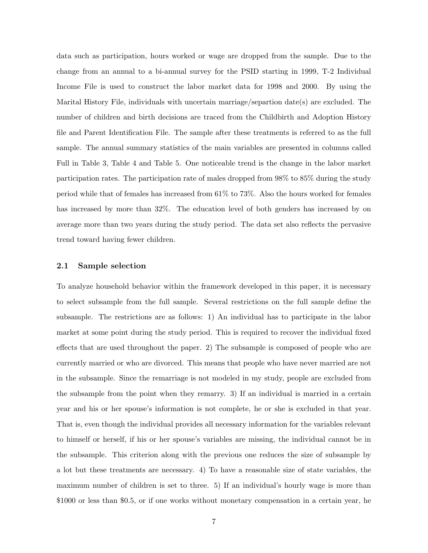data such as participation, hours worked or wage are dropped from the sample. Due to the change from an annual to a bi-annual survey for the PSID starting in 1999, T-2 Individual Income File is used to construct the labor market data for 1998 and 2000. By using the Marital History File, individuals with uncertain marriage/separtion date(s) are excluded. The number of children and birth decisions are traced from the Childbirth and Adoption History file and Parent Identification File. The sample after these treatments is referred to as the full sample. The annual summary statistics of the main variables are presented in columns called Full in Table 3, Table 4 and Table 5. One noticeable trend is the change in the labor market participation rates. The participation rate of males dropped from 98% to 85% during the study period while that of females has increased from 61% to 73%. Also the hours worked for females has increased by more than  $32\%$ . The education level of both genders has increased by on average more than two years during the study period. The data set also reflects the pervasive trend toward having fewer children.

#### 2.1 Sample selection

To analyze household behavior within the framework developed in this paper, it is necessary to select subsample from the full sample. Several restrictions on the full sample define the subsample. The restrictions are as follows: 1) An individual has to participate in the labor market at some point during the study period. This is required to recover the individual fixed effects that are used throughout the paper. 2) The subsample is composed of people who are currently married or who are divorced. This means that people who have never married are not in the subsample. Since the remarriage is not modeled in my study, people are excluded from the subsample from the point when they remarry. 3) If an individual is married in a certain year and his or her spouse's information is not complete, he or she is excluded in that year. That is, even though the individual provides all necessary information for the variables relevant to himself or herself, if his or her spouse's variables are missing, the individual cannot be in the subsample. This criterion along with the previous one reduces the size of subsample by a lot but these treatments are necessary. 4) To have a reasonable size of state variables, the maximum number of children is set to three. 5) If an individual's hourly wage is more than \$1000 or less than \$0.5, or if one works without monetary compensation in a certain year, he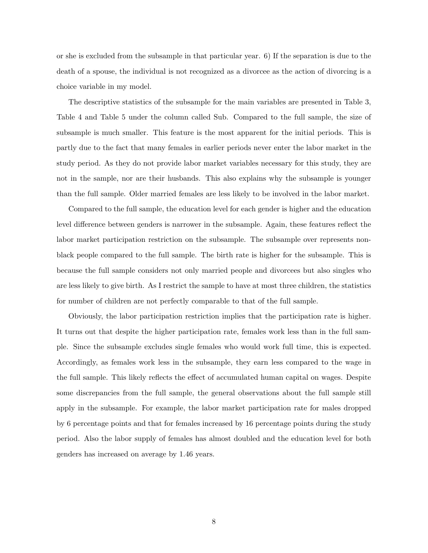or she is excluded from the subsample in that particular year. 6) If the separation is due to the death of a spouse, the individual is not recognized as a divorcee as the action of divorcing is a choice variable in my model.

The descriptive statistics of the subsample for the main variables are presented in Table 3, Table 4 and Table 5 under the column called Sub. Compared to the full sample, the size of subsample is much smaller. This feature is the most apparent for the initial periods. This is partly due to the fact that many females in earlier periods never enter the labor market in the study period. As they do not provide labor market variables necessary for this study, they are not in the sample, nor are their husbands. This also explains why the subsample is younger than the full sample. Older married females are less likely to be involved in the labor market.

Compared to the full sample, the education level for each gender is higher and the education level difference between genders is narrower in the subsample. Again, these features reflect the labor market participation restriction on the subsample. The subsample over represents nonblack people compared to the full sample. The birth rate is higher for the subsample. This is because the full sample considers not only married people and divorcees but also singles who are less likely to give birth. As I restrict the sample to have at most three children, the statistics for number of children are not perfectly comparable to that of the full sample.

Obviously, the labor participation restriction implies that the participation rate is higher. It turns out that despite the higher participation rate, females work less than in the full sample. Since the subsample excludes single females who would work full time, this is expected. Accordingly, as females work less in the subsample, they earn less compared to the wage in the full sample. This likely reflects the effect of accumulated human capital on wages. Despite some discrepancies from the full sample, the general observations about the full sample still apply in the subsample. For example, the labor market participation rate for males dropped by 6 percentage points and that for females increased by 16 percentage points during the study period. Also the labor supply of females has almost doubled and the education level for both genders has increased on average by 1.46 years.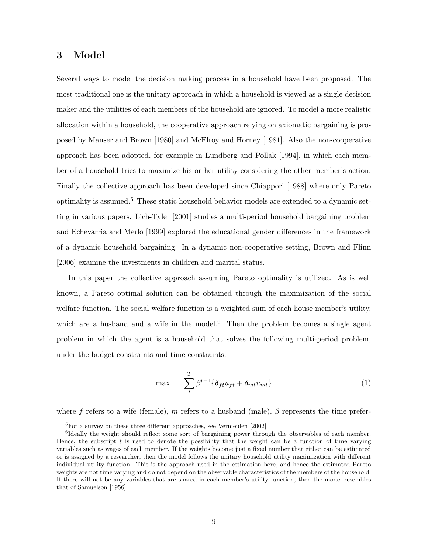## 3 Model

Several ways to model the decision making process in a household have been proposed. The most traditional one is the unitary approach in which a household is viewed as a single decision maker and the utilities of each members of the household are ignored. To model a more realistic allocation within a household, the cooperative approach relying on axiomatic bargaining is proposed by Manser and Brown [1980] and McElroy and Horney [1981]. Also the non-cooperative approach has been adopted, for example in Lundberg and Pollak [1994], in which each member of a household tries to maximize his or her utility considering the other member's action. Finally the collective approach has been developed since Chiappori [1988] where only Pareto optimality is assumed.<sup>5</sup> These static household behavior models are extended to a dynamic setting in various papers. Lich-Tyler [2001] studies a multi-period household bargaining problem and Echevarria and Merlo [1999] explored the educational gender differences in the framework of a dynamic household bargaining. In a dynamic non-cooperative setting, Brown and Flinn [2006] examine the investments in children and marital status.

In this paper the collective approach assuming Pareto optimality is utilized. As is well known, a Pareto optimal solution can be obtained through the maximization of the social welfare function. The social welfare function is a weighted sum of each house member's utility, which are a husband and a wife in the model.<sup>6</sup> Then the problem becomes a single agent problem in which the agent is a household that solves the following multi-period problem, under the budget constraints and time constraints:

$$
\max \qquad \sum_{t}^{T} \beta^{t-1} \{ \delta_{ft} u_{ft} + \delta_{mt} u_{mt} \} \tag{1}
$$

where f refers to a wife (female), m refers to a husband (male),  $\beta$  represents the time prefer-

<sup>&</sup>lt;sup>5</sup>For a survey on these three different approaches, see Vermeulen [2002].

<sup>&</sup>lt;sup>6</sup>Ideally the weight should reflect some sort of bargaining power through the observables of each member. Hence, the subscript  $t$  is used to denote the possibility that the weight can be a function of time varying variables such as wages of each member. If the weights become just a fixed number that either can be estimated or is assigned by a researcher, then the model follows the unitary household utility maximization with different individual utility function. This is the approach used in the estimation here, and hence the estimated Pareto weights are not time varying and do not depend on the observable characteristics of the members of the household. If there will not be any variables that are shared in each member's utility function, then the model resembles that of Samuelson [1956].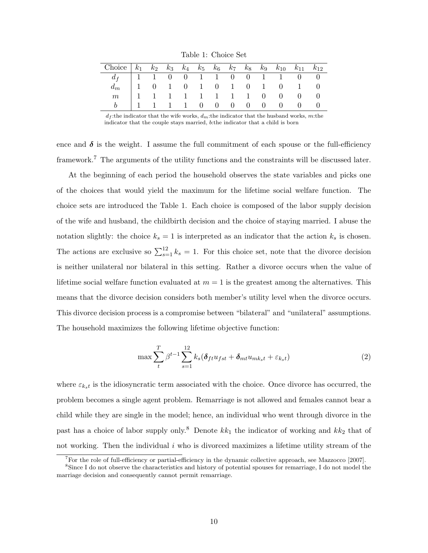Table 1: Choice Set

| Choice $k_1$ $k_2$ $k_3$ $k_4$ $k_5$ $k_6$ $k_7$ $k_8$ $k_9$ $k_{10}$ $k_{11}$ $k_{12}$                                                                                                                                                                             |  |  |  |  |  |  |
|---------------------------------------------------------------------------------------------------------------------------------------------------------------------------------------------------------------------------------------------------------------------|--|--|--|--|--|--|
|                                                                                                                                                                                                                                                                     |  |  |  |  |  |  |
|                                                                                                                                                                                                                                                                     |  |  |  |  |  |  |
|                                                                                                                                                                                                                                                                     |  |  |  |  |  |  |
| $\begin{array}{c cccccccccccc} d_f & 1 & 1 & 0 & 0 & 1 & 1 & 0 & 0 & 1 & 1 & 0 & 0 \\ d_m & 1 & 0 & 1 & 0 & 1 & 0 & 1 & 0 & 1 & 0 & 1 & 0 \\ m & 1 & 1 & 1 & 1 & 1 & 1 & 1 & 1 & 0 & 0 & 0 & 0 \\ b & 1 & 1 & 1 & 1 & 0 & 0 & 0 & 0 & 0 & 0 & 0 & 0 \\ \end{array}$ |  |  |  |  |  |  |

 $d_f$ :the indicator that the wife works,  $d_m$ :the indicator that the husband works, m:the indicator that the couple stays married, b:the indicator that a child is born

ence and  $\delta$  is the weight. I assume the full commitment of each spouse or the full-efficiency framework.<sup>7</sup> The arguments of the utility functions and the constraints will be discussed later.

At the beginning of each period the household observes the state variables and picks one of the choices that would yield the maximum for the lifetime social welfare function. The choice sets are introduced the Table 1. Each choice is composed of the labor supply decision of the wife and husband, the childbirth decision and the choice of staying married. I abuse the notation slightly: the choice  $k_s = 1$  is interpreted as an indicator that the action  $k_s$  is chosen. The actions are exclusive so  $\sum_{s=1}^{12} k_s = 1$ . For this choice set, note that the divorce decision is neither unilateral nor bilateral in this setting. Rather a divorce occurs when the value of lifetime social welfare function evaluated at  $m = 1$  is the greatest among the alternatives. This means that the divorce decision considers both member's utility level when the divorce occurs. This divorce decision process is a compromise between "bilateral" and "unilateral" assumptions. The household maximizes the following lifetime objective function:

$$
\max \sum_{t}^{T} \beta^{t-1} \sum_{s=1}^{12} k_s (\delta_{ft} u_{fst} + \delta_{mt} u_{mk_st} + \varepsilon_{k_st})
$$
\n(2)

where  $\varepsilon_{k_{s}t}$  is the idiosyncratic term associated with the choice. Once divorce has occurred, the problem becomes a single agent problem. Remarriage is not allowed and females cannot bear a child while they are single in the model; hence, an individual who went through divorce in the past has a choice of labor supply only.<sup>8</sup> Denote  $kk_1$  the indicator of working and  $kk_2$  that of not working. Then the individual  $i$  who is divorced maximizes a lifetime utility stream of the

<sup>7</sup>For the role of full-efficiency or partial-efficiency in the dynamic collective approach, see Mazzocco [2007].

<sup>&</sup>lt;sup>8</sup>Since I do not observe the characteristics and history of potential spouses for remarriage, I do not model the marriage decision and consequently cannot permit remarriage.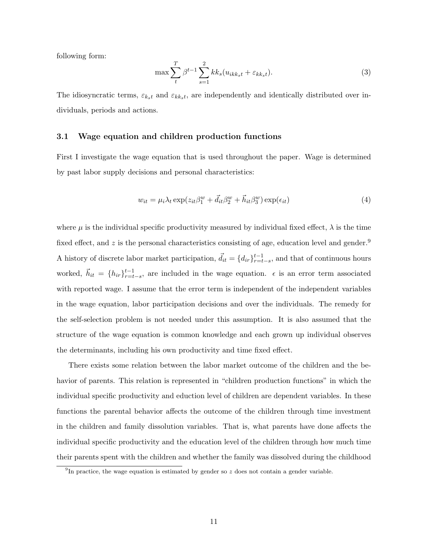following form:

$$
\max \sum_{t} \beta^{t-1} \sum_{s=1}^{2} k k_s (u_{ikk_st} + \varepsilon_{kk_st}). \tag{3}
$$

The idiosyncratic terms,  $\varepsilon_{k_{s}t}$  and  $\varepsilon_{k_{s}t}$ , are independently and identically distributed over individuals, periods and actions.

#### 3.1 Wage equation and children production functions

First I investigate the wage equation that is used throughout the paper. Wage is determined by past labor supply decisions and personal characteristics:

$$
w_{it} = \mu_i \lambda_t \exp(z_{it}\beta_1^w + \vec{d}_{it}\beta_2^w + \vec{h}_{it}\beta_3^w) \exp(\epsilon_{it})
$$
\n<sup>(4)</sup>

where  $\mu$  is the individual specific productivity measured by individual fixed effect,  $\lambda$  is the time fixed effect, and  $z$  is the personal characteristics consisting of age, education level and gender.<sup>9</sup> A history of discrete labor market participation,  $\vec{d}_{it} = \{d_{ir}\}_{r=t-s}^{t-1}$ , and that of continuous hours worked,  $\vec{h}_{it} = \{h_{ir}\}_{r=t-s}^{t-1}$ , are included in the wage equation.  $\epsilon$  is an error term associated with reported wage. I assume that the error term is independent of the independent variables in the wage equation, labor participation decisions and over the individuals. The remedy for the self-selection problem is not needed under this assumption. It is also assumed that the structure of the wage equation is common knowledge and each grown up individual observes the determinants, including his own productivity and time fixed effect.

There exists some relation between the labor market outcome of the children and the behavior of parents. This relation is represented in "children production functions" in which the individual specific productivity and eduction level of children are dependent variables. In these functions the parental behavior affects the outcome of the children through time investment in the children and family dissolution variables. That is, what parents have done affects the individual specific productivity and the education level of the children through how much time their parents spent with the children and whether the family was dissolved during the childhood

<sup>&</sup>lt;sup>9</sup>In practice, the wage equation is estimated by gender so  $z$  does not contain a gender variable.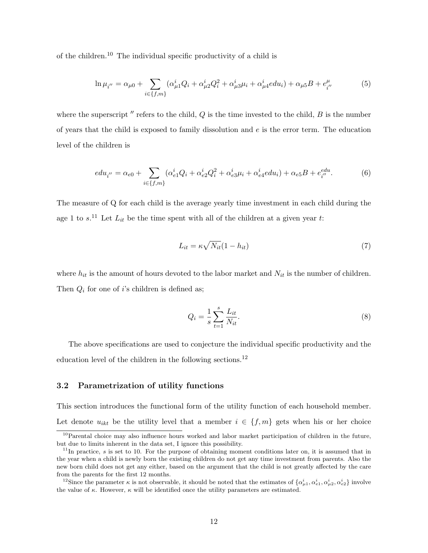of the children.<sup>10</sup> The individual specific productivity of a child is

$$
\ln \mu_{i''} = \alpha_{\mu 0} + \sum_{i \in \{f, m\}} (\alpha_{\mu 1}^i Q_i + \alpha_{\mu 2}^i Q_i^2 + \alpha_{\mu 3}^i \mu_i + \alpha_{\mu 4}^i e du_i) + \alpha_{\mu 5} B + e_{i''}^\mu
$$
(5)

where the superscript  $''$  refers to the child,  $Q$  is the time invested to the child,  $B$  is the number of years that the child is exposed to family dissolution and  $e$  is the error term. The education level of the children is

$$
edu_{i''} = \alpha_{e0} + \sum_{i \in \{f, m\}} (\alpha_{e1}^i Q_i + \alpha_{e2}^i Q_i^2 + \alpha_{e3}^i \mu_i + \alpha_{e4}^i e du_i) + \alpha_{e5}B + e_{i''}^{edu}.
$$
 (6)

The measure of Q for each child is the average yearly time investment in each child during the age 1 to  $s$ <sup>11</sup>. Let  $L_{it}$  be the time spent with all of the children at a given year t:

$$
L_{it} = \kappa \sqrt{N_{it}} (1 - h_{it}) \tag{7}
$$

where  $h_{it}$  is the amount of hours devoted to the labor market and  $N_{it}$  is the number of children. Then  $Q_i$  for one of *i*'s children is defined as;

$$
Q_i = \frac{1}{s} \sum_{t=1}^{s} \frac{L_{it}}{N_{it}}.
$$
\n(8)

The above specifications are used to conjecture the individual specific productivity and the education level of the children in the following sections.<sup>12</sup>

#### 3.2 Parametrization of utility functions

This section introduces the functional form of the utility function of each household member. Let denote  $u_{ikt}$  be the utility level that a member  $i \in \{f, m\}$  gets when his or her choice

<sup>&</sup>lt;sup>10</sup>Parental choice may also influence hours worked and labor market participation of children in the future, but due to limits inherent in the data set, I ignore this possibility.

 $11$ In practice, s is set to 10. For the purpose of obtaining moment conditions later on, it is assumed that in the year when a child is newly born the existing children do not get any time investment from parents. Also the new born child does not get any either, based on the argument that the child is not greatly affected by the care from the parents for the first 12 months.

<sup>&</sup>lt;sup>12</sup>Since the parameter  $\kappa$  is not observable, it should be noted that the estimates of  $\{\alpha_{\mu1}^i, \alpha_{e1}^i, \alpha_{\mu2}^i, \alpha_{e2}^i\}$  involve the value of  $\kappa$ . However,  $\kappa$  will be identified once the utility parameters are estimated.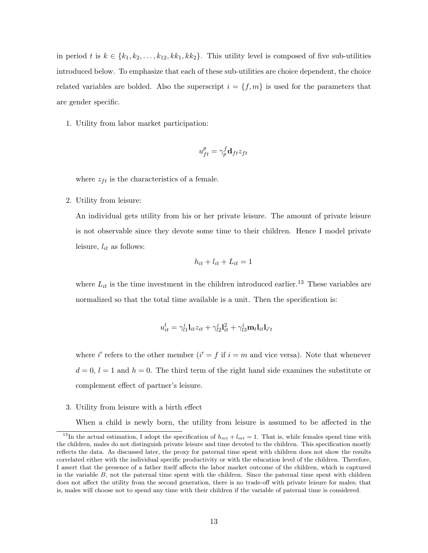in period t is  $k \in \{k_1, k_2, \ldots, k_{12}, k k_1, k k_2\}$ . This utility level is composed of five sub-utilities introduced below. To emphasize that each of these sub-utilities are choice dependent, the choice related variables are bolded. Also the superscript  $i = \{f, m\}$  is used for the parameters that are gender specific.

1. Utility from labor market participation:

$$
u_{ft}^p = \gamma_p^f \mathbf{d}_{ft} z_{ft}
$$

where  $z_{ft}$  is the characteristics of a female.

2. Utility from leisure:

An individual gets utility from his or her private leisure. The amount of private leisure is not observable since they devote some time to their children. Hence I model private leisure,  $l_{it}$  as follows:

$$
h_{it} + l_{it} + L_{it} = 1
$$

where  $L_{it}$  is the time investment in the children introduced earlier.<sup>13</sup> These variables are normalized so that the total time available is a unit. Then the specification is:

$$
u_{it}^l = \gamma_{l1}^i \mathbf{l}_{it} z_{it} + \gamma_{l2}^i \mathbf{l}_{it}^2 + \gamma_{l3}^i \mathbf{m}_t \mathbf{l}_{it} \mathbf{l}_{i't}
$$

where i' refers to the other member  $(i' = f$  if  $i = m$  and vice versa). Note that whenever  $d = 0, l = 1$  and  $h = 0$ . The third term of the right hand side examines the substitute or complement effect of partner's leisure.

3. Utility from leisure with a birth effect

When a child is newly born, the utility from leisure is assumed to be affected in the

<sup>&</sup>lt;sup>13</sup>In the actual estimation, I adopt the specification of  $h_{mt} + l_{mt} = 1$ . That is, while females spend time with the children, males do not distinguish private leisure and time devoted to the children. This specification mostly reflects the data. As discussed later, the proxy for paternal time spent with children does not show the results correlated either with the individual specific productivity or with the education level of the children. Therefore, I assert that the presence of a father itself affects the labor market outcome of the children, which is captured in the variable  $B$ , not the paternal time spent with the children. Since the paternal time spent with children does not affect the utility from the second generation, there is no trade-off with private leisure for males; that is, males will choose not to spend any time with their children if the variable of paternal time is considered.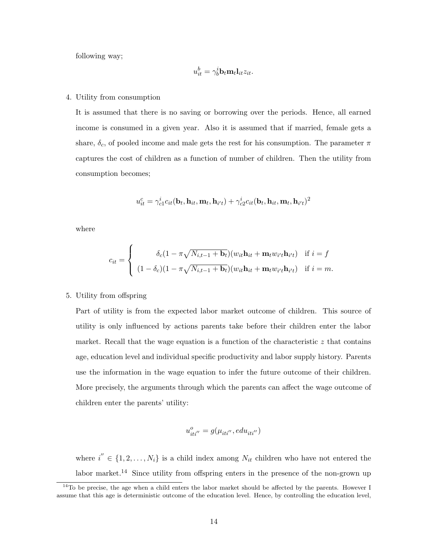following way;

$$
u_{it}^b = \gamma_b^i \mathbf{b}_t \mathbf{m}_t \mathbf{l}_{it} z_{it}.
$$

#### 4. Utility from consumption

It is assumed that there is no saving or borrowing over the periods. Hence, all earned income is consumed in a given year. Also it is assumed that if married, female gets a share,  $\delta_c$ , of pooled income and male gets the rest for his consumption. The parameter  $\pi$ captures the cost of children as a function of number of children. Then the utility from consumption becomes;

$$
u_{it}^c = \gamma_{c1}^i c_{it}(\mathbf{b}_t, \mathbf{h}_{it}, \mathbf{m}_t, \mathbf{h}_{i't}) + \gamma_{c2}^i c_{it}(\mathbf{b}_t, \mathbf{h}_{it}, \mathbf{m}_t, \mathbf{h}_{i't})^2
$$

where

$$
c_{it} = \begin{cases} \n\delta_c (1 - \pi \sqrt{N_{i,t-1} + \mathbf{b}_t})(w_{it}\mathbf{h}_{it} + \mathbf{m}_t w_{i't}\mathbf{h}_{i't}) & \text{if } i = f \\ \n(1 - \delta_c)(1 - \pi \sqrt{N_{i,t-1} + \mathbf{b}_t})(w_{it}\mathbf{h}_{it} + \mathbf{m}_t w_{i't}\mathbf{h}_{i't}) & \text{if } i = m. \n\end{cases}
$$

#### 5. Utility from offspring

Part of utility is from the expected labor market outcome of children. This source of utility is only influenced by actions parents take before their children enter the labor market. Recall that the wage equation is a function of the characteristic  $z$  that contains age, education level and individual specific productivity and labor supply history. Parents use the information in the wage equation to infer the future outcome of their children. More precisely, the arguments through which the parents can affect the wage outcome of children enter the parents' utility:

$$
u_{iti^{''}}^{o}=g(\mu_{iti^{''}}, e du_{iti^{''}})
$$

where  $i'' \in \{1, 2, ..., N_i\}$  is a child index among  $N_{it}$  children who have not entered the labor market.<sup>14</sup> Since utility from offspring enters in the presence of the non-grown up

 $14$ To be precise, the age when a child enters the labor market should be affected by the parents. However I assume that this age is deterministic outcome of the education level. Hence, by controlling the education level,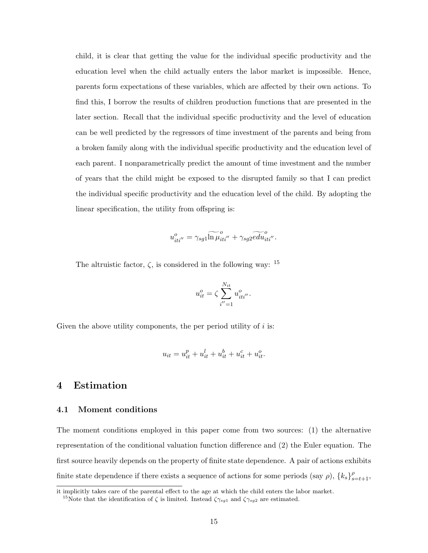child, it is clear that getting the value for the individual specific productivity and the education level when the child actually enters the labor market is impossible. Hence, parents form expectations of these variables, which are affected by their own actions. To find this, I borrow the results of children production functions that are presented in the later section. Recall that the individual specific productivity and the level of education can be well predicted by the regressors of time investment of the parents and being from a broken family along with the individual specific productivity and the education level of each parent. I nonparametrically predict the amount of time investment and the number of years that the child might be exposed to the disrupted family so that I can predict the individual specific productivity and the education level of the child. By adopting the linear specification, the utility from offspring is:

$$
u_{iti''}^o = \gamma_{sg1} \widetilde{\ln \mu}_{iti''}^o + \gamma_{sg2} \widetilde{edu}_{iti''}^o.
$$

The altruistic factor,  $\zeta$ , is considered in the following way: <sup>15</sup>

$$
u_{it}^o = \zeta \sum_{i'=1}^{N_{it}} u_{iti''}^o.
$$

Given the above utility components, the per period utility of  $i$  is:

$$
u_{it} = u_{it}^p + u_{it}^l + u_{it}^b + u_{it}^c + u_{it}^o.
$$

## 4 Estimation

#### 4.1 Moment conditions

The moment conditions employed in this paper come from two sources: (1) the alternative representation of the conditional valuation function difference and (2) the Euler equation. The first source heavily depends on the property of finite state dependence. A pair of actions exhibits finite state dependence if there exists a sequence of actions for some periods (say  $\rho$ ),  ${k_s}_{s=t+1}^{\rho}$ ,

it implicitly takes care of the parental effect to the age at which the child enters the labor market.

<sup>&</sup>lt;sup>15</sup>Note that the identification of  $\zeta$  is limited. Instead  $\zeta \gamma_{sg1}$  and  $\zeta \gamma_{sg2}$  are estimated.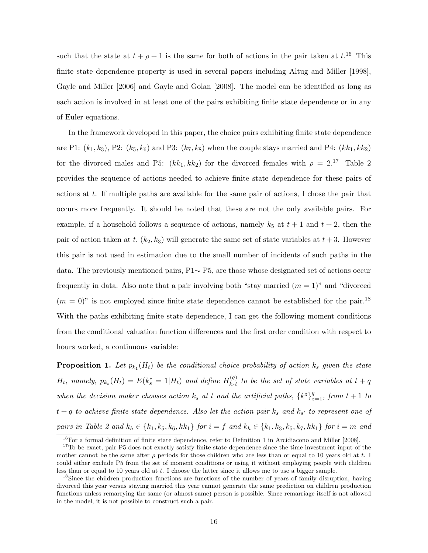such that the state at  $t + \rho + 1$  is the same for both of actions in the pair taken at  $t^{16}$ . This finite state dependence property is used in several papers including Altug and Miller [1998], Gayle and Miller [2006] and Gayle and Golan [2008]. The model can be identified as long as each action is involved in at least one of the pairs exhibiting finite state dependence or in any of Euler equations.

In the framework developed in this paper, the choice pairs exhibiting finite state dependence are P1:  $(k_1, k_3)$ , P2:  $(k_5, k_6)$  and P3:  $(k_7, k_8)$  when the couple stays married and P4:  $(kk_1, kk_2)$ for the divorced males and P5:  $(kk_1, kk_2)$  for the divorced females with  $\rho = 2.17$  Table 2 provides the sequence of actions needed to achieve finite state dependence for these pairs of actions at  $t$ . If multiple paths are available for the same pair of actions, I chose the pair that occurs more frequently. It should be noted that these are not the only available pairs. For example, if a household follows a sequence of actions, namely  $k_5$  at  $t+1$  and  $t+2$ , then the pair of action taken at t,  $(k_2, k_3)$  will generate the same set of state variables at  $t + 3$ . However this pair is not used in estimation due to the small number of incidents of such paths in the data. The previously mentioned pairs, P1∼ P5, are those whose designated set of actions occur frequently in data. Also note that a pair involving both "stay married  $(m = 1)$ " and "divorced"  $(m = 0)$ " is not employed since finite state dependence cannot be established for the pair.<sup>18</sup> With the paths exhibiting finite state dependence, I can get the following moment conditions from the conditional valuation function differences and the first order condition with respect to hours worked, a continuous variable:

**Proposition 1.** Let  $p_{k_1}(H_t)$  be the conditional choice probability of action  $k_s$  given the state  $H_t$ , namely,  $p_{k_s}(H_t) = E(k_s^* = 1|H_t)$  and define  $H_{k_s t}^{(q)}$  $\frac{Q}{k_s t}$  to be the set of state variables at  $t + q$ when the decision maker chooses action  $k_s$  at t and the artificial paths,  $\{k^z\}_{z=1}^q$ , from  $t+1$  to  $t + q$  to achieve finite state dependence. Also let the action pair  $k_s$  and  $k_{s'}$  to represent one of pairs in Table 2 and  $k_h \in \{k_1, k_5, k_6, k k_1\}$  for  $i = f$  and  $k_h \in \{k_1, k_3, k_5, k_7, k k_1\}$  for  $i = m$  and

 $^{16}$ For a formal definition of finite state dependence, refer to Definition 1 in Arcidiacono and Miller [2008].

<sup>&</sup>lt;sup>17</sup>To be exact, pair P5 does not exactly satisfy finite state dependence since the time investment input of the mother cannot be the same after  $\rho$  periods for those children who are less than or equal to 10 years old at t. I could either exclude P5 from the set of moment conditions or using it without employing people with children less than or equal to 10 years old at  $t$ . I choose the latter since it allows me to use a bigger sample.

<sup>&</sup>lt;sup>18</sup>Since the children production functions are functions of the number of years of family disruption, having divorced this year versus staying married this year cannot generate the same prediction on children production functions unless remarrying the same (or almost same) person is possible. Since remarriage itself is not allowed in the model, it is not possible to construct such a pair.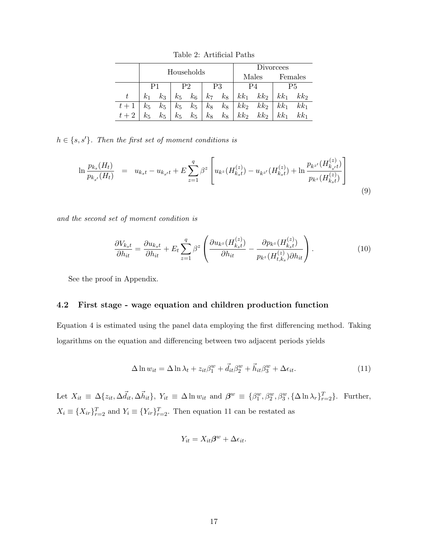|       |            |         |       |                |                |         |                 |                 | Divorcees |                 |
|-------|------------|---------|-------|----------------|----------------|---------|-----------------|-----------------|-----------|-----------------|
|       |            |         |       | Households     |                |         |                 | Males           |           | Females         |
|       | P1         |         |       | P <sub>2</sub> |                | P3      |                 | P4              |           | Р5              |
|       | $\kappa_1$ | $k_{3}$ | $k_5$ | $k_6$          | k <sub>7</sub> | $k_{8}$ | $kk_1$          | $kk_2$          | $kk_1$    | kk <sub>2</sub> |
| $t+1$ | $k_5$      | $k_5$   | $k_5$ | $k_5$          | $k_8$          | $k_8$   | kk <sub>2</sub> | $kk_2$          | $kk_1$    | $kk_1$          |
|       | $k_{5}$    | $k_5$   | $k_5$ | $k_5$          | $k_8$          | $k_{8}$ | kk <sub>2</sub> | kk <sub>2</sub> | $kk_1$    | $kk_1$          |

Table 2: Artificial Paths

 $h \in \{s, s'\}$ . Then the first set of moment conditions is

$$
\ln \frac{p_{k_s}(H_t)}{p_{k_{s'}}(H_t)} = u_{k_s t} - u_{k_{s'} t} + E \sum_{z=1}^q \beta^z \left[ u_{k^z}(H_{k_s t}^{(z)}) - u_{k^{z'}}(H_{k_s t}^{(z)}) + \ln \frac{p_{k^{z'}}(H_{k_s t}^{(z)})}{p_{k^z}(H_{k_s t}^{(z)})} \right]
$$
\n(9)

and the second set of moment condition is

$$
\frac{\partial V_{k_st}}{\partial h_{it}} = \frac{\partial u_{k_st}}{\partial h_{it}} + E_t \sum_{z=1}^q \beta^z \left( \frac{\partial u_{k^z} (H_{k_st}^{(z)})}{\partial h_{it}} - \frac{\partial p_{k^z} (H_{k_st}^{(z)})}{p_{k^z} (H_{t,ks}^{(z)}) \partial h_{it}} \right). \tag{10}
$$

See the proof in Appendix.

#### 4.2 First stage - wage equation and children production function

Equation 4 is estimated using the panel data employing the first differencing method. Taking logarithms on the equation and differencing between two adjacent periods yields

$$
\Delta \ln w_{it} = \Delta \ln \lambda_t + z_{it} \beta_1^w + \vec{d}_{it} \beta_2^w + \vec{h}_{it} \beta_3^w + \Delta \epsilon_{it}.
$$
\n(11)

Let  $X_{it} \equiv \Delta \{z_{it}, \Delta \vec{l}_{it}, \Delta \vec{h}_{it}\}, Y_{it} \equiv \Delta \ln w_{it}$  and  $\beta^w \equiv \{\beta_1^w, \beta_2^w, \beta_3^w, \{\Delta \ln \lambda_r\}_{r=2}^T\}.$  Further,  $X_i \equiv \{X_{ir}\}_{r=2}^T$  and  $Y_i \equiv \{Y_{ir}\}_{r=2}^T$ . Then equation 11 can be restated as

$$
Y_{it} = X_{it} \beta^w + \Delta \epsilon_{it}.
$$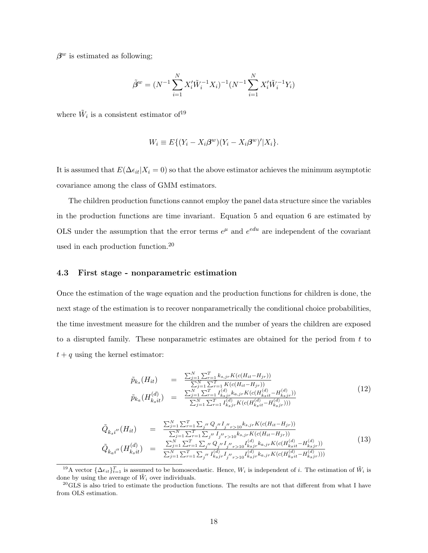$\beta^w$  is estimated as following;

$$
\tilde{\beta}^w = (N^{-1} \sum_{i=1}^N X_i' \tilde{W}_i^{-1} X_i)^{-1} (N^{-1} \sum_{i=1}^N X_i' \tilde{W}_i^{-1} Y_i)
$$

where  $\tilde{W}_i$  is a consistent estimator of <sup>19</sup>

$$
W_i \equiv E\{(Y_i - X_i\beta^w)(Y_i - X_i\beta^w)'|X_i\}.
$$

It is assumed that  $E(\Delta \epsilon_{it} | X_i = 0)$  so that the above estimator achieves the minimum asymptotic covariance among the class of GMM estimators.

The children production functions cannot employ the panel data structure since the variables in the production functions are time invariant. Equation 5 and equation 6 are estimated by OLS under the assumption that the error terms  $e^{\mu}$  and  $e^{edu}$  are independent of the covariant used in each production function.<sup>20</sup>

#### 4.3 First stage - nonparametric estimation

Once the estimation of the wage equation and the production functions for children is done, the next stage of the estimation is to recover nonparametrically the conditional choice probabilities, the time investment measure for the children and the number of years the children are exposed to a disrupted family. These nonparametric estimates are obtained for the period from  $t$  to  $t + q$  using the kernel estimator:

$$
\tilde{p}_{k_s}(H_{it}) = \frac{\sum_{j=1}^{N} \sum_{r=1}^{T} k_{s,jr} K(c(H_{it} - H_{jr}))}{\sum_{j=1}^{N} \sum_{r=1}^{T} K(c(H_{it} - H_{jr}))}
$$
\n
$$
\tilde{p}_{k_a}(H_{k_sit}^{(d)}) = \frac{\sum_{j=1}^{N} \sum_{r=1}^{T} I_{k_sjr}^{(d)} k_{a,jr} K(c(H_{k_sit}^{(d)} - H_{k_sjr}^{(d)}))}{\sum_{j=1}^{N} \sum_{r=1}^{T} I_{k_sjr}^{(d)} K(c(H_{k_sit}^{(d)} - H_{k_sjr}^{(d)})))}
$$
\n(12)

$$
\tilde{Q}_{k_{s}i''}(H_{it}) = \frac{\sum_{j=1}^{N} \sum_{r=1}^{T} \sum_{j''} Q_{j''} I_{j''r>10} k_{s,jr} K(c(H_{it} - H_{jr}))}{\sum_{j=1}^{N} \sum_{r=1}^{T} \sum_{j''} I_{j''r>10} k_{s,jr} K(c(H_{it} - H_{jr}))}
$$
\n
$$
\tilde{Q}_{k_{a}i''}(H_{k_{s}it}^{(d)}) = \frac{\sum_{j=1}^{N} \sum_{r=1}^{T} \sum_{j''} Q_{j''} I_{j''r>10} I_{k_{s}jr}^{(d)} k_{a,jr} K(c(H_{k_{s}it}^{(d)} - H_{k_{s}jr}^{(d)}))}{\sum_{j=1}^{N} \sum_{r=1}^{T} \sum_{j''} I_{k_{s}jr}^{(d)} I_{j''r>10} I_{k_{s}jr}^{(d)} k_{a,jr} K(c(H_{k_{s}it}^{(d)} - H_{k_{s}jr}^{(d)})))}
$$
\n(13)

<sup>&</sup>lt;sup>19</sup>A vector  $\{\Delta \epsilon_{it}\}_{t=1}^T$  is assumed to be homoscedastic. Hence,  $W_i$  is independent of i. The estimation of  $\tilde{W}_i$  is done by using the average of  $\tilde{W}_i$  over individuals.

 $^{20}$ GLS is also tried to estimate the production functions. The results are not that different from what I have from OLS estimation.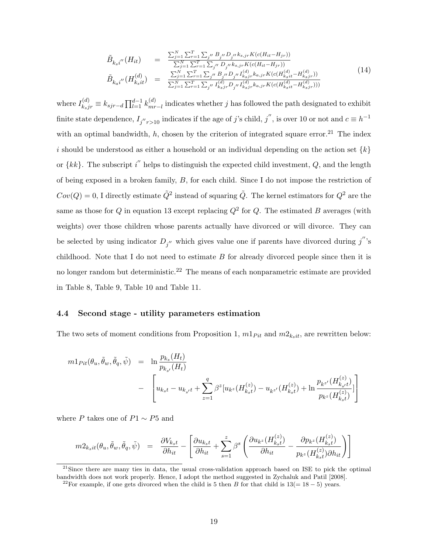$$
\tilde{B}_{k_{s}i''}(H_{it}) = \frac{\sum_{j=1}^{N} \sum_{r=1}^{T} \sum_{j''} B_{j''} D_{j''} k_{s,jr} K(c(H_{it} - H_{jr}))}{\sum_{j=1}^{N} \sum_{r=1}^{T} \sum_{j''} D_{j''} k_{s,jr} K(c(H_{it} - H_{jr}))}
$$
\n
$$
\tilde{B}_{k_{a}i''}(H_{k_{s}it}^{(d)}) = \frac{\sum_{j=1}^{N} \sum_{r=1}^{T} \sum_{j''} B_{j''} D_{j''} I_{k_{s}jr}^{(d)} k_{a,jr} K(c(H_{k_{s}it}^{(d)} - H_{k_{s}jr}^{(d)}))}{\sum_{j=1}^{N} \sum_{r=1}^{T} \sum_{j''} I_{k_{s}jr}^{(d)} D_{j''} I_{k_{s}jr}^{(d)} k_{a,jr} K(c(H_{k_{s}it}^{(d)} - H_{k_{s}jr}^{(d)})))}
$$
\n(14)

where  $I_{k_sj r}^{(d)} \equiv k_{sjr-d} \prod_{l=1}^{d-1} k_{mr}^{(d)}$  $\binom{a}{m}$  indicates whether j has followed the path designated to exhibit finite state dependence,  $I_{j''r>10}$  indicates if the age of j's child, j'', is over 10 or not and  $c \equiv h^{-1}$ with an optimal bandwidth, h, chosen by the criterion of integrated square error.<sup>21</sup> The index i should be understood as either a household or an individual depending on the action set  $\{k\}$ or  $\{kk\}$ . The subscript i<sup>"</sup> helps to distinguish the expected child investment, Q, and the length of being exposed in a broken family,  $B$ , for each child. Since I do not impose the restriction of  $Cov(Q) = 0$ , I directly estimate  $\tilde{Q}^2$  instead of squaring  $\tilde{Q}$ . The kernel estimators for  $Q^2$  are the same as those for Q in equation 13 except replacing  $Q^2$  for Q. The estimated B averages (with weights) over those children whose parents actually have divorced or will divorce. They can be selected by using indicator  $D_{j''}$  which gives value one if parents have divorced during  $j''$ 's childhood. Note that I do not need to estimate  $B$  for already divorced people since then it is no longer random but deterministic.<sup>22</sup> The means of each nonparametric estimate are provided in Table 8, Table 9, Table 10 and Table 11.

#### 4.4 Second stage - utility parameters estimation

The two sets of moment conditions from Proposition 1,  $m1_{Fit}$  and  $m2_{k_sit}$ , are rewritten below:

$$
m1_{Pit}(\theta_u, \tilde{\theta}_w, \tilde{\theta}_q, \tilde{\psi}) = \ln \frac{p_{k_s}(H_t)}{p_{k_{s'}}(H_t)}
$$
  
- 
$$
\left[ u_{k_{s}t} - u_{k_{s'}t} + \sum_{z=1}^q \beta^z [u_{k^z}(H_{k_{s}t}^{(z)}) - u_{k^{z'}}(H_{k_{s}t}^{(z)}) + \ln \frac{p_{k^{z'}}(H_{k_{s'}t}^{(z)})}{p_{k^z}(H_{k_{s}t}^{(z)})} \right]
$$

where  $P$  takes one of  $P1 \sim P5$  and

$$
m2_{k_{s}it}(\theta_{u}, \tilde{\theta}_{w}, \tilde{\theta}_{q}, \tilde{\psi}) = \frac{\partial V_{k_{s}t}}{\partial h_{it}} - \left[ \frac{\partial u_{k_{s}t}}{\partial h_{it}} + \sum_{s=1}^{z} \beta^{s} \left( \frac{\partial u_{k^{z}}(H_{k_{s}t}^{(z)})}{\partial h_{it}} - \frac{\partial p_{k^{z}}(H_{k_{s}t}^{(z)})}{p_{k^{z}}(H_{k_{s}t}^{(z)}) \partial h_{it}} \right) \right]
$$

<sup>21</sup>Since there are many ties in data, the usual cross-validation approach based on ISE to pick the optimal bandwidth does not work properly. Hence, I adopt the method suggested in Zychaluk and Patil [2008].

<sup>&</sup>lt;sup>22</sup>For example, if one gets divorced when the child is 5 then B for that child is  $13(= 18 - 5)$  years.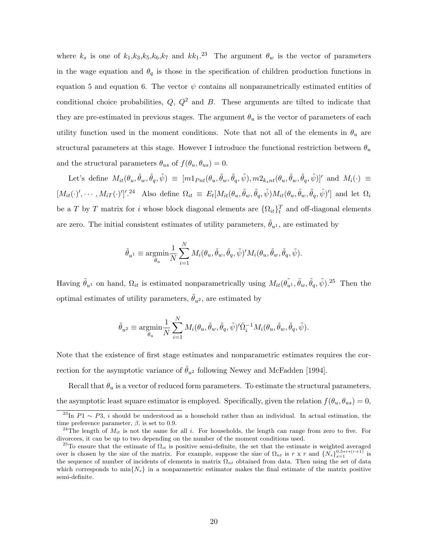where  $k_s$  is one of  $k_1, k_3, k_5, k_6, k_7$  and  $kk_1$ .<sup>23</sup> The argument  $\theta_w$  is the vector of parameters in the wage equation and  $\theta_q$  is those in the specification of children production functions in equation 5 and equation 6. The vector  $\psi$  contains all nonparametrically estimated entities of conditional choice probabilities,  $Q$ ,  $Q^2$  and  $B$ . These arguments are tilted to indicate that they are pre-estimated in previous stages. The argument  $\theta_u$  is the vector of parameters of each utility function used in the moment conditions. Note that not all of the elements in  $\theta_u$  are structural parameters at this stage. However I introduce the functional restriction between  $\theta_u$ and the structural parameters  $\theta_{us}$  of  $f(\theta_u, \theta_{us}) = 0$ .

Let's define  $M_{it}(\theta_u, \tilde{\theta}_w, \tilde{\phi}_q, \tilde{\psi}) \equiv [m1_{Pnt}(\theta_u, \tilde{\theta}_w, \tilde{\theta}_q, \tilde{\psi}), m2_{k_snt}(\theta_u, \tilde{\theta}_w, \tilde{\theta}_q, \tilde{\psi})]'$  and  $M_i(\cdot) \equiv$  $[M_{it}(\cdot)', \cdots, M_{iT}(\cdot)']'.^{24}$  Also define  $\Omega_{it} \equiv E_t[M_{it}(\theta_u, \tilde{\theta}_w, \tilde{\theta}_q, \tilde{\psi})M_{it}(\theta_u, \tilde{\theta}_w, \tilde{\theta}_q, \tilde{\psi})']$  and let  $\Omega_i$ be a T by T matrix for  $i$  whose block diagonal elements are  $\{\Omega_{it}\}_{t}^{T}$  and off-diagonal elements are zero. The initial consistent estimates of utility parameters,  $\tilde{\theta}_{n^1}$ , are estimated by

$$
\tilde{\theta}_{u^1} \equiv \underset{\theta_u}{\text{argmin}} \frac{1}{N} \sum_{i=1}^N M_i(\theta_u, \tilde{\theta}_w, \tilde{\theta}_q, \tilde{\psi})' M_i(\theta_u, \tilde{\theta}_w, \tilde{\theta}_q, \tilde{\psi}).
$$

Having  $\tilde{\theta}_{u^1}$  on hand,  $\Omega_{it}$  is estimated nonparametrically using  $M_{it}(\tilde{\theta_{u^1}}, \tilde{\theta}_w, \tilde{\theta}_q, \tilde{\psi})$ .<sup>25</sup> Then the optimal estimates of utility parameters,  $\ddot{\theta}_{u^2}$ , are estimated by

$$
\tilde{\theta}_{u^2} \equiv \underset{\theta_u}{\text{argmin}} \frac{1}{N} \sum_{i=1}^N M_i(\theta_u, \tilde{\theta}_w, \tilde{\theta}_q, \tilde{\psi})' \tilde{\Omega}_i^{-1} M_i(\theta_u, \tilde{\theta}_w, \tilde{\theta}_q, \tilde{\psi}).
$$

Note that the existence of first stage estimates and nonparametric estimates requires the correction for the asymptotic variance of  $\tilde{\theta}_{u^2}$  following Newey and McFadden [1994].

Recall that  $\theta_u$  is a vector of reduced form parameters. To estimate the structural parameters, the asymptotic least square estimator is employed. Specifically, given the relation  $f(\theta_u, \theta_{us}) = 0$ ,

<sup>&</sup>lt;sup>23</sup>In  $P_1 \sim P_3$ , *i* should be understood as a household rather than an individual. In actual estimation, the time preference parameter,  $\beta$ , is set to 0.9.

<sup>&</sup>lt;sup>24</sup>The length of  $M_{it}$  is not the same for all i. For households, the length can range from zero to five. For divorcees, it can be up to two depending on the number of the moment conditions used.

<sup>&</sup>lt;sup>25</sup>To ensure that the estimate of  $\Omega_{it}$  is positive semi-definite, the set that the estimate is weighted averaged over is chosen by the size of the matrix. For example, suppose the size of  $\Omega_{nt}$  is  $r \times r$  and  $\{N_s\}_{s=1}^{0.5*r*(r+1)}$  is the sequence of number of incidents of elements in matrix  $\Omega_{nt}$  obtained from data. Then using the set of data which corresponds to  $\min\{N_s\}$  in a nonparametric estimator makes the final estimate of the matrix positive semi-definite.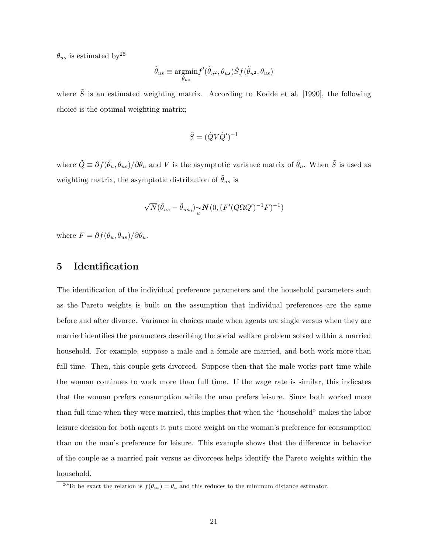$\theta_{us}$  is estimated by  $2^6$ 

$$
\tilde{\theta}_{us} \equiv \underset{\theta_{us}}{\text{argmin}} f'(\tilde{\theta}_{u^2}, \theta_{us}) \tilde{S} f(\tilde{\theta}_{u^2}, \theta_{us})
$$

where  $\tilde{S}$  is an estimated weighting matrix. According to Kodde et al. [1990], the following choice is the optimal weighting matrix;

$$
\tilde{S} = (\tilde{Q} V \tilde{Q}')^{-1}
$$

where  $\tilde{Q} \equiv \partial f(\tilde{\theta}_u, \theta_{us})/\partial \theta_u$  and V is the asymptotic variance matrix of  $\tilde{\theta}_u$ . When  $\tilde{S}$  is used as weighting matrix, the asymptotic distribution of  $\tilde{\theta}_{us}$  is

$$
\sqrt{N}(\tilde{\theta}_{us} - \tilde{\theta}_{us_0}) \underset{a}{\sim} \mathbf{N}(0, (F'(Q \Omega Q')^{-1} F)^{-1})
$$

where  $F = \partial f(\theta_u, \theta_{us})/\partial \theta_u$ .

## 5 Identification

The identification of the individual preference parameters and the household parameters such as the Pareto weights is built on the assumption that individual preferences are the same before and after divorce. Variance in choices made when agents are single versus when they are married identifies the parameters describing the social welfare problem solved within a married household. For example, suppose a male and a female are married, and both work more than full time. Then, this couple gets divorced. Suppose then that the male works part time while the woman continues to work more than full time. If the wage rate is similar, this indicates that the woman prefers consumption while the man prefers leisure. Since both worked more than full time when they were married, this implies that when the "household" makes the labor leisure decision for both agents it puts more weight on the woman's preference for consumption than on the man's preference for leisure. This example shows that the difference in behavior of the couple as a married pair versus as divorcees helps identify the Pareto weights within the household.

<sup>&</sup>lt;sup>26</sup>To be exact the relation is  $f(\theta_{us}) = \theta_u$  and this reduces to the minimum distance estimator.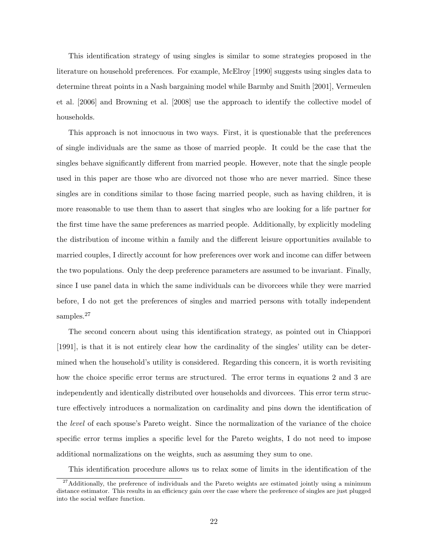This identification strategy of using singles is similar to some strategies proposed in the literature on household preferences. For example, McElroy [1990] suggests using singles data to determine threat points in a Nash bargaining model while Barmby and Smith [2001], Vermeulen et al. [2006] and Browning et al. [2008] use the approach to identify the collective model of households.

This approach is not innocuous in two ways. First, it is questionable that the preferences of single individuals are the same as those of married people. It could be the case that the singles behave significantly different from married people. However, note that the single people used in this paper are those who are divorced not those who are never married. Since these singles are in conditions similar to those facing married people, such as having children, it is more reasonable to use them than to assert that singles who are looking for a life partner for the first time have the same preferences as married people. Additionally, by explicitly modeling the distribution of income within a family and the different leisure opportunities available to married couples, I directly account for how preferences over work and income can differ between the two populations. Only the deep preference parameters are assumed to be invariant. Finally, since I use panel data in which the same individuals can be divorcees while they were married before, I do not get the preferences of singles and married persons with totally independent samples.<sup>27</sup>

The second concern about using this identification strategy, as pointed out in Chiappori [1991], is that it is not entirely clear how the cardinality of the singles' utility can be determined when the household's utility is considered. Regarding this concern, it is worth revisiting how the choice specific error terms are structured. The error terms in equations 2 and 3 are independently and identically distributed over households and divorcees. This error term structure effectively introduces a normalization on cardinality and pins down the identification of the level of each spouse's Pareto weight. Since the normalization of the variance of the choice specific error terms implies a specific level for the Pareto weights, I do not need to impose additional normalizations on the weights, such as assuming they sum to one.

This identification procedure allows us to relax some of limits in the identification of the

 $27$ Additionally, the preference of individuals and the Pareto weights are estimated jointly using a minimum distance estimator. This results in an efficiency gain over the case where the preference of singles are just plugged into the social welfare function.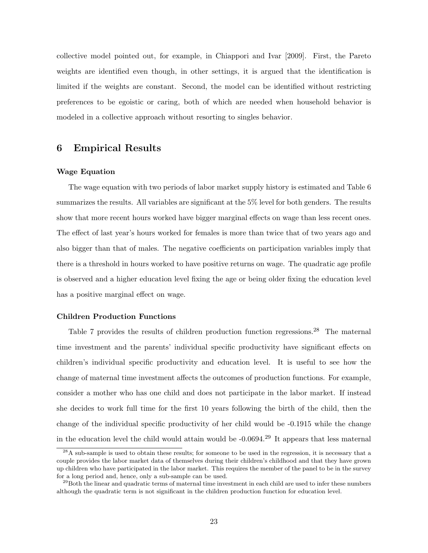collective model pointed out, for example, in Chiappori and Ivar [2009]. First, the Pareto weights are identified even though, in other settings, it is argued that the identification is limited if the weights are constant. Second, the model can be identified without restricting preferences to be egoistic or caring, both of which are needed when household behavior is modeled in a collective approach without resorting to singles behavior.

## 6 Empirical Results

#### Wage Equation

The wage equation with two periods of labor market supply history is estimated and Table 6 summarizes the results. All variables are significant at the 5% level for both genders. The results show that more recent hours worked have bigger marginal effects on wage than less recent ones. The effect of last year's hours worked for females is more than twice that of two years ago and also bigger than that of males. The negative coefficients on participation variables imply that there is a threshold in hours worked to have positive returns on wage. The quadratic age profile is observed and a higher education level fixing the age or being older fixing the education level has a positive marginal effect on wage.

#### Children Production Functions

Table 7 provides the results of children production function regressions.<sup>28</sup> The maternal time investment and the parents' individual specific productivity have significant effects on children's individual specific productivity and education level. It is useful to see how the change of maternal time investment affects the outcomes of production functions. For example, consider a mother who has one child and does not participate in the labor market. If instead she decides to work full time for the first 10 years following the birth of the child, then the change of the individual specific productivity of her child would be -0.1915 while the change in the education level the child would attain would be  $-0.0694<sup>29</sup>$  It appears that less maternal

<sup>&</sup>lt;sup>28</sup>A sub-sample is used to obtain these results; for someone to be used in the regression, it is necessary that a couple provides the labor market data of themselves during their children's childhood and that they have grown up children who have participated in the labor market. This requires the member of the panel to be in the survey for a long period and, hence, only a sub-sample can be used.

 $^{29}$ Both the linear and quadratic terms of maternal time investment in each child are used to infer these numbers although the quadratic term is not significant in the children production function for education level.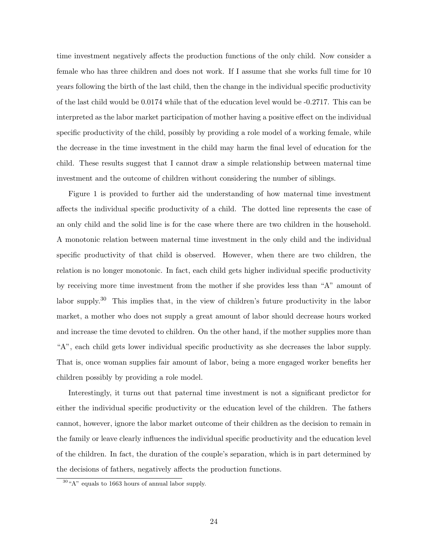time investment negatively affects the production functions of the only child. Now consider a female who has three children and does not work. If I assume that she works full time for 10 years following the birth of the last child, then the change in the individual specific productivity of the last child would be 0.0174 while that of the education level would be -0.2717. This can be interpreted as the labor market participation of mother having a positive effect on the individual specific productivity of the child, possibly by providing a role model of a working female, while the decrease in the time investment in the child may harm the final level of education for the child. These results suggest that I cannot draw a simple relationship between maternal time investment and the outcome of children without considering the number of siblings.

Figure 1 is provided to further aid the understanding of how maternal time investment affects the individual specific productivity of a child. The dotted line represents the case of an only child and the solid line is for the case where there are two children in the household. A monotonic relation between maternal time investment in the only child and the individual specific productivity of that child is observed. However, when there are two children, the relation is no longer monotonic. In fact, each child gets higher individual specific productivity by receiving more time investment from the mother if she provides less than "A" amount of labor supply.<sup>30</sup> This implies that, in the view of children's future productivity in the labor market, a mother who does not supply a great amount of labor should decrease hours worked and increase the time devoted to children. On the other hand, if the mother supplies more than "A", each child gets lower individual specific productivity as she decreases the labor supply. That is, once woman supplies fair amount of labor, being a more engaged worker benefits her children possibly by providing a role model.

Interestingly, it turns out that paternal time investment is not a significant predictor for either the individual specific productivity or the education level of the children. The fathers cannot, however, ignore the labor market outcome of their children as the decision to remain in the family or leave clearly influences the individual specific productivity and the education level of the children. In fact, the duration of the couple's separation, which is in part determined by the decisions of fathers, negatively affects the production functions.

 $30\;\mu\text{A}$ " equals to 1663 hours of annual labor supply.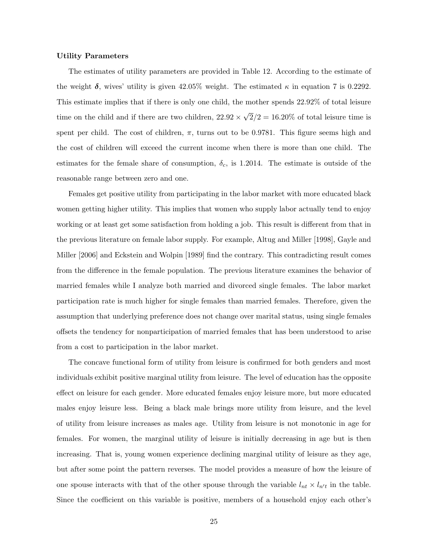#### Utility Parameters

The estimates of utility parameters are provided in Table 12. According to the estimate of the weight  $\delta$ , wives' utility is given 42.05% weight. The estimated  $\kappa$  in equation 7 is 0.2292. This estimate implies that if there is only one child, the mother spends 22.92% of total leisure time on the child and if there are two children,  $22.92 \times$ √  $2/2 = 16.20\%$  of total leisure time is spent per child. The cost of children,  $\pi$ , turns out to be 0.9781. This figure seems high and the cost of children will exceed the current income when there is more than one child. The estimates for the female share of consumption,  $\delta_c$ , is 1.2014. The estimate is outside of the reasonable range between zero and one.

Females get positive utility from participating in the labor market with more educated black women getting higher utility. This implies that women who supply labor actually tend to enjoy working or at least get some satisfaction from holding a job. This result is different from that in the previous literature on female labor supply. For example, Altug and Miller [1998], Gayle and Miller [2006] and Eckstein and Wolpin [1989] find the contrary. This contradicting result comes from the difference in the female population. The previous literature examines the behavior of married females while I analyze both married and divorced single females. The labor market participation rate is much higher for single females than married females. Therefore, given the assumption that underlying preference does not change over marital status, using single females offsets the tendency for nonparticipation of married females that has been understood to arise from a cost to participation in the labor market.

The concave functional form of utility from leisure is confirmed for both genders and most individuals exhibit positive marginal utility from leisure. The level of education has the opposite effect on leisure for each gender. More educated females enjoy leisure more, but more educated males enjoy leisure less. Being a black male brings more utility from leisure, and the level of utility from leisure increases as males age. Utility from leisure is not monotonic in age for females. For women, the marginal utility of leisure is initially decreasing in age but is then increasing. That is, young women experience declining marginal utility of leisure as they age, but after some point the pattern reverses. The model provides a measure of how the leisure of one spouse interacts with that of the other spouse through the variable  $l_{nt} \times l_{n't}$  in the table. Since the coefficient on this variable is positive, members of a household enjoy each other's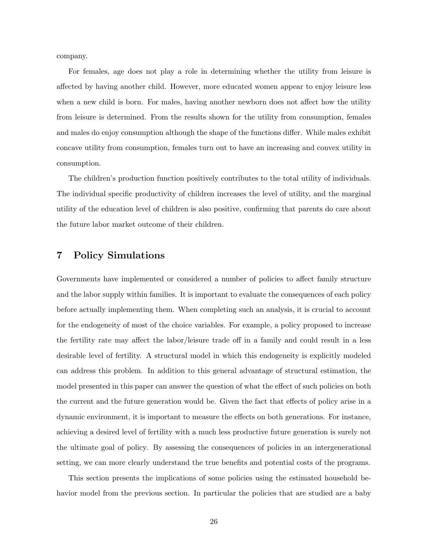company.

For females, age does not play a role in determining whether the utility from leisure is affected by having another child. However, more educated women appear to enjoy leisure less when a new child is born. For males, having another newborn does not affect how the utility from leisure is determined. From the results shown for the utility from consumption, females and males do enjoy consumption although the shape of the functions differ. While males exhibit concave utility from consumption, females turn out to have an increasing and convex utility in consumption.

The children's production function positively contributes to the total utility of individuals. The individual specific productivity of children increases the level of utility, and the marginal utility of the education level of children is also positive, confirming that parents do care about the future labor market outcome of their children.

## 7 Policy Simulations

Governments have implemented or considered a number of policies to affect family structure and the labor supply within families. It is important to evaluate the consequences of each policy before actually implementing them. When completing such an analysis, it is crucial to account for the endogeneity of most of the choice variables. For example, a policy proposed to increase the fertility rate may affect the labor/leisure trade off in a family and could result in a less desirable level of fertility. A structural model in which this endogeneity is explicitly modeled can address this problem. In addition to this general advantage of structural estimation, the model presented in this paper can answer the question of what the effect of such policies on both the current and the future generation would be. Given the fact that effects of policy arise in a dynamic environment, it is important to measure the effects on both generations. For instance, achieving a desired level of fertility with a much less productive future generation is surely not the ultimate goal of policy. By assessing the consequences of policies in an intergenerational setting, we can more clearly understand the true benefits and potential costs of the programs.

This section presents the implications of some policies using the estimated household behavior model from the previous section. In particular the policies that are studied are a baby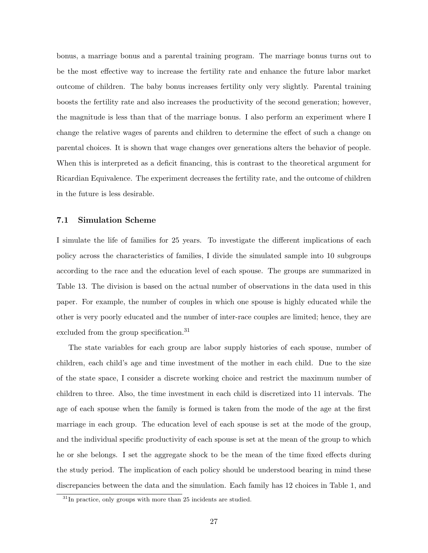bonus, a marriage bonus and a parental training program. The marriage bonus turns out to be the most effective way to increase the fertility rate and enhance the future labor market outcome of children. The baby bonus increases fertility only very slightly. Parental training boosts the fertility rate and also increases the productivity of the second generation; however, the magnitude is less than that of the marriage bonus. I also perform an experiment where I change the relative wages of parents and children to determine the effect of such a change on parental choices. It is shown that wage changes over generations alters the behavior of people. When this is interpreted as a deficit financing, this is contrast to the theoretical argument for Ricardian Equivalence. The experiment decreases the fertility rate, and the outcome of children in the future is less desirable.

#### 7.1 Simulation Scheme

I simulate the life of families for 25 years. To investigate the different implications of each policy across the characteristics of families, I divide the simulated sample into 10 subgroups according to the race and the education level of each spouse. The groups are summarized in Table 13. The division is based on the actual number of observations in the data used in this paper. For example, the number of couples in which one spouse is highly educated while the other is very poorly educated and the number of inter-race couples are limited; hence, they are excluded from the group specification.<sup>31</sup>

The state variables for each group are labor supply histories of each spouse, number of children, each child's age and time investment of the mother in each child. Due to the size of the state space, I consider a discrete working choice and restrict the maximum number of children to three. Also, the time investment in each child is discretized into 11 intervals. The age of each spouse when the family is formed is taken from the mode of the age at the first marriage in each group. The education level of each spouse is set at the mode of the group, and the individual specific productivity of each spouse is set at the mean of the group to which he or she belongs. I set the aggregate shock to be the mean of the time fixed effects during the study period. The implication of each policy should be understood bearing in mind these discrepancies between the data and the simulation. Each family has 12 choices in Table 1, and

 $31$ In practice, only groups with more than 25 incidents are studied.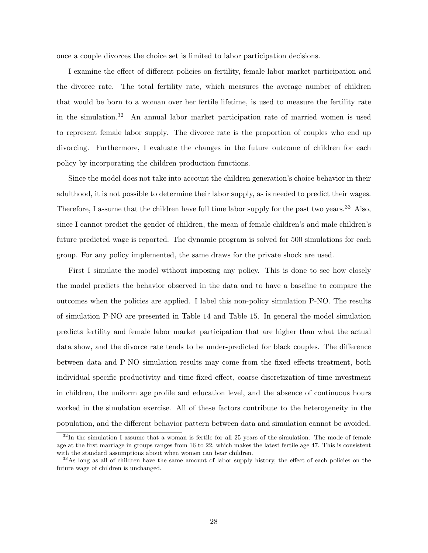once a couple divorces the choice set is limited to labor participation decisions.

I examine the effect of different policies on fertility, female labor market participation and the divorce rate. The total fertility rate, which measures the average number of children that would be born to a woman over her fertile lifetime, is used to measure the fertility rate in the simulation.<sup>32</sup> An annual labor market participation rate of married women is used to represent female labor supply. The divorce rate is the proportion of couples who end up divorcing. Furthermore, I evaluate the changes in the future outcome of children for each policy by incorporating the children production functions.

Since the model does not take into account the children generation's choice behavior in their adulthood, it is not possible to determine their labor supply, as is needed to predict their wages. Therefore, I assume that the children have full time labor supply for the past two years.<sup>33</sup> Also, since I cannot predict the gender of children, the mean of female children's and male children's future predicted wage is reported. The dynamic program is solved for 500 simulations for each group. For any policy implemented, the same draws for the private shock are used.

First I simulate the model without imposing any policy. This is done to see how closely the model predicts the behavior observed in the data and to have a baseline to compare the outcomes when the policies are applied. I label this non-policy simulation P-NO. The results of simulation P-NO are presented in Table 14 and Table 15. In general the model simulation predicts fertility and female labor market participation that are higher than what the actual data show, and the divorce rate tends to be under-predicted for black couples. The difference between data and P-NO simulation results may come from the fixed effects treatment, both individual specific productivity and time fixed effect, coarse discretization of time investment in children, the uniform age profile and education level, and the absence of continuous hours worked in the simulation exercise. All of these factors contribute to the heterogeneity in the population, and the different behavior pattern between data and simulation cannot be avoided.

 $32$ In the simulation I assume that a woman is fertile for all 25 years of the simulation. The mode of female age at the first marriage in groups ranges from 16 to 22, which makes the latest fertile age 47. This is consistent with the standard assumptions about when women can bear children.

<sup>&</sup>lt;sup>33</sup>As long as all of children have the same amount of labor supply history, the effect of each policies on the future wage of children is unchanged.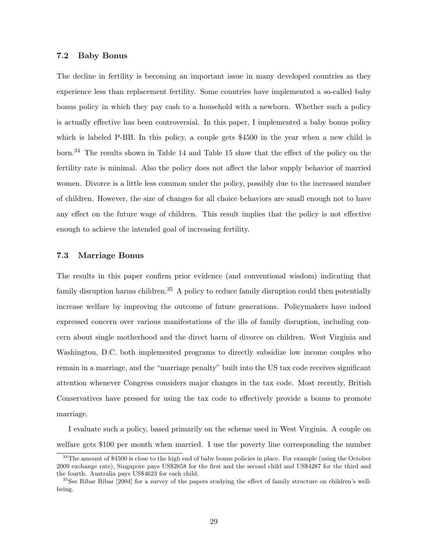#### 7.2 Baby Bonus

The decline in fertility is becoming an important issue in many developed countries as they experience less than replacement fertility. Some countries have implemented a so-called baby bonus policy in which they pay cash to a household with a newborn. Whether such a policy is actually effective has been controversial. In this paper, I implemented a baby bonus policy which is labeled P-BB. In this policy, a couple gets \$4500 in the year when a new child is born.<sup>34</sup> The results shown in Table 14 and Table 15 show that the effect of the policy on the fertility rate is minimal. Also the policy does not affect the labor supply behavior of married women. Divorce is a little less common under the policy, possibly due to the increased number of children. However, the size of changes for all choice behaviors are small enough not to have any effect on the future wage of children. This result implies that the policy is not effective enough to achieve the intended goal of increasing fertility.

### 7.3 Marriage Bonus

The results in this paper confirm prior evidence (and conventional wisdom) indicating that family disruption harms children.<sup>35</sup> A policy to reduce family disruption could then potentially increase welfare by improving the outcome of future generations. Policymakers have indeed expressed concern over various manifestations of the ills of family disruption, including concern about single motherhood and the direct harm of divorce on children. West Virginia and Washington, D.C. both implemented programs to directly subsidize low income couples who remain in a marriage, and the "marriage penalty" built into the US tax code receives significant attention whenever Congress considers major changes in the tax code. Most recently, British Conservatives have pressed for using the tax code to effectively provide a bonus to promote marriage.

I evaluate such a policy, based primarily on the scheme used in West Virginia. A couple on welfare gets \$100 per month when married. I use the poverty line corresponding the number

<sup>&</sup>lt;sup>34</sup>The amount of \$4500 is close to the high end of baby bonus policies in place. For example (using the October 2009 exchange rate), Singapore pays US\$2858 for the first and the second child and US\$4287 for the third and the fourth. Australia pays US\$4623 for each child.

<sup>&</sup>lt;sup>35</sup>See Ribar Ribar [2004] for a survey of the papers studying the effect of family structure on children's wellbeing.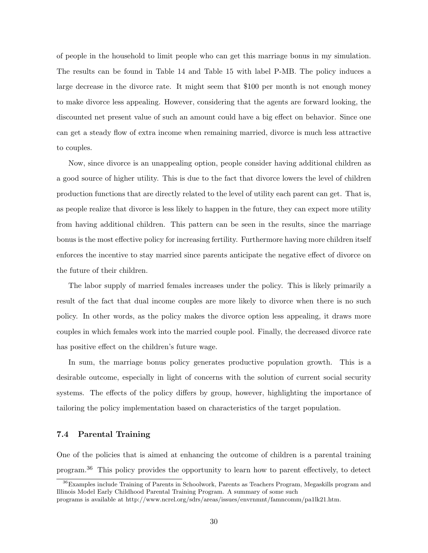of people in the household to limit people who can get this marriage bonus in my simulation. The results can be found in Table 14 and Table 15 with label P-MB. The policy induces a large decrease in the divorce rate. It might seem that \$100 per month is not enough money to make divorce less appealing. However, considering that the agents are forward looking, the discounted net present value of such an amount could have a big effect on behavior. Since one can get a steady flow of extra income when remaining married, divorce is much less attractive to couples.

Now, since divorce is an unappealing option, people consider having additional children as a good source of higher utility. This is due to the fact that divorce lowers the level of children production functions that are directly related to the level of utility each parent can get. That is, as people realize that divorce is less likely to happen in the future, they can expect more utility from having additional children. This pattern can be seen in the results, since the marriage bonus is the most effective policy for increasing fertility. Furthermore having more children itself enforces the incentive to stay married since parents anticipate the negative effect of divorce on the future of their children.

The labor supply of married females increases under the policy. This is likely primarily a result of the fact that dual income couples are more likely to divorce when there is no such policy. In other words, as the policy makes the divorce option less appealing, it draws more couples in which females work into the married couple pool. Finally, the decreased divorce rate has positive effect on the children's future wage.

In sum, the marriage bonus policy generates productive population growth. This is a desirable outcome, especially in light of concerns with the solution of current social security systems. The effects of the policy differs by group, however, highlighting the importance of tailoring the policy implementation based on characteristics of the target population.

## 7.4 Parental Training

One of the policies that is aimed at enhancing the outcome of children is a parental training program.<sup>36</sup> This policy provides the opportunity to learn how to parent effectively, to detect

<sup>36</sup>Examples include Training of Parents in Schoolwork, Parents as Teachers Program, Megaskills program and Illinois Model Early Childhood Parental Training Program. A summary of some such

programs is available at http://www.ncrel.org/sdrs/areas/issues/envrnmnt/famncomm/pa1lk21.htm.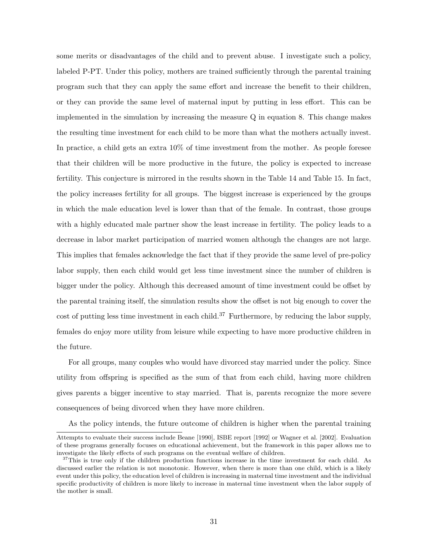some merits or disadvantages of the child and to prevent abuse. I investigate such a policy, labeled P-PT. Under this policy, mothers are trained sufficiently through the parental training program such that they can apply the same effort and increase the benefit to their children, or they can provide the same level of maternal input by putting in less effort. This can be implemented in the simulation by increasing the measure Q in equation 8. This change makes the resulting time investment for each child to be more than what the mothers actually invest. In practice, a child gets an extra 10% of time investment from the mother. As people foresee that their children will be more productive in the future, the policy is expected to increase fertility. This conjecture is mirrored in the results shown in the Table 14 and Table 15. In fact, the policy increases fertility for all groups. The biggest increase is experienced by the groups in which the male education level is lower than that of the female. In contrast, those groups with a highly educated male partner show the least increase in fertility. The policy leads to a decrease in labor market participation of married women although the changes are not large. This implies that females acknowledge the fact that if they provide the same level of pre-policy labor supply, then each child would get less time investment since the number of children is bigger under the policy. Although this decreased amount of time investment could be offset by the parental training itself, the simulation results show the offset is not big enough to cover the cost of putting less time investment in each child.<sup>37</sup> Furthermore, by reducing the labor supply, females do enjoy more utility from leisure while expecting to have more productive children in the future.

For all groups, many couples who would have divorced stay married under the policy. Since utility from offspring is specified as the sum of that from each child, having more children gives parents a bigger incentive to stay married. That is, parents recognize the more severe consequences of being divorced when they have more children.

As the policy intends, the future outcome of children is higher when the parental training

Attempts to evaluate their success include Beane [1990], ISBE report [1992] or Wagner et al. [2002]. Evaluation of these programs generally focuses on educational achievement, but the framework in this paper allows me to investigate the likely effects of such programs on the eventual welfare of children.

<sup>&</sup>lt;sup>37</sup>This is true only if the children production functions increase in the time investment for each child. As discussed earlier the relation is not monotonic. However, when there is more than one child, which is a likely event under this policy, the education level of children is increasing in maternal time investment and the individual specific productivity of children is more likely to increase in maternal time investment when the labor supply of the mother is small.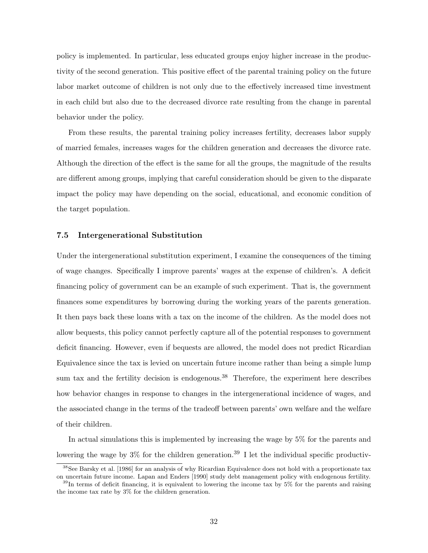policy is implemented. In particular, less educated groups enjoy higher increase in the productivity of the second generation. This positive effect of the parental training policy on the future labor market outcome of children is not only due to the effectively increased time investment in each child but also due to the decreased divorce rate resulting from the change in parental behavior under the policy.

From these results, the parental training policy increases fertility, decreases labor supply of married females, increases wages for the children generation and decreases the divorce rate. Although the direction of the effect is the same for all the groups, the magnitude of the results are different among groups, implying that careful consideration should be given to the disparate impact the policy may have depending on the social, educational, and economic condition of the target population.

#### 7.5 Intergenerational Substitution

Under the intergenerational substitution experiment, I examine the consequences of the timing of wage changes. Specifically I improve parents' wages at the expense of children's. A deficit financing policy of government can be an example of such experiment. That is, the government finances some expenditures by borrowing during the working years of the parents generation. It then pays back these loans with a tax on the income of the children. As the model does not allow bequests, this policy cannot perfectly capture all of the potential responses to government deficit financing. However, even if bequests are allowed, the model does not predict Ricardian Equivalence since the tax is levied on uncertain future income rather than being a simple lump sum tax and the fertility decision is endogenous.<sup>38</sup> Therefore, the experiment here describes how behavior changes in response to changes in the intergenerational incidence of wages, and the associated change in the terms of the tradeoff between parents' own welfare and the welfare of their children.

In actual simulations this is implemented by increasing the wage by 5% for the parents and lowering the wage by  $3\%$  for the children generation.<sup>39</sup> I let the individual specific productiv-

<sup>&</sup>lt;sup>38</sup>See Barsky et al. [1986] for an analysis of why Ricardian Equivalence does not hold with a proportionate tax on uncertain future income. Lapan and Enders [1990] study debt management policy with endogenous fertility.

<sup>&</sup>lt;sup>39</sup>In terms of deficit financing, it is equivalent to lowering the income tax by 5% for the parents and raising the income tax rate by 3% for the children generation.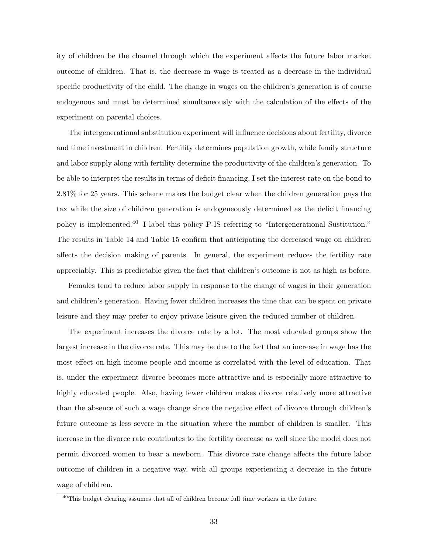ity of children be the channel through which the experiment affects the future labor market outcome of children. That is, the decrease in wage is treated as a decrease in the individual specific productivity of the child. The change in wages on the children's generation is of course endogenous and must be determined simultaneously with the calculation of the effects of the experiment on parental choices.

The intergenerational substitution experiment will influence decisions about fertility, divorce and time investment in children. Fertility determines population growth, while family structure and labor supply along with fertility determine the productivity of the children's generation. To be able to interpret the results in terms of deficit financing, I set the interest rate on the bond to 2.81% for 25 years. This scheme makes the budget clear when the children generation pays the tax while the size of children generation is endogeneously determined as the deficit financing policy is implemented.<sup>40</sup> I label this policy P-IS referring to "Intergenerational Sustitution." The results in Table 14 and Table 15 confirm that anticipating the decreased wage on children affects the decision making of parents. In general, the experiment reduces the fertility rate appreciably. This is predictable given the fact that children's outcome is not as high as before.

Females tend to reduce labor supply in response to the change of wages in their generation and children's generation. Having fewer children increases the time that can be spent on private leisure and they may prefer to enjoy private leisure given the reduced number of children.

The experiment increases the divorce rate by a lot. The most educated groups show the largest increase in the divorce rate. This may be due to the fact that an increase in wage has the most effect on high income people and income is correlated with the level of education. That is, under the experiment divorce becomes more attractive and is especially more attractive to highly educated people. Also, having fewer children makes divorce relatively more attractive than the absence of such a wage change since the negative effect of divorce through children's future outcome is less severe in the situation where the number of children is smaller. This increase in the divorce rate contributes to the fertility decrease as well since the model does not permit divorced women to bear a newborn. This divorce rate change affects the future labor outcome of children in a negative way, with all groups experiencing a decrease in the future wage of children.

<sup>40</sup>This budget clearing assumes that all of children become full time workers in the future.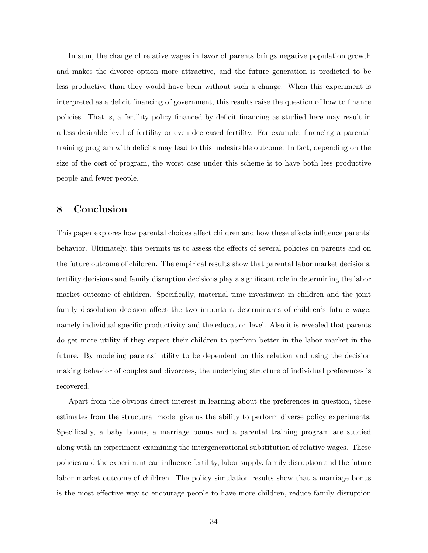In sum, the change of relative wages in favor of parents brings negative population growth and makes the divorce option more attractive, and the future generation is predicted to be less productive than they would have been without such a change. When this experiment is interpreted as a deficit financing of government, this results raise the question of how to finance policies. That is, a fertility policy financed by deficit financing as studied here may result in a less desirable level of fertility or even decreased fertility. For example, financing a parental training program with deficits may lead to this undesirable outcome. In fact, depending on the size of the cost of program, the worst case under this scheme is to have both less productive people and fewer people.

## 8 Conclusion

This paper explores how parental choices affect children and how these effects influence parents' behavior. Ultimately, this permits us to assess the effects of several policies on parents and on the future outcome of children. The empirical results show that parental labor market decisions, fertility decisions and family disruption decisions play a significant role in determining the labor market outcome of children. Specifically, maternal time investment in children and the joint family dissolution decision affect the two important determinants of children's future wage, namely individual specific productivity and the education level. Also it is revealed that parents do get more utility if they expect their children to perform better in the labor market in the future. By modeling parents' utility to be dependent on this relation and using the decision making behavior of couples and divorcees, the underlying structure of individual preferences is recovered.

Apart from the obvious direct interest in learning about the preferences in question, these estimates from the structural model give us the ability to perform diverse policy experiments. Specifically, a baby bonus, a marriage bonus and a parental training program are studied along with an experiment examining the intergenerational substitution of relative wages. These policies and the experiment can influence fertility, labor supply, family disruption and the future labor market outcome of children. The policy simulation results show that a marriage bonus is the most effective way to encourage people to have more children, reduce family disruption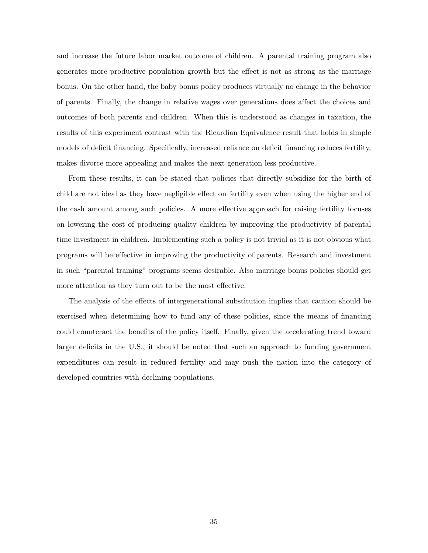and increase the future labor market outcome of children. A parental training program also generates more productive population growth but the effect is not as strong as the marriage bonus. On the other hand, the baby bonus policy produces virtually no change in the behavior of parents. Finally, the change in relative wages over generations does affect the choices and outcomes of both parents and children. When this is understood as changes in taxation, the results of this experiment contrast with the Ricardian Equivalence result that holds in simple models of deficit financing. Specifically, increased reliance on deficit financing reduces fertility, makes divorce more appealing and makes the next generation less productive.

From these results, it can be stated that policies that directly subsidize for the birth of child are not ideal as they have negligible effect on fertility even when using the higher end of the cash amount among such policies. A more effective approach for raising fertility focuses on lowering the cost of producing quality children by improving the productivity of parental time investment in children. Implementing such a policy is not trivial as it is not obvious what programs will be effective in improving the productivity of parents. Research and investment in such "parental training" programs seems desirable. Also marriage bonus policies should get more attention as they turn out to be the most effective.

The analysis of the effects of intergenerational substitution implies that caution should be exercised when determining how to fund any of these policies, since the means of financing could counteract the benefits of the policy itself. Finally, given the accelerating trend toward larger deficits in the U.S., it should be noted that such an approach to funding government expenditures can result in reduced fertility and may push the nation into the category of developed countries with declining populations.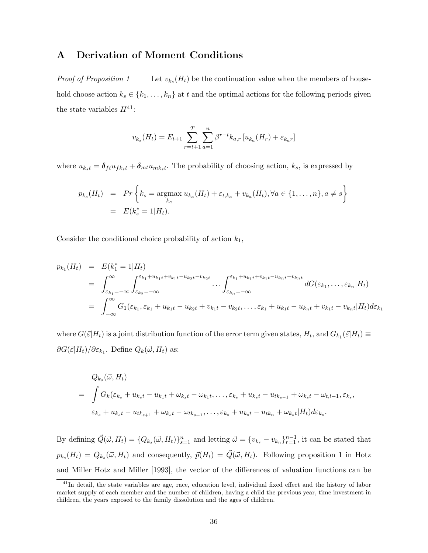## A Derivation of Moment Conditions

Proof of Proposition 1 Let  $v_{k_s}(H_t)$  be the continuation value when the members of household choose action  $k_s \in \{k_1, \ldots, k_n\}$  at t and the optimal actions for the following periods given the state variables  $H^{41}$ :

$$
v_{k_s}(H_t) = E_{t+1} \sum_{r=t+1}^{T} \sum_{a=1}^{n} \beta^{r-t} k_{a,r} \left[ u_{k_a}(H_r) + \varepsilon_{k_a r} \right]
$$

where  $u_{k_st} = \delta_{ft}u_{fk_st} + \delta_{mt}u_{mk_st}$ . The probability of choosing action,  $k_s$ , is expressed by

$$
p_{k_s}(H_t) = Pr \left\{ k_s = \underset{k_a}{\text{argmax}} \ u_{k_a}(H_t) + \varepsilon_{t,k_a} + v_{k_a}(H_t), \forall a \in \{1, ..., n\}, a \neq s \right\}
$$
  
=  $E(k_s^* = 1|H_t).$ 

Consider the conditional choice probability of action  $k_1$ ,

$$
p_{k_1}(H_t) = E(k_1^* = 1|H_t)
$$
  
= 
$$
\int_{\varepsilon_{k_1} = -\infty}^{\infty} \int_{\varepsilon_{k_2} = -\infty}^{\varepsilon_{k_1} + u_{k_1t} + v_{k_1t} - u_{k_2t} - v_{k_2t}} \cdots \int_{\varepsilon_{k_n} = -\infty}^{\varepsilon_{k_1} + u_{k_1t} + v_{k_1t} - u_{k_nt} - v_{k_nt}} dG(\varepsilon_{k_1}, \dots, \varepsilon_{k_n}|H_t)
$$
  
= 
$$
\int_{-\infty}^{\infty} G_1(\varepsilon_{k_1}, \varepsilon_{k_1} + u_{k_1t} - u_{k_2t} + v_{k_1t} - v_{k_2t}, \dots, \varepsilon_{k_1} + u_{k_1t} - u_{k_nt} + v_{k_1t} - v_{k_nt}|H_t) d\varepsilon_{k_1}
$$

where  $G(\vec{\varepsilon}|H_t)$  is a joint distribution function of the error term given states,  $H_t$ , and  $G_{k_1}(\vec{\varepsilon}|H_t) \equiv$  $\partial G(\vec{\varepsilon}|H_t)/\partial \varepsilon_{k_1}$ . Define  $Q_k(\vec{\omega}, H_t)$  as:

$$
Q_{k_s}(\vec{\omega}, H_t)
$$
  
= 
$$
\int G_k(\varepsilon_{k_s} + u_{k_s t} - u_{k_1 t} + \omega_{k_s t} - \omega_{k_1 t}, \dots, \varepsilon_{k_s} + u_{k_s t} - u_{t k_{s-1}} + \omega_{k_s t} - \omega_{t, l-1}, \varepsilon_{k_s},
$$
  

$$
\varepsilon_{k_s} + u_{k_s t} - u_{t k_{s+1}} + \omega_{k_s t} - \omega_{t k_{s+1}}, \dots, \varepsilon_{k_s} + u_{k_s t} - u_{t k_n} + \omega_{k_s t} |H_t) d\varepsilon_{k_s}.
$$

By defining  $\vec{Q}(\vec{\omega}, H_t) = \{Q_{k_s}(\vec{\omega}, H_t)\}_{s=1}^n$  and letting  $\vec{\omega} = \{v_{k_r} - v_{k_n}\}_{r=1}^{n-1}$ , it can be stated that  $p_{k_s}(H_t) = Q_{k_s}(\vec{\omega}, H_t)$  and consequently,  $\vec{p}(H_t) = \vec{Q}(\vec{\omega}, H_t)$ . Following proposition 1 in Hotz and Miller Hotz and Miller [1993], the vector of the differences of valuation functions can be

<sup>&</sup>lt;sup>41</sup>In detail, the state variables are age, race, education level, individual fixed effect and the history of labor market supply of each member and the number of children, having a child the previous year, time investment in children, the years exposed to the family dissolution and the ages of children.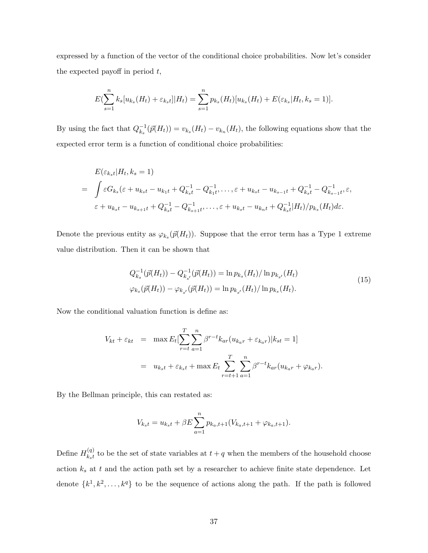expressed by a function of the vector of the conditional choice probabilities. Now let's consider the expected payoff in period  $t$ ,

$$
E(\sum_{s=1}^{n} k_s[u_{k_s}(H_t) + \varepsilon_{k_s t}][H_t) = \sum_{s=1}^{n} p_{k_s}(H_t)[u_{k_s}(H_t) + E(\varepsilon_{k_s}|H_t, k_s = 1)].
$$

By using the fact that  $Q_k^{-1}$  $\bar{v}_{k_s}^{-1}(\vec{p}(H_t)) = v_{k_s}(H_t) - v_{k_n}(H_t)$ , the following equations show that the expected error term is a function of conditional choice probabilities:

$$
E(\varepsilon_{k_{s}t}|H_{t},k_{s}=1)
$$
  
=  $\int \varepsilon G_{k_{s}}(\varepsilon + u_{k_{s}t} - u_{k_{1}t} + Q_{k_{s}t}^{-1} - Q_{k_{1}t}^{-1}, \dots, \varepsilon + u_{k_{s}t} - u_{k_{s-1}t} + Q_{k_{s}t}^{-1} - Q_{k_{s-1}t}^{-1}, \varepsilon,$   
 $\varepsilon + u_{k_{s}t} - u_{k_{s+1}t} + Q_{k_{s}t}^{-1} - Q_{k_{s+1}t}^{-1}, \dots, \varepsilon + u_{k_{s}t} - u_{k_{n}t} + Q_{k_{s}t}^{-1}|H_{t})/p_{k_{s}}(H_{t})d\varepsilon.$ 

Denote the previous entity as  $\varphi_{k_s}(\vec{p}(H_t))$ . Suppose that the error term has a Type 1 extreme value distribution. Then it can be shown that

$$
Q_{k_s}^{-1}(\vec{p}(H_t)) - Q_{k_{s'}}^{-1}(\vec{p}(H_t)) = \ln p_{k_s}(H_t) / \ln p_{k_{s'}}(H_t)
$$
  

$$
\varphi_{k_s}(\vec{p}(H_t)) - \varphi_{k_{s'}}(\vec{p}(H_t)) = \ln p_{k_{s'}}(H_t) / \ln p_{k_s}(H_t).
$$
 (15)

Now the conditional valuation function is define as:

$$
V_{kt} + \varepsilon_{kt} = \max E_t[\sum_{r=t}^{T} \sum_{a=1}^{n} \beta^{r-t} k_{ar}(u_{k_a r} + \varepsilon_{k_a r}) | k_{st} = 1]
$$
  
=  $u_{k_s t} + \varepsilon_{k_s t} + \max E_t \sum_{r=t+1}^{T} \sum_{a=1}^{n} \beta^{r-t} k_{ar}(u_{k_a r} + \varphi_{k_a r}).$ 

By the Bellman principle, this can restated as:

$$
V_{k_st} = u_{k_st} + \beta E \sum_{a=1}^{n} p_{k_a, t+1} (V_{k_a, t+1} + \varphi_{k_a, t+1}).
$$

Define  $H_{k,t}^{(q)}$  $\mathcal{L}_{kst}^{(q)}$  to be the set of state variables at  $t + q$  when the members of the household choose action  $k_s$  at  $t$  and the action path set by a researcher to achieve finite state dependence. Let denote  $\{k^1, k^2, \ldots, k^q\}$  to be the sequence of actions along the path. If the path is followed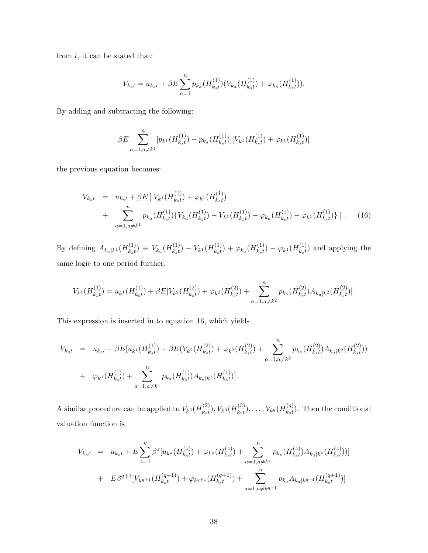from  $t$ , it can be stated that:

$$
V_{k_st} = u_{k_st} + \beta E \sum_{a=1}^{n} p_{k_a}(H_{k_st}^{(1)})(V_{k_a}(H_{k_st}^{(1)}) + \varphi_{k_a}(H_{k_st}^{(1)})).
$$

By adding and subtracting the following:

$$
\beta E \sum_{a=1, a \neq k^{1}}^{n} [p_{k^{1}}(H_{k_{s}t}^{(1)}) - p_{k_{a}}(H_{k_{s}t}^{(1)})][V_{k^{1}}(H_{k_{s}t}^{(1)}) + \varphi_{k^{1}}(H_{k_{s}t}^{(1)})]
$$

the previous equation becomes:

$$
V_{k_{s}t} = u_{k_{s}t} + \beta E \left[ V_{k_{s}t}(H_{k_{s}t}^{(1)}) + \varphi_{k_{s}t}(H_{k_{s}t}^{(1)}) \right] + \sum_{a=1, a \neq k_{s}t}^{n} p_{k_{a}}(H_{k_{s}t}^{(1)}) \left\{ V_{k_{a}}(H_{k_{s}t}^{(1)}) - V_{k_{s}t}(H_{k_{s}t}^{(1)}) + \varphi_{k_{a}}(H_{k_{s}t}^{(1)}) - \varphi_{k_{s}t}(H_{k_{s}t}^{(1)}) \right\} \right].
$$
 (16)

By defining  $A_{k_a|k^1}(H^{(1)}_{k_st})$  $\binom{(1)}{k_st} \equiv V_{k_a} (H^{(1)}_{k_st})$  $\binom{(1)}{k_st} - V_{k^1}(H^{(1)}_{k_st})$  $\varphi^{(1)}_{k_s t}) + \varphi_{k_a} (H^{(1)}_{k_s t})$  $\varphi^{(1)}_{k_s t}) - \varphi_{k^1}(H^{(1)}_{k_s t})$  $\binom{1}{k_s}$  and applying the same logic to one period further,

$$
V_{k}1(H_{k_{s}t}^{(1)}) = u_{k}1(H_{k_{s}t}^{(1)}) + \beta E[V_{k}1(H_{k_{s}t}^{(2)}) + \varphi_{k}1(H_{k_{s}t}^{(2)}) + \sum_{a=1, a \neq k^{2}}^{n} p_{k_{a}}(H_{k_{s}t}^{(2)}) A_{k_{a}|k}1(H_{k_{s}t}^{(2)})].
$$

This expression is inserted in to equation 16, which yields

$$
V_{k_{s}t} = u_{k_{s}t} + \beta E[u_{k}u(H_{k_{s}t}^{(1)}) + \beta E(V_{k}u(H_{k_{s}t}^{(2)}) + \varphi_{k}u(H_{k_{s}t}^{(2)}) + \sum_{a=1, a \neq k^{2}}^{n} p_{k_{a}}(H_{k_{s}t}^{(2)}) A_{k_{a}|k}u(H_{k_{s}t}^{(1)}) + \varphi_{k}u(H_{k_{s}t}^{(1)}) + \sum_{a=1, a \neq k^{2}}^{n} p_{k_{a}}(H_{k_{s}t}^{(1)}) A_{k_{a}|k}u(H_{k_{s}t}^{(1)})
$$

A similar procedure can be applied to  $V_{k^2}(H^{(2)}_{k,1})$  $V_{k_{s}t}^{(2)}$ ),  $V_{k^{3}}(H_{k_{s}t}^{(3)})$  $\binom{(3)}{k_s t}, \ldots, V_{k^q} (H_{k_s t}^{(q)})$  $\binom{q}{k_st}$ . Then the conditional valuation function is

$$
V_{k_{s}t} = u_{k_{s}t} + E \sum_{z=1}^{q} \beta^{z} [u_{k^{z}}(H_{k_{s}t}^{(z)}) + \varphi_{k^{z}}(H_{k_{s}t}^{(z)}) + \sum_{a=1, a \neq k^{z}}^{n} p_{k_{z}}(H_{k_{s}t}^{(z)}) A_{k_{a}|k^{z}}(H_{k_{s}t}^{(z)})]
$$
  
+ 
$$
E \beta^{q+1} [V_{k^{q+1}}(H_{k_{s}t}^{(q+1)}) + \varphi_{k^{q+1}}(H_{k_{s}t}^{(q+1)}) + \sum_{a=1, a \neq k^{q+1}}^{n} p_{k_{a}} A_{k_{a}|k^{q+1}}(H_{k_{s}t}^{(q+1)})]
$$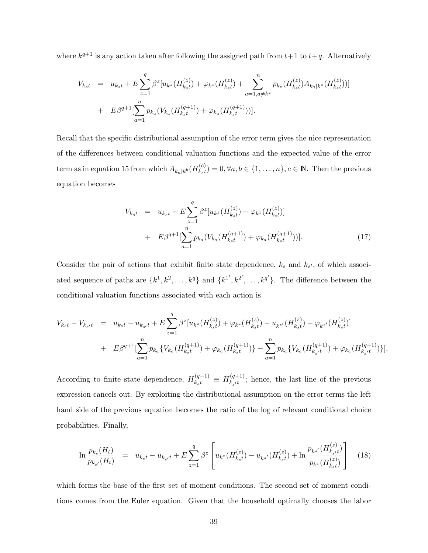where  $k^{q+1}$  is any action taken after following the assigned path from  $t+1$  to  $t+q$ . Alternatively

$$
V_{k_{s}t} = u_{k_{s}t} + E \sum_{z=1}^{q} \beta^{z} [u_{k^{z}}(H_{k_{s}t}^{(z)}) + \varphi_{k^{z}}(H_{k_{s}t}^{(z)}) + \sum_{a=1, a \neq k^{z}}^{n} p_{k_{z}}(H_{k_{s}t}^{(z)}) A_{k_{a}|k^{z}}(H_{k_{s}t}^{(z)})]
$$
  
+ 
$$
E \beta^{q+1} [\sum_{a=1}^{n} p_{k_{a}}(V_{k_{a}}(H_{k_{s}t}^{(q+1)}) + \varphi_{k_{a}}(H_{k_{s}t}^{(q+1)}))].
$$

Recall that the specific distributional assumption of the error term gives the nice representation of the differences between conditional valuation functions and the expected value of the error term as in equation 15 from which  $A_{k_a|k^b}(H_{k_st}^{(c)})$  $\mathcal{L}_{k_s}(c) = 0, \forall a, b \in \{1, \ldots, n\}, c \in \mathbb{N}$ . Then the previous equation becomes

$$
V_{k_{s}t} = u_{k_{s}t} + E \sum_{z=1}^{q} \beta^{z} [u_{k^{z}}(H_{k_{s}t}^{(z)}) + \varphi_{k^{z}}(H_{k_{s}t}^{(z)})]
$$
  
+ 
$$
E \beta^{q+1} [\sum_{a=1}^{n} p_{k_{a}}(V_{k_{a}}(H_{k_{s}t}^{(q+1)}) + \varphi_{k_{a}}(H_{k_{s}t}^{(q+1)}))].
$$
 (17)

Consider the pair of actions that exhibit finite state dependence,  $k_s$  and  $k_{s'}$ , of which associated sequence of paths are  $\{k^1, k^2, \ldots, k^q\}$  and  $\{k^{1'}, k^{2'}, \ldots, k^{q'}\}$ . The difference between the conditional valuation functions associated with each action is

$$
V_{k_{s}t} - V_{k_{s'}t} = u_{k_{s}t} - u_{k_{s'}t} + E \sum_{z=1}^{q} \beta^{z} [u_{k^{z}}(H_{k_{s}t}^{(z)}) + \varphi_{k^{z}}(H_{k_{s}t}^{(z)}) - u_{k^{z'}}(H_{k_{s}t}^{(z)}) - \varphi_{k^{z'}}(H_{k_{s}t}^{(z)})]
$$
  
+ 
$$
E \beta^{q+1} [\sum_{a=1}^{n} p_{k_{a}} \{V_{k_{a}}(H_{k_{s}t}^{(q+1)}) + \varphi_{k_{a}}(H_{k_{s}t}^{(q+1)})\} - \sum_{a=1}^{n} p_{k_{a}} \{V_{k_{a}}(H_{k_{s'}t}^{(q+1)}) + \varphi_{k_{a}}(H_{k_{s'}t}^{(q+1)})\}].
$$

According to finite state dependence,  $H_{k_{s}t}^{(q+1)} \equiv H_{k_{s}t}^{(q+1)}$  $\mathcal{L}_{k_{s}/t}^{(q+1)}$ ; hence, the last line of the previous expression cancels out. By exploiting the distributional assumption on the error terms the left hand side of the previous equation becomes the ratio of the log of relevant conditional choice probabilities. Finally,

$$
\ln \frac{p_{k_s}(H_t)}{p_{k_{s'}}(H_t)} = u_{k_s t} - u_{k_{s'} t} + E \sum_{z=1}^q \beta^z \left[ u_{k^z}(H_{k_s t}^{(z)}) - u_{k^{z'}}(H_{k_s t}^{(z)}) + \ln \frac{p_{k^{z'}}(H_{k_s t}^{(z)})}{p_{k^z}(H_{k_s t}^{(z)})} \right]
$$
(18)

which forms the base of the first set of moment conditions. The second set of moment conditions comes from the Euler equation. Given that the household optimally chooses the labor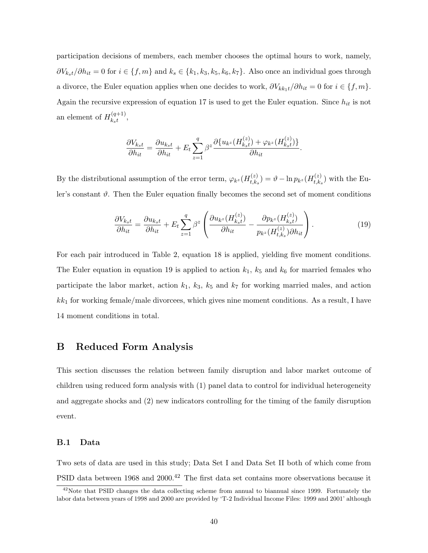participation decisions of members, each member chooses the optimal hours to work, namely,  $\partial V_{k_s t}/\partial h_{it} = 0$  for  $i \in \{f, m\}$  and  $k_s \in \{k_1, k_3, k_5, k_6, k_7\}$ . Also once an individual goes through a divorce, the Euler equation applies when one decides to work,  $\partial V_{kk_1} / \partial h_{it} = 0$  for  $i \in \{f, m\}$ . Again the recursive expression of equation 17 is used to get the Euler equation. Since  $h_{it}$  is not an element of  $H_{k,t}^{(q+1)}$  ${}_{kst}^{(q+1)},$ 

$$
\frac{\partial V_{k_st}}{\partial h_{it}} = \frac{\partial u_{k_st}}{\partial h_{it}} + E_t \sum_{z=1}^q \beta^z \frac{\partial \{u_{k^z}(H_{kst}^{(z)}) + \varphi_{k^z}(H_{kst}^{(z)})\}}{\partial h_{it}}.
$$

By the distributional assumption of the error term,  $\varphi_{k^z}(H_{t,k}^{(z)})$  $\hat{f}_{t,k_{s}}^{(z)} = \vartheta - \ln p_{k^{z}}(H_{t,k_{s}}^{(z)})$  $_{t,k_s}^{(z)}$ ) with the Euler's constant  $\vartheta$ . Then the Euler equation finally becomes the second set of moment conditions

$$
\frac{\partial V_{k_st}}{\partial h_{it}} = \frac{\partial u_{k_st}}{\partial h_{it}} + E_t \sum_{z=1}^q \beta^z \left( \frac{\partial u_{k^z} (H_{k_st}^{(z)})}{\partial h_{it}} - \frac{\partial p_{k^z} (H_{k_st}^{(z)})}{p_{k^z} (H_{t,k_s}^{(z)}) \partial h_{it}} \right). \tag{19}
$$

For each pair introduced in Table 2, equation 18 is applied, yielding five moment conditions. The Euler equation in equation 19 is applied to action  $k_1$ ,  $k_5$  and  $k_6$  for married females who participate the labor market, action  $k_1$ ,  $k_3$ ,  $k_5$  and  $k_7$  for working married males, and action  $kk_1$  for working female/male divorcees, which gives nine moment conditions. As a result, I have 14 moment conditions in total.

## B Reduced Form Analysis

This section discusses the relation between family disruption and labor market outcome of children using reduced form analysis with (1) panel data to control for individual heterogeneity and aggregate shocks and (2) new indicators controlling for the timing of the family disruption event.

#### B.1 Data

Two sets of data are used in this study; Data Set I and Data Set II both of which come from PSID data between 1968 and 2000.<sup>42</sup> The first data set contains more observations because it

 $^{42}$ Note that PSID changes the data collecting scheme from annual to biannual since 1999. Fortunately the labor data between years of 1998 and 2000 are provided by 'T-2 Individual Income Files: 1999 and 2001' although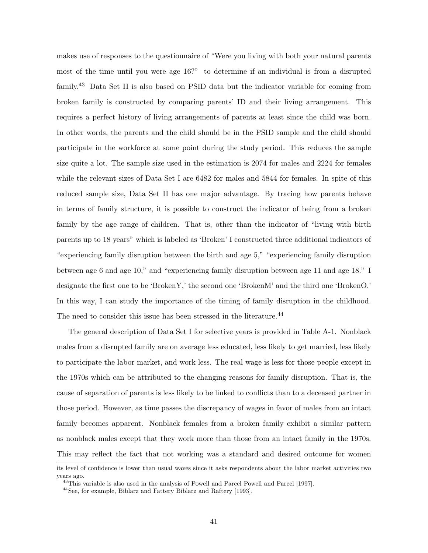makes use of responses to the questionnaire of "Were you living with both your natural parents most of the time until you were age 16?" to determine if an individual is from a disrupted family.<sup>43</sup> Data Set II is also based on PSID data but the indicator variable for coming from broken family is constructed by comparing parents' ID and their living arrangement. This requires a perfect history of living arrangements of parents at least since the child was born. In other words, the parents and the child should be in the PSID sample and the child should participate in the workforce at some point during the study period. This reduces the sample size quite a lot. The sample size used in the estimation is 2074 for males and 2224 for females while the relevant sizes of Data Set I are 6482 for males and 5844 for females. In spite of this reduced sample size, Data Set II has one major advantage. By tracing how parents behave in terms of family structure, it is possible to construct the indicator of being from a broken family by the age range of children. That is, other than the indicator of "living with birth parents up to 18 years" which is labeled as 'Broken' I constructed three additional indicators of "experiencing family disruption between the birth and age 5," "experiencing family disruption between age 6 and age 10," and "experiencing family disruption between age 11 and age 18." I designate the first one to be 'BrokenY,' the second one 'BrokenM' and the third one 'BrokenO.' In this way, I can study the importance of the timing of family disruption in the childhood. The need to consider this issue has been stressed in the literature.<sup>44</sup>

The general description of Data Set I for selective years is provided in Table A-1. Nonblack males from a disrupted family are on average less educated, less likely to get married, less likely to participate the labor market, and work less. The real wage is less for those people except in the 1970s which can be attributed to the changing reasons for family disruption. That is, the cause of separation of parents is less likely to be linked to conflicts than to a deceased partner in those period. However, as time passes the discrepancy of wages in favor of males from an intact family becomes apparent. Nonblack females from a broken family exhibit a similar pattern as nonblack males except that they work more than those from an intact family in the 1970s. This may reflect the fact that not working was a standard and desired outcome for women

its level of confidence is lower than usual waves since it asks respondents about the labor market activities two years ago.

 $^{43}$ This variable is also used in the analysis of Powell and Parcel Powell and Parcel [1997].

<sup>44</sup>See, for example, Biblarz and Fattery Biblarz and Raftery [1993].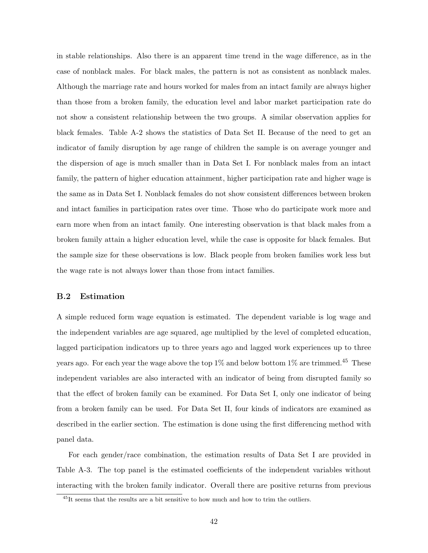in stable relationships. Also there is an apparent time trend in the wage difference, as in the case of nonblack males. For black males, the pattern is not as consistent as nonblack males. Although the marriage rate and hours worked for males from an intact family are always higher than those from a broken family, the education level and labor market participation rate do not show a consistent relationship between the two groups. A similar observation applies for black females. Table A-2 shows the statistics of Data Set II. Because of the need to get an indicator of family disruption by age range of children the sample is on average younger and the dispersion of age is much smaller than in Data Set I. For nonblack males from an intact family, the pattern of higher education attainment, higher participation rate and higher wage is the same as in Data Set I. Nonblack females do not show consistent differences between broken and intact families in participation rates over time. Those who do participate work more and earn more when from an intact family. One interesting observation is that black males from a broken family attain a higher education level, while the case is opposite for black females. But the sample size for these observations is low. Black people from broken families work less but the wage rate is not always lower than those from intact families.

#### B.2 Estimation

A simple reduced form wage equation is estimated. The dependent variable is log wage and the independent variables are age squared, age multiplied by the level of completed education, lagged participation indicators up to three years ago and lagged work experiences up to three years ago. For each year the wage above the top  $1\%$  and below bottom  $1\%$  are trimmed.<sup>45</sup> These independent variables are also interacted with an indicator of being from disrupted family so that the effect of broken family can be examined. For Data Set I, only one indicator of being from a broken family can be used. For Data Set II, four kinds of indicators are examined as described in the earlier section. The estimation is done using the first differencing method with panel data.

For each gender/race combination, the estimation results of Data Set I are provided in Table A-3. The top panel is the estimated coefficients of the independent variables without interacting with the broken family indicator. Overall there are positive returns from previous

<sup>&</sup>lt;sup>45</sup>It seems that the results are a bit sensitive to how much and how to trim the outliers.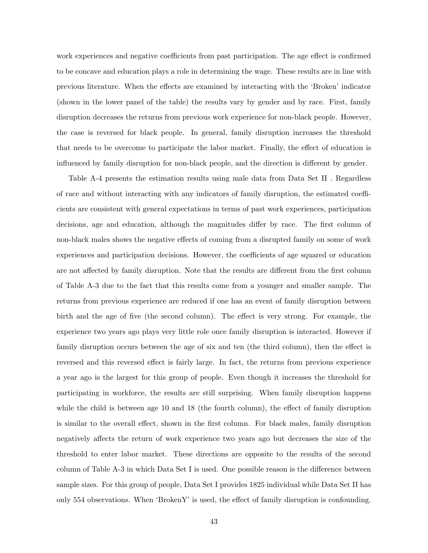work experiences and negative coefficients from past participation. The age effect is confirmed to be concave and education plays a role in determining the wage. These results are in line with previous literature. When the effects are examined by interacting with the 'Broken' indicator (shown in the lower panel of the table) the results vary by gender and by race. First, family disruption decreases the returns from previous work experience for non-black people. However, the case is reversed for black people. In general, family disruption increases the threshold that needs to be overcome to participate the labor market. Finally, the effect of education is influenced by family disruption for non-black people, and the direction is different by gender.

Table A-4 presents the estimation results using male data from Data Set II . Regardless of race and without interacting with any indicators of family disruption, the estimated coefficients are consistent with general expectations in terms of past work experiences, participation decisions, age and education, although the magnitudes differ by race. The first column of non-black males shows the negative effects of coming from a disrupted family on some of work experiences and participation decisions. However, the coefficients of age squared or education are not affected by family disruption. Note that the results are different from the first column of Table A-3 due to the fact that this results come from a younger and smaller sample. The returns from previous experience are reduced if one has an event of family disruption between birth and the age of five (the second column). The effect is very strong. For example, the experience two years ago plays very little role once family disruption is interacted. However if family disruption occurs between the age of six and ten (the third column), then the effect is reversed and this reversed effect is fairly large. In fact, the returns from previous experience a year ago is the largest for this group of people. Even though it increases the threshold for participating in workforce, the results are still surprising. When family disruption happens while the child is between age 10 and 18 (the fourth column), the effect of family disruption is similar to the overall effect, shown in the first column. For black males, family disruption negatively affects the return of work experience two years ago but decreases the size of the threshold to enter labor market. These directions are opposite to the results of the second column of Table A-3 in which Data Set I is used. One possible reason is the difference between sample sizes. For this group of people, Data Set I provides 1825 individual while Data Set II has only 554 observations. When 'BrokenY' is used, the effect of family disruption is confounding.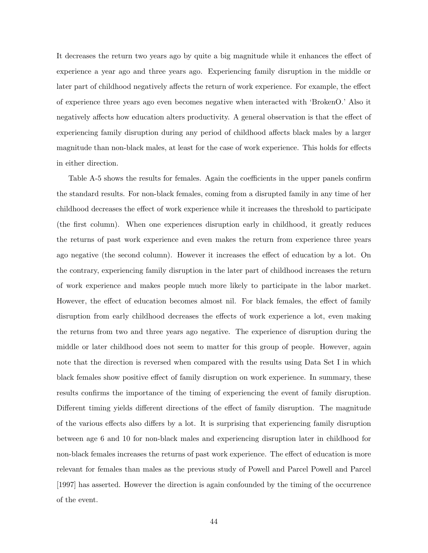It decreases the return two years ago by quite a big magnitude while it enhances the effect of experience a year ago and three years ago. Experiencing family disruption in the middle or later part of childhood negatively affects the return of work experience. For example, the effect of experience three years ago even becomes negative when interacted with 'BrokenO.' Also it negatively affects how education alters productivity. A general observation is that the effect of experiencing family disruption during any period of childhood affects black males by a larger magnitude than non-black males, at least for the case of work experience. This holds for effects in either direction.

Table A-5 shows the results for females. Again the coefficients in the upper panels confirm the standard results. For non-black females, coming from a disrupted family in any time of her childhood decreases the effect of work experience while it increases the threshold to participate (the first column). When one experiences disruption early in childhood, it greatly reduces the returns of past work experience and even makes the return from experience three years ago negative (the second column). However it increases the effect of education by a lot. On the contrary, experiencing family disruption in the later part of childhood increases the return of work experience and makes people much more likely to participate in the labor market. However, the effect of education becomes almost nil. For black females, the effect of family disruption from early childhood decreases the effects of work experience a lot, even making the returns from two and three years ago negative. The experience of disruption during the middle or later childhood does not seem to matter for this group of people. However, again note that the direction is reversed when compared with the results using Data Set I in which black females show positive effect of family disruption on work experience. In summary, these results confirms the importance of the timing of experiencing the event of family disruption. Different timing yields different directions of the effect of family disruption. The magnitude of the various effects also differs by a lot. It is surprising that experiencing family disruption between age 6 and 10 for non-black males and experiencing disruption later in childhood for non-black females increases the returns of past work experience. The effect of education is more relevant for females than males as the previous study of Powell and Parcel Powell and Parcel [1997] has asserted. However the direction is again confounded by the timing of the occurrence of the event.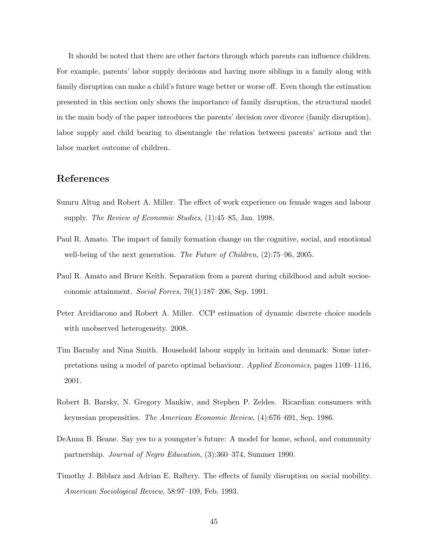It should be noted that there are other factors through which parents can influence children. For example, parents' labor supply decisions and having more siblings in a family along with family disruption can make a child's future wage better or worse off. Even though the estimation presented in this section only shows the importance of family disruption, the structural model in the main body of the paper introduces the parents' decision over divorce (family disruption), labor supply and child bearing to disentangle the relation between parents' actions and the labor market outcome of children.

## References

- Sumru Altug and Robert A. Miller. The effect of work experience on female wages and labour supply. The Review of Economic Studies,  $(1)$ :45–85, Jan. 1998.
- Paul R. Amato. The impact of family formation change on the cognitive, social, and emotional well-being of the next generation. The Future of Children,  $(2)$ :75–96, 2005.
- Paul R. Amato and Bruce Keith. Separation from a parent during childhood and adult socioeconomic attainment. Social Forces, 70(1):187–206, Sep. 1991.
- Peter Arcidiacono and Robert A. Miller. CCP estimation of dynamic discrete choice models with unobserved heterogeneity. 2008.
- Tim Barmby and Nina Smith. Household labour supply in britain and denmark: Some interpretations using a model of pareto optimal behaviour. Applied Economics, pages 1109–1116, 2001.
- Robert B. Barsky, N. Gregory Mankiw, and Stephen P. Zeldes. Ricardian consumers with keynesian propensities. The American Economic Review, (4):676–691, Sep. 1986.
- DeAnna B. Beane. Say yes to a youngster's future: A model for home, school, and community partnership. Journal of Negro Education, (3):360–374, Summer 1990.
- Timothy J. Biblarz and Adrian E. Raftery. The effects of family disruption on social mobility. American Sociological Review, 58:97–109, Feb. 1993.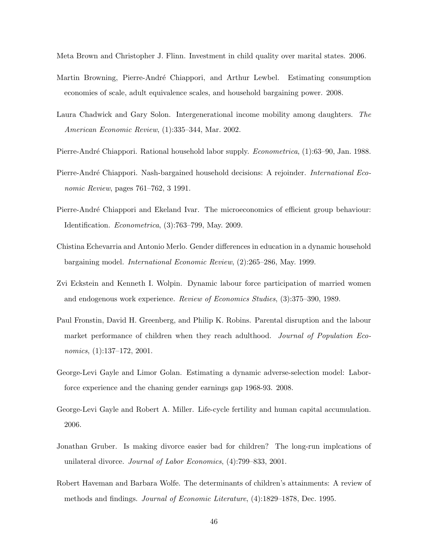Meta Brown and Christopher J. Flinn. Investment in child quality over marital states. 2006.

- Martin Browning, Pierre-André Chiappori, and Arthur Lewbel. Estimating consumption economies of scale, adult equivalence scales, and household bargaining power. 2008.
- Laura Chadwick and Gary Solon. Intergenerational income mobility among daughters. The American Economic Review, (1):335–344, Mar. 2002.
- Pierre-André Chiappori. Rational household labor supply. *Econometrica*, (1):63–90, Jan. 1988.
- Pierre-André Chiappori. Nash-bargained household decisions: A rejoinder. *International Eco*nomic Review, pages 761–762, 3 1991.
- Pierre-André Chiappori and Ekeland Ivar. The microeconomics of efficient group behaviour: Identification. Econometrica, (3):763–799, May. 2009.
- Chistina Echevarria and Antonio Merlo. Gender differences in education in a dynamic household bargaining model. International Economic Review, (2):265–286, May. 1999.
- Zvi Eckstein and Kenneth I. Wolpin. Dynamic labour force participation of married women and endogenous work experience. Review of Economics Studies, (3):375–390, 1989.
- Paul Fronstin, David H. Greenberg, and Philip K. Robins. Parental disruption and the labour market performance of children when they reach adulthood. Journal of Population Economics, (1):137–172, 2001.
- George-Levi Gayle and Limor Golan. Estimating a dynamic adverse-selection model: Laborforce experience and the chaning gender earnings gap 1968-93. 2008.
- George-Levi Gayle and Robert A. Miller. Life-cycle fertility and human capital accumulation. 2006.
- Jonathan Gruber. Is making divorce easier bad for children? The long-run implcations of unilateral divorce. Journal of Labor Economics, (4):799–833, 2001.
- Robert Haveman and Barbara Wolfe. The determinants of children's attainments: A review of methods and findings. Journal of Economic Literature, (4):1829–1878, Dec. 1995.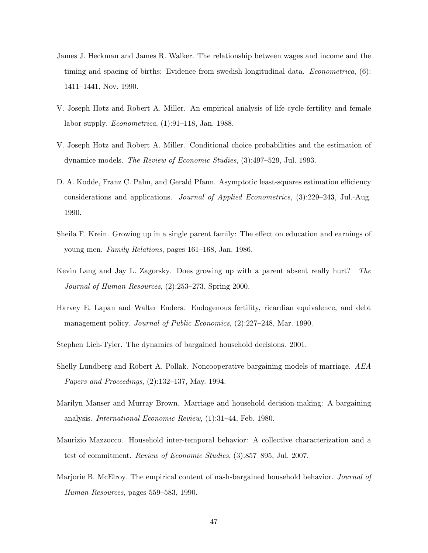- James J. Heckman and James R. Walker. The relationship between wages and income and the timing and spacing of births: Evidence from swedish longitudinal data. *Econometrica*, (6): 1411–1441, Nov. 1990.
- V. Joseph Hotz and Robert A. Miller. An empirical analysis of life cycle fertility and female labor supply. *Econometrica*,  $(1):91-118$ , Jan. 1988.
- V. Joseph Hotz and Robert A. Miller. Conditional choice probabilities and the estimation of dynamice models. The Review of Economic Studies, (3):497–529, Jul. 1993.
- D. A. Kodde, Franz C. Palm, and Gerald Pfann. Asymptotic least-squares estimation efficiency considerations and applications. Journal of Applied Econometrics, (3):229–243, Jul.-Aug. 1990.
- Sheila F. Krein. Growing up in a single parent family: The effect on education and earnings of young men. Family Relations, pages 161–168, Jan. 1986.
- Kevin Lang and Jay L. Zagorsky. Does growing up with a parent absent really hurt? The Journal of Human Resources, (2):253–273, Spring 2000.
- Harvey E. Lapan and Walter Enders. Endogenous fertility, ricardian equivalence, and debt management policy. Journal of Public Economics, (2):227–248, Mar. 1990.

Stephen Lich-Tyler. The dynamics of bargained household decisions. 2001.

- Shelly Lundberg and Robert A. Pollak. Noncooperative bargaining models of marriage. AEA Papers and Proceedings, (2):132–137, May. 1994.
- Marilyn Manser and Murray Brown. Marriage and household decision-making: A bargaining analysis. International Economic Review, (1):31–44, Feb. 1980.
- Maurizio Mazzocco. Household inter-temporal behavior: A collective characterization and a test of commitment. Review of Economic Studies, (3):857–895, Jul. 2007.
- Marjorie B. McElroy. The empirical content of nash-bargained household behavior. *Journal of* Human Resources, pages 559–583, 1990.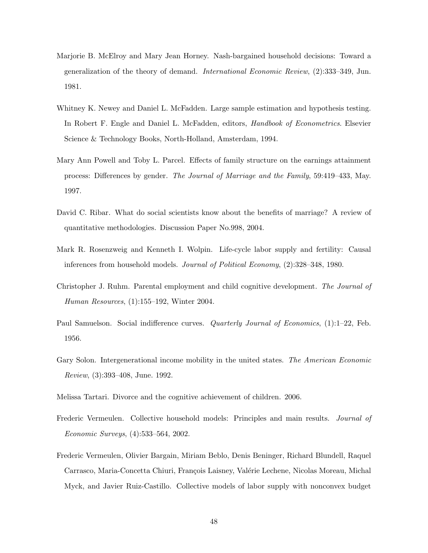- Marjorie B. McElroy and Mary Jean Horney. Nash-bargained household decisions: Toward a generalization of the theory of demand. International Economic Review, (2):333–349, Jun. 1981.
- Whitney K. Newey and Daniel L. McFadden. Large sample estimation and hypothesis testing. In Robert F. Engle and Daniel L. McFadden, editors, *Handbook of Econometrics*. Elsevier Science & Technology Books, North-Holland, Amsterdam, 1994.
- Mary Ann Powell and Toby L. Parcel. Effects of family structure on the earnings attainment process: Differences by gender. The Journal of Marriage and the Family, 59:419–433, May. 1997.
- David C. Ribar. What do social scientists know about the benefits of marriage? A review of quantitative methodologies. Discussion Paper No.998, 2004.
- Mark R. Rosenzweig and Kenneth I. Wolpin. Life-cycle labor supply and fertility: Causal inferences from household models. Journal of Political Economy, (2):328–348, 1980.
- Christopher J. Ruhm. Parental employment and child cognitive development. The Journal of Human Resources, (1):155–192, Winter 2004.
- Paul Samuelson. Social indifference curves. *Quarterly Journal of Economics*, (1):1–22, Feb. 1956.
- Gary Solon. Intergenerational income mobility in the united states. The American Economic Review, (3):393–408, June. 1992.
- Melissa Tartari. Divorce and the cognitive achievement of children. 2006.
- Frederic Vermeulen. Collective household models: Principles and main results. Journal of Economic Surveys, (4):533–564, 2002.
- Frederic Vermeulen, Olivier Bargain, Miriam Beblo, Denis Beninger, Richard Blundell, Raquel Carrasco, Maria-Concetta Chiuri, François Laisney, Valérie Lechene, Nicolas Moreau, Michal Myck, and Javier Ruiz-Castillo. Collective models of labor supply with nonconvex budget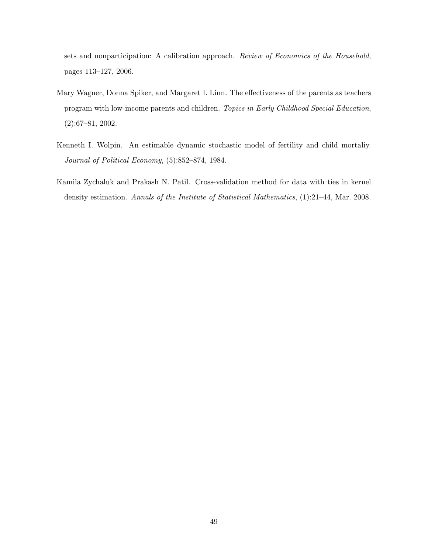sets and nonparticipation: A calibration approach. Review of Economics of the Household, pages 113–127, 2006.

- Mary Wagner, Donna Spiker, and Margaret I. Linn. The effectiveness of the parents as teachers program with low-income parents and children. Topics in Early Childhood Special Education, (2):67–81, 2002.
- Kenneth I. Wolpin. An estimable dynamic stochastic model of fertility and child mortaliy. Journal of Political Economy, (5):852–874, 1984.
- Kamila Zychaluk and Prakash N. Patil. Cross-validation method for data with ties in kernel density estimation. Annals of the Institute of Statistical Mathematics, (1):21–44, Mar. 2008.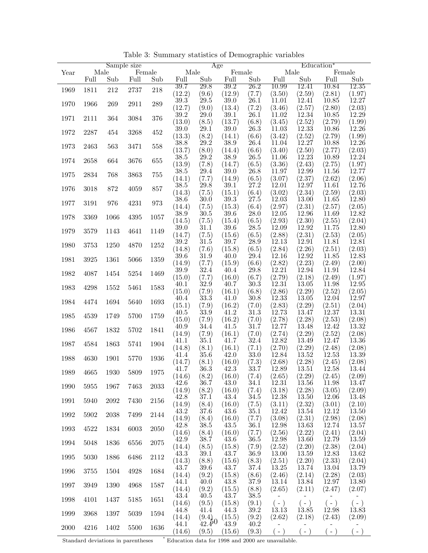|      |          |          | Sample size |          |                | Age               |                     |               |                 |                 | Education <sup>*</sup> |                 |
|------|----------|----------|-------------|----------|----------------|-------------------|---------------------|---------------|-----------------|-----------------|------------------------|-----------------|
| Year |          | Male     |             | Female   | Male           |                   | Female              |               | Male            |                 |                        | Female          |
|      | Full     | Sub      | Full        | Sub      | Full           | Sub               | Full                | Sub           | Full            | Sub             | Full                   | Sub             |
| 1969 | 1811     | 212      | 2737        | 218      | 39.7           | $\overline{29.8}$ | 39.2                | 26.2          | 10.99           | 12.41           | 10.84                  | 12.35           |
|      |          |          |             |          | (12.2)         | (9.6)             | (12.9)              | (7.7)         | (3.50)          | (2.59)          | (2.81)                 | (1.97)          |
| 1970 | 1966     | 269      | 2911        | 289      | 39.3           | 29.5              | 39.0                | 26.1          | 11.01           | 12.41           | 10.85                  | 12.27           |
|      |          |          |             |          | (12.7)         | (9.0)             | (13.4)              | (7.2)         | (3.46)          | (2.57)          | (2.80)                 | (2.03)          |
| 1971 | 2111     | 364      | 3084        | 376      | 39.2<br>(13.0) | 29.0              | 39.1<br>(13.7)      | 26.1          | 11.02           | 12.34           | 10.85                  | 12.29           |
|      |          |          |             |          | 39.0           | (8.5)<br>29.1     | 39.0                | (6.8)<br>26.3 | (3.45)<br>11.03 | (2.52)<br>12.33 | (2.79)<br>10.86        | (1.99)<br>12.26 |
| 1972 | 2287     | 454      | 3268        | 452      | (13.3)         | (8.2)             | (14.1)              | (6.6)         | (3.42)          | (2.52)          | (2.79)                 | (1.99)          |
|      |          |          |             |          | 38.8           | 29.2              | 38.9                | 26.4          | 11.04           | 12.27           | 10.88                  | 12.26           |
| 1973 | 2463     | 563      | 3471        | 558      | (13.7)         | (8.0)             | (14.4)              | (6.6)         | (3.40)          | (2.50)          | (2.77)                 | (2.03)          |
|      |          |          |             |          | 38.5           | 29.2              | 38.9                | 26.5          | 11.06           | 12.23           | 10.89                  | 12.24           |
| 1974 | 2658     | 664      | 3676        | 655      | (13.9)         | (7.8)             | (14.7)              | (6.5)         | (3.36)          | (2.43)          | (2.75)                 | (1.97)          |
| 1975 | 2834     | 768      | 3863        | $755\,$  | 38.5           | 29.4              | $39.0\,$            | 26.8          | 11.97           | 12.99           | 11.56                  | 12.77           |
|      |          |          |             |          | (14.1)         | (7.7)             | (14.9)              | (6.5)         | (3.07)          | (2.37)          | (2.62)                 | (2.06)          |
| 1976 | 3018     | 872      | 4059        | 857      | 38.5           | 29.8              | 39.1                | 27.2          | 12.01           | 12.97           | 11.61                  | 12.76           |
|      |          |          |             |          | (14.3)         | (7.5)             | (15.1)              | (6.4)         | (3.02)          | (2.34)          | (2.59)                 | (2.03)          |
| 1977 | 3191     | 976      | 4231        | 973      | 38.6           | 30.0              | 39.3                | 27.5          | 12.03           | 13.00           | 11.65                  | 12.80           |
|      |          |          |             |          | (14.4)         | (7.5)             | (15.3)              | (6.4)         | (2.97)<br>12.05 | (2.31)<br>12.96 | (2.57)                 | (2.05)<br>12.82 |
| 1978 | 3369     | 1066     | 4395        | 1057     | 38.9<br>(14.5) | 30.5              | 39.6<br>(15.4)      | 28.0<br>(6.5) | (2.93)          | (2.30)          | 11.69<br>(2.55)        |                 |
|      |          |          |             |          | 39.0           | (7.5)<br>31.1     | 39.6                | 28.5          | 12.09           | 12.92           | 11.75                  | (2.04)<br>12.80 |
| 1979 | $3579\,$ | 1143     | 4641        | 1149     | (14.7)         | (7.5)             | (15.6)              | (6.5)         | (2.88)          | (2.31)          | (2.53)                 | (2.05)          |
|      |          |          |             |          | 39.2           | 31.5              | 39.7                | 28.9          | 12.13           | 12.91           | 11.81                  | 12.81           |
| 1980 | 3753     | 1250     | 4870        | $1252\,$ | (14.8)         | (7.6)             | (15.8)              | (6.5)         | (2.84)          | (2.26)          | (2.51)                 | (2.03)          |
|      |          |          |             |          | 39.6           | 31.9              | 40.0                | 29.4          | 12.16           | 12.92           | 11.85                  | 12.83           |
| 1981 | 3925     | 1361     | 5066        | 1359     | (14.9)         | (7.7)             | (15.9)              | (6.6)         | (2.82)          | (2.23)          | (2.49)                 | (2.00)          |
| 1982 | 4087     | $1454\,$ | 5254        | 1469     | 39.9           | 32.4              | 40.4                | 29.8          | 12.21           | 12.94           | 11.91                  | 12.84           |
|      |          |          |             |          | (15.0)         | (7.7)             | (16.0)              | (6.7)         | (2.79)          | (2.18)          | (2.49)                 | (1.97)          |
| 1983 | 4298     | 1552     | 5461        | 1583     | 40.1           | 32.9              | 40.7                | 30.3          | 12.31           | 13.05           | 11.98                  | 12.95           |
|      |          |          |             |          | (15.0)         | (7.9)             | (16.1)              | (6.8)         | (2.86)          | (2.29)          | (2.52)                 | (2.05)          |
| 1984 | 4474     | 1694     | 5640        | 1693     | 40.4           | $33.3\,$          | 41.0                | 30.8          | 12.33           | 13.05           | 12.04                  | 12.97           |
|      |          |          |             |          | (15.1)<br>40.5 | (7.9)<br>33.9     | (16.2)<br>41.2      | (7.0)<br>31.3 | (2.83)<br>12.73 | (2.29)<br>13.47 | (2.51)<br>12.37        | (2.04)<br>13.31 |
| 1985 | 4539     | 1749     | 5700        | 1759     | (15.0)         | (7.9)             | (16.2)              | (7.0)         | (2.78)          | (2.28)          | (2.53)                 | (2.08)          |
|      |          |          |             |          | 40.9           | 34.4              | 41.5                | 31.7          | 12.77           | 13.48           | 12.42                  | 13.32           |
| 1986 | 4567     | 1832     | 5702        | 1841     | (14.9)         | (7.9)             | (16.1)              | (7.0)         | (2.74)          | (2.29)          | (2.52)                 | (2.08)          |
|      |          |          |             |          | 41.1           | 35.1              | 41.7                | 32.4          | 12.82           | 13.49           | 12.47                  | 13.36           |
| 1987 | 4584     | 1863     | 5741        | 1904     | (14.8)         | (8.1)             | (16.1)              | (7.1)         | (2.70)          | (2.29)          | (2.48)                 | (2.08)          |
| 1988 | 4630     | 1901     | 5770        | 1936     | 41.4           | 35.6              | $\left(42.0\right)$ | 33.0          | 12.84           | 13.52           | 12.53                  | 13.39           |
|      |          |          |             |          | (14.7)         | (8.1)             | (16.0)              | (7.3)         | (2.68)          | (2.28)          | (2.45)                 | (2.08)          |
| 1989 | 4665     | 1930     | 5809        | 1975     | 41.7           | 36.3              | 42.3                | 33.7          | 12.89           | 13.51           | 12.58                  | 13.44           |
|      |          |          |             |          | (14.6)         | (8.2)             | (16.0)              | (7.4)         | (2.65)          | (2.29)          | (2.45)                 | (2.09)          |
| 1990 | 5955     | 1967     | 7463        | 2033     | 42.6           | 36.7              | 43.0                | 34.1          | 12.31           | 13.56           | 11.98                  | 13.47           |
|      |          |          |             |          | (14.9)         | (8.2)             | (16.0)              | (7.4)         | (3.18)          | (2.28)          | (3.05)                 | (2.09)          |
| 1991 | 5940     | 2092     | 7430        | 2156     | 42.8           | 37.1              | 43.4<br>(16.0)      | 34.5          | 12.38<br>(3.11) | 13.50           | 12.06                  | 13.48           |
|      |          |          |             |          | (14.9)<br>43.2 | (8.4)<br>37.6     | 43.6                | (7.5)<br>35.1 | 12.42           | (2.32)<br>13.54 | (3.01)<br>12.12        | (2.10)<br>13.50 |
| 1992 | 5902     | 2038     | 7499        | 2144     | (14.9)         | (8.4)             | (16.0)              | (7.7)         | (3.08)          | (2.31)          | (2.98)                 | (2.08)          |
|      |          |          |             |          | 42.8           | 38.5              | 43.5                | 36.1          | 12.98           | 13.63           | 12.74                  | 13.57           |
| 1993 | 4522     | 1834     | 6003        | 2050     | (14.6)         | (8.4)             | (16.0)              | (7.7)         | (2.56)          | (2.22)          | (2.41)                 | (2.04)          |
|      |          |          |             |          | 42.9           | 38.7              | 43.6                | 36.5          | 12.98           | 13.60           | 12.79                  | 13.59           |
| 1994 | 5048     | 1836     | 6556        | 2075     | (14.4)         | (8.5)             | (15.8)              | (7.9)         | (2.52)          | (2.20)          | (2.38)                 | (2.04)          |
| 1995 | 5030     | 1886     | 6486        | 2112     | 43.3           | 39.1              | 43.7                | 36.9          | 13.00           | 13.59           | 12.83                  | 13.62           |
|      |          |          |             |          | (14.3)         | (8.8)             | (15.6)              | (8.3)         | (2.51)          | (2.20)          | (2.33)                 | (2.04)          |
| 1996 | 3755     | 1504     | 4928        | 1684     | 43.7           | 39.6              | 43.7                | 37.4          | 13.25           | 13.74           | 13.04                  | 13.79           |
|      |          |          |             |          | (14.4)         | (9.2)             | (15.8)              | (8.6)         | (2.46)          | (2.14)          | (2.28)                 | (2.03)          |
| 1997 | 3949     | 1390     | 4968        | 1587     | 44.1           | 40.0              | 43.8                | 37.9          | 13.14           | 13.84           | 12.97                  | 13.80           |
|      |          |          |             |          | (14.4)<br>43.4 | (9.2)<br>40.5     | (15.5)<br>43.7      | (8.8)<br>38.5 | (2.65)          | (2.11)          | (2.47)                 | (2.07)          |
| 1998 | 4101     | 1437     | 5185        | 1651     | (14.6)         | (9.5)             | (15.8)              | (9.1)         | $(-)$           | $(-)$           | $(-)$                  | $(-)$           |
|      |          |          |             |          | 44.8           | 41.4              | 44.3                | 39.2          | 13.13           | 13.85           | 12.98                  | 13.83           |
| 1999 | 3968     | 1397     | 5039        | 1594     | (14.4)         | (9.4)             | (15.5)              | (9.2)         | (2.62)          | (2.18)          | (2.43)                 | (2.09)          |
|      |          |          |             |          | 44.1           | $42.4^{0}$        | 43.9                | 40.2          |                 |                 |                        |                 |
| 2000 | 4216     | 1402     | 5500        | 1636     | (14.6)         | (9.5)             | (15.6)              | (9.3)         | $(-)$           | $(-)$           | $(-)$                  | $(-)$           |

Table 3: Summary statistics of Demographic variables

 $\operatorname{Standard}$  deviations in parentheses  $\operatorname{\sf I}$ 

 $^\ast$  Education data for 1998 and 2000 are unavailable.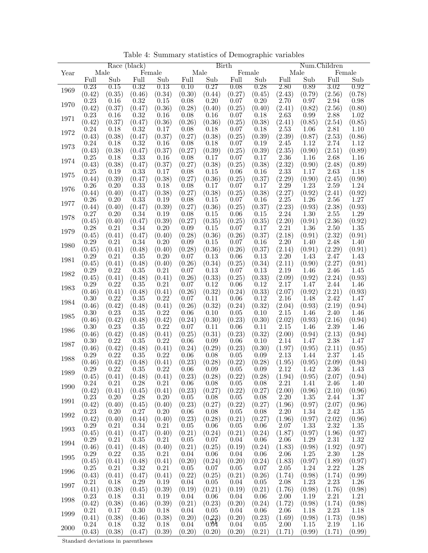|      |        | Race (black) |        |        |        | <b>Birth</b> |        |                |                   |        | Num.Children       |                |
|------|--------|--------------|--------|--------|--------|--------------|--------|----------------|-------------------|--------|--------------------|----------------|
| Year | Male   |              |        | Female |        | Male         |        | Female         |                   | Male   |                    | Female         |
|      | Full   | Sub          | Full   | Sub    | Full   | Sub          | Full   | Sub            | Full              | Sub    | Full               | Sub            |
|      | 0.23   | 0.15         | 0.32   | 0.13   | 0.10   | 0.27         | 0.08   | 0.28           | 2.80              | 0.89   | 3.02               | 0.92           |
| 1969 | (0.42) | (0.35)       | (0.46) | (0.34) | (0.30) | (0.44)       | (0.27) | (0.45)         | (2.43)            | (0.79) | (2.56)             | (0.78)         |
|      | 0.23   | 0.16         | 0.32   | 0.15   | 0.08   | 0.20         | 0.07   | 0.20           | 2.70              | 0.97   | 2.94               | 0.98           |
| 1970 | (0.42) | (0.37)       | (0.47) | (0.36) | (0.28) | (0.40)       | (0.25) | (0.40)         | (2.41)            | (0.82) | (2.56)             | (0.80)         |
|      | 0.23   | 0.16         | 0.32   | 0.16   | 0.08   | 0.16         | 0.07   | 0.18           | 2.63              | 0.99   | 2.88               | 1.02           |
| 1971 | (0.42) | (0.37)       | (0.47) | (0.36) | (0.26) | (0.36)       | (0.25) | (0.38)         | (2.41)            | (0.85) | (2.54)             | (0.85)         |
|      | 0.24   | 0.18         | 0.32   | 0.17   | 0.08   | 0.18         | 0.07   | 0.18           | 2.53              | 1.06   | 2.81               | 1.10           |
| 1972 |        |              |        |        |        |              |        |                |                   |        |                    |                |
|      | (0.43) | (0.38)       | (0.47) | (0.37) | (0.27) | (0.38)       | (0.25) | (0.39)<br>0.19 | (2.39)<br>2.45    | (0.87) | (2.53)<br>2.74     | (0.86)<br>1.12 |
| 1973 | 0.24   | 0.18         | 0.32   | 0.16   | 0.08   | 0.18         | 0.07   |                |                   | 1.12   |                    |                |
|      | (0.43) | (0.38)       | (0.47) | (0.37) | (0.27) | (0.39)       | (0.25) | (0.39)         | (2.35)            | (0.90) | (2.51)             | (0.89)         |
| 1974 | 0.25   | 0.18         | 0.33   | 0.16   | 0.08   | 0.17         | 0.07   | 0.17           | 2.36              | 1.16   | 2.68               | 1.16           |
|      | (0.43) | (0.38)       | (0.47) | (0.37) | (0.27) | (0.38)       | (0.25) | (0.38)         | (2.32)            | (0.90) | (2.48)             | (0.89)         |
| 1975 | 0.25   | 0.19         | 0.33   | 0.17   | 0.08   | 0.15         | 0.06   | 0.16           | 2.33              | 1.17   | $2.63^{\degree}$   | 1.18           |
|      | (0.44) | (0.39)       | (0.47) | (0.38) | (0.27) | (0.36)       | (0.25) | (0.37)         | (2.29)            | (0.90) | (2.45)             | (0.90)         |
| 1976 | 0.26   | 0.20         | 0.33   | 0.18   | 0.08   | 0.17         | 0.07   | 0.17           | 2.29              | 1.23   | 2.59               | 1.24           |
|      | (0.44) | (0.40)       | (0.47) | (0.38) | (0.27) | (0.38)       | (0.25) | (0.38)         | (2.27)            | (0.92) | (2.41)             | (0.92)         |
| 1977 | 0.26   | 0.20         | 0.33   | 0.19   | 0.08   | 0.15         | 0.07   | 0.16           | 2.25              | 1.26   | 2.56               | 1.27           |
|      | (0.44) | (0.40)       | (0.47) | (0.39) | (0.27) | (0.36)       | (0.25) | (0.37)         | (2.23)            | (0.93) | (2.38)             | (0.93)         |
| 1978 | 0.27   | 0.20         | 0.34   | 0.19   | 0.08   | 0.15         | 0.06   | 0.15           | 2.24              | 1.30   | 2.55               | 1.29           |
|      | (0.45) | (0.40)       | (0.47) | (0.39) | (0.27) | (0.35)       | (0.25) | (0.35)         | (2.20)            | (0.91) | (2.36)             | (0.92)         |
| 1979 | 0.28   | 0.21         | 0.34   | 0.20   | 0.09   | 0.15         | 0.07   | 0.17           | 2.21              | 1.36   | 2.50               | 1.35           |
|      | (0.45) | (0.41)       | (0.47) | (0.40) | (0.28) | (0.36)       | (0.26) | (0.37)         | (2.18)            | (0.91) | (2.32)             | (0.91)         |
| 1980 | 0.29   | 0.21         | 0.34   | 0.20   | 0.09   | 0.15         | 0.07   | 0.16           | $2.20^{^{\circ}}$ | 1.40   | 2.48               | 1.40           |
|      | (0.45) | (0.41)       | (0.48) | (0.40) | (0.28) | (0.36)       | (0.26) | (0.37)         | (2.14)            | (0.91) | (2.29)             | (0.91)         |
| 1981 | 0.29   | 0.21         | 0.35   | 0.20   | 0.07   | 0.13         | 0.06   | 0.13           | $2.20^{^{\circ}}$ | 1.43   | 2.47               | 1.43           |
|      | (0.45) | (0.41)       | (0.48) | (0.40) | (0.26) | (0.34)       | (0.25) | (0.34)         | (2.11)            | (0.90) | (2.27)             | (0.91)         |
| 1982 | 0.29   | 0.22         | 0.35   | 0.21   | 0.07   | 0.13         | 0.07   | 0.13           | 2.19              | 1.46   | $2.46^{^{\circ}}$  | 1.45           |
|      | (0.45) | (0.41)       | (0.48) | (0.41) | (0.26) | (0.33)       | (0.25) | (0.33)         | (2.09)            | (0.92) | (2.24)             | (0.93)         |
| 1983 | 0.29   | 0.22         | 0.35   | 0.21   | 0.07   | 0.12         | 0.06   | 0.12           | 2.17              | 1.47   | 2.44               | 1.46           |
|      | (0.46) | (0.41)       | (0.48) | (0.41) | (0.26) | (0.32)       | (0.24) | (0.33)         | (2.07)            | (0.92) | (2.21)             | (0.93)         |
| 1984 | 0.30   | 0.22         | 0.35   | 0.22   | 0.07   | 0.11         | 0.06   | 0.12           | 2.16              | 1.48   | $2.42^{^{\prime}}$ | 1.47           |
|      | (0.46) | (0.42)       | (0.48) | (0.41) | (0.26) | (0.32)       | (0.24) | (0.32)         | (2.04)            | (0.93) | (2.19)             | (0.94)         |
| 1985 | 0.30   | 0.23         | 0.35   | 0.22   | 0.06   | 0.10         | 0.05   | 0.10           | 2.15              | 1.46   | 2.40               | 1.46           |
|      | (0.46) | (0.42)       | (0.48) | (0.42) | (0.24) | (0.30)       | (0.23) | (0.30)         | (2.02)            | (0.93) | (2.16)             | (0.94)         |
| 1986 | 0.30   | 0.23         | 0.35   | 0.22   | 0.07   | 0.11         | 0.06   | 0.11           | $2.15\,$          | 1.46   | 2.39               | 1.46           |
|      | (0.46) | (0.42)       | (0.48) | (0.41) | (0.25) | (0.31)       | (0.23) | (0.32)         | (2.00)            | (0.94) | (2.13)             | (0.94)         |
| 1987 | 0.30   | 0.22         | 0.35   | 0.22   | 0.06   | 0.09         | 0.06   | 0.10           | 2.14              | 1.47   | 2.38               | 1.47           |
|      | (0.46) | (0.42)       | (0.48) | (0.41) | (0.24) | (0.29)       | (0.23) | (0.30)         | (1.97)            | (0.95) | (2.11)             | (0.95)         |
| 1988 | 0.29   | 0.22         | 0.35   | 0.22   | 0.06   | 0.08         | 0.05   | 0.09           | 2.13              | 1.44   | 2.37               | 1.45           |
|      | (0.46) | (0.42)       | (0.48) | (0.41) | (0.23) | (0.28)       | (0.22) | (0.28)         | (1.95)            | (0.95) | (2.09)             | (0.94)         |
| 1989 | 0.29   | 0.22         | 0.35   | 0.22   | 0.06   | 0.09         | 0.05   | 0.09           | 2.12              | 1.42   | 2.36               | 1.43           |
|      | (0.45) | (0.41)       | (0.48) | (0.41) | (0.23) | (0.28)       | (0.22) | (0.28)         | (1.94)            | (0.95) | (2.07)             | (0.94)         |
| 1990 | 0.24   | 0.21         | 0.28   | 0.21   | 0.06   | 0.08         | 0.05   | 0.08           | 2.21              | 1.41   | 2.46               | 1.40           |
|      | (0.42) | (0.41)       | (0.45) | (0.41) | (0.23) | (0.27)       | (0.22) | (0.27)         | (2.00)            | (0.96) | (2.10)             | (0.96)         |
| 1991 | 0.23   | 0.20         | 0.28   | 0.20   | 0.05   | 0.08         | 0.05   | 0.08           | $2.20^{\circ}$    | 1.35   | 2.44               | 1.37           |
|      | (0.42) | (0.40)       | (0.45) | (0.40) | (0.23) | (0.27)       | (0.22) | (0.27)         | (1.96)            | (0.97) | (2.07)             | (0.96)         |
| 1992 | 0.23   | 0.20         | 0.27   | 0.20   | 0.06   | 0.08         | 0.05   | 0.08           | 2.20              | 1.34   | 2.42               | 1.35           |
|      | (0.42) | (0.40)       | (0.44) | (0.40) | (0.23) | (0.28)       | (0.21) | (0.27)         | (1.96)            | (0.97) | (2.02)             | (0.96)         |
| 1993 | 0.29   | 0.21         | 0.34   | 0.21   | 0.05   | 0.06         | 0.05   | 0.06           | 2.07              | 1.33   | 2.32               | 1.35           |
|      | (0.45) | (0.41)       | (0.47) | (0.40) | (0.21) | (0.24)       | (0.21) | (0.24)         | (1.87)            | (0.97) | (1.96)             | (0.97)         |
| 1994 | 0.29   | 0.21         | 0.35   | 0.21   | 0.05   | 0.07         | 0.04   | 0.06           | 2.06              | 1.29   | 2.31               | 1.32           |
|      | (0.46) | (0.41)       | (0.48) | (0.40) | (0.21) | (0.25)       | (0.19) | (0.24)         | (1.83)            | (0.98) | (1.92)             | (0.97)         |
| 1995 | 0.29   | 0.22         | 0.35   | 0.21   | 0.04   | 0.06         | 0.04   | 0.06           | 2.06              | 1.25   | 2.30               | 1.28           |
|      | (0.45) | (0.41)       | (0.48) | (0.41) | (0.20) | (0.24)       | (0.20) | (0.24)         | (1.83)            | (0.97) | (1.89)             | (0.97)         |
| 1996 | 0.25   | 0.21         | 0.32   | 0.21   | 0.05   | 0.07         | 0.05   | 0.07           | 2.05              | 1.24   | 2.22               | 1.28           |
|      | (0.43) | (0.41)       | (0.47) | (0.41) | (0.22) | (0.25)       | (0.21) | (0.26)         | (1.74)            | (0.98) | (1.74)             | (0.99)         |
|      | 0.21   | 0.18         | 0.29   | 0.19   | 0.04   | 0.05         | 0.04   | 0.05           | 2.08              | 1.23   | 2.23               | 1.26           |
| 1997 | (0.41) | (0.38)       | (0.45) | (0.39) | (0.19) | (0.21)       | (0.19) | (0.21)         | (1.76)            | (0.98) | (1.76)             | (0.98)         |
|      | 0.23   | 0.18         | 0.31   | 0.19   | 0.04   | 0.06         | 0.04   | 0.06           | $2.00\,$          | 1.19   | 2.21               | 1.21           |
| 1998 | (0.42) | (0.38)       | (0.46) | (0.39) | (0.21) | (0.23)       | (0.20) | (0.24)         | (1.72)            | (0.98) | (1.74)             | (0.98)         |
|      | 0.21   | 0.17         | 0.30   | 0.18   | 0.04   | 0.05         | 0.04   | 0.06           | 2.06              | 1.18   | 2.23               | 1.18           |
| 1999 | (0.41) | (0.38)       | (0.46) | (0.38) | (0.20) | (0.23)       | (0.20) | (0.23)         | (1.69)            | (0.98) | (1.73)             | (0.98)         |
|      | 0.24   | 0.18         | 0.32   | 0.18   | 0.04   | 0.04         | 0.04   | 0.05           | 2.00              | 1.15   | 2.19               | 1.16           |
| 2000 | (0.43) | (0.38)       | (0.47) | (0.39) | (0.20) | (0.20)       | (0.20) | (0.21)         | (1.71)            | (0.99) | (1.71)             | (0.99)         |

Table 4: Summary statistics of Demographic variables

Standard deviations in parentheses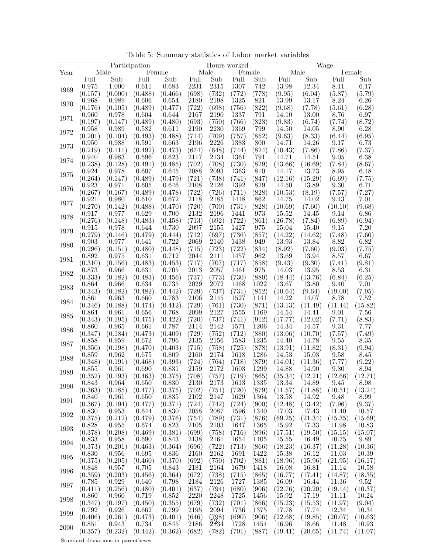|      |         |         | Participation |         |                     |                     | Hours worked        |        |               |         | Wage                |         |
|------|---------|---------|---------------|---------|---------------------|---------------------|---------------------|--------|---------------|---------|---------------------|---------|
| Year |         | Male    |               | Female  |                     | Male                |                     | Female |               | Male    |                     | Female  |
|      | Full    | Sub     | Full          | Sub     | Full                | Sub                 | Full                | Sub    | Full          | Sub     | Full                | Sub     |
|      | 0.975   | 1.000   | 0.611         | 0.683   | 2231                | 2315                | 1307                | 742    | 13.98         | 12.34   | 8.11                | 6.17    |
| 1969 | (0.157) | (0.000) | (0.488)       | (0.466) | (698)               | (732)               | (772)               | (778)  | (9.95)        | (6.04)  | (5.87)              | (5.79)  |
|      | 0.968   | 0.989   | 0.606         | 0.654   | 2180                | 2198                | 1325                | 821    | 13.99         | 13.17   | 8.24                | 6.26    |
| 1970 | (0.176) | (0.105) | (0.489)       | (0.477) | (722)               | (698)               | (756)               | (822)  | (9.68)        | (7.78)  | (5.61)              | (6.28)  |
|      | 0.960   | 0.978   | 0.604         | 0.644   | 2167                | 2190                | 1337                | 791    | 14.10         | 13.00   | 8.76                | 6.97    |
| 1971 | (0.197) | (0.147) | (0.489)       | (0.480) | (693)               | $\left(750\right)$  | (766)               | (823)  | (9.83)        | (6.74)  | (7.74)              | (8.72)  |
|      | 0.958   | 0.989   | 0.582         | 0.611   | <b>2190</b>         | 2230                | 1369                | 799    | 14.50         | 14.05   | 8.90                | 6.28    |
| 1972 | (0.201) | (0.104) | (0.493)       | (0.488) | (714)               | (709)               | (757)               | (852)  | (9.63)        | (8.33)  | (6.44)              | (6.95)  |
|      | 0.950   |         | 0.591         | 0.663   | 2196                | 2226                | 1383                |        | 14.71         | 14.26   | 9.17                | 6.73    |
| 1973 |         | 0.988   |               |         |                     |                     |                     | 800    |               |         |                     |         |
|      | (0.219) | (0.111) | (0.492)       | (0.473) | (674)               | (648)               | (744)               | (824)  | (10.43)       | (7.86)  | (7.86)              | (7.37)  |
| 1974 | 0.940   | 0.983   | 0.596         | 0.623   | 2117                | 2134                | 1361                | 791    | 14.71         | 14.51   | 9.05                | 6.38    |
|      | (0.238) | (0.128) | (0.491)       | (0.485) | (702)               | (708)               | (730)               | (829)  | (13.66)       | (16.69) | (7.84)              | (8.67)  |
| 1975 | 0.924   | 0.978   | 0.607         | 0.645   | 2088                | 2093                | 1363                | 810    | 14.17         | 13.73   | $\sqrt{8.95}$       | 6.48    |
|      | (0.264) | (0.147) | (0.489)       | (0.479) | (721)               | (738)               | (741)               | (847)  | (12.16)       | (15.29) | (6.69)              | (7.75)  |
| 1976 | 0.923   | 0.971   | 0.605         | 0.646   | 2108                | 2126                | 1392                | 829    | 14.50         | 13.89   | 9.30                | 6.71    |
|      | (0.267) | (0.167) | (0.489)       | (0.478) | (722)               | (726)               | (711)               | (828)  | (10.53)       | (8.19)  | (7.57)              | (7.27)  |
| 1977 | 0.921   | 0.980   | 0.610         | 0.672   | 2118                | 2185                | 1418                | 862    | 14.75         | 14.02   | 9.43                | 7.01    |
|      | (0.270) | (0.142) | (0.488)       | (0.470) | (720)               | (700)               | (731)               | (828)  | (10.69)       | (7.60)  | (10.10)             | (9.68)  |
|      | 0.917   | 0.977   | 0.629         | 0.700   | 2132                | 2196                | 1441                | 973    | $\hat{15.52}$ | 14.45   | 9.14                | 6.86    |
| 1978 | (0.276) | (0.148) | (0.483)       | (0.458) | (713)               | (692)               | (722)               | (861)  | (26.78)       | (7.84)  | (6.89)              | (6.94)  |
|      | 0.915   | 0.978   | 0.644         | 0.730   | 2097                | 2155                | 1427                | 975    | 15.04         | 15.40   | 9.15                | 7.20    |
| 1979 | (0.279) | (0.146) | (0.479)       | (0.444) | (712)               | (697)               | (736)               | (857)  | (14.22)       | (14.62) | (7.48)              | (7.60)  |
|      | 0.903   | 0.977   | 0.641         | 0.722   | 2069                | 2140                | 1438                | 949    | 13.93         | 13.84   | 8.82                | 6.82    |
| 1980 | (0.296) | (0.151) | (0.480)       | (0.448) | (715)               | (723)               | (722)               | (834)  | (8.92)        | (7.60)  | (9.03)              | (7.75)  |
|      | 0.892   | 0.975   | 0.631         | 0.712   | 2044                | 2111                | 1457                | 962    | 13.69         | 13.94   | $\sqrt{8.57}$       | 6.67    |
| 1981 | (0.310) | (0.156) | (0.483)       | (0.453) | (717)               | (707)               | (717)               | (858)  | (9.43)        | (9.30)  | (7.41)              | (9.81)  |
|      | 0.873   | 0.966   | 0.631         | 0.705   | 2013                | 2057                | 1461                | 975    | 14.03         | 13.95   | 8.53                | 6.31    |
| 1982 | (0.333) | (0.182) | (0.483)       | (0.456) | (737)               | $\left( 773\right)$ | (730)               | (880)  | (18.44)       | (13.76) | (6.84)              | (6.25)  |
|      |         |         | 0.634         | 0.735   | 2029                | 2072                | 1468                | 1022   | 13.67         | 13.80   | 9.40                | 7.01    |
| 1983 | 0.864   | 0.966   |               |         |                     |                     |                     |        |               |         |                     |         |
|      | (0.343) | (0.182) | (0.482)       | (0.442) | (729)               | (737)               | (731)               | (852)  | (10.64)       | (9.64)  | (19.00)             | (7.95)  |
| 1984 | 0.861   | 0.963   | 0.660         | 0.783   | 2106                | 2145                | 1527                | 1141   | 14.22         | 14.07   | 8.78                | 7.52    |
|      | (0.346) | (0.188) | (0.474)       | (0.412) | (729)               | $\left( 761\right)$ | $\left( 730\right)$ | (871)  | (13.13)       | (11.49) | (11.44)             | (15.82) |
| 1985 | 0.864   | 0.961   | 0.656         | 0.768   | 2099                | 2127                | 1555                | 1169   | 14.54         | 14.41   | 9.01                | 7.56    |
|      | (0.343) | (0.195) | (0.475)       | (0.422) | (720)               | $\left( 737\right)$ | (741)               | (912)  | (17.77)       | (12.02) | (7.71)              | (8.83)  |
| 1986 | 0.860   | 0.965   | 0.661         | 0.787   | 2114                | 2142                | 1571                | 1206   | 14.34         | 14.57   | 9.31                | 7.77    |
|      | (0.347) | (0.184) | (0.473)       | (0.409) | (729)               | $\left( 752\right)$ | (712)               | (880)  | (13.06)       | (10.70) | (7.57)              | (7.49)  |
| 1987 | 0.858   | 0.959   | 0.672         | 0.796   | 2135                | 2156                | 1583                | 1235   | 14.40         | 14.78   | 9.55                | 8.35    |
|      | (0.350) | (0.198) | (0.470)       | (0.403) | (715)               | (758)               | (725)               | (878)  | (13.91)       | (11.82) | (8.31)              | (9.94)  |
| 1988 | 0.859   | 0.962   | 0.675         | 0.809   | 2160                | 2174                | 1618                | 1286   | 14.53         | 15.03   | $\left[9.58\right]$ | 8.45    |
|      | (0.348) | (0.191) | (0.468)       | (0.393) | (724)               | (764)               | (718)               | (879)  | (14.01)       | (11.36) | (7.77)              | (9.22)  |
| 1989 | 0.855   | 0.961   | 0.690         | 0.831   | 2159                | 2172                | 1603                | 1299   | 14.88         | 14.90   | 9.80                | 8.94    |
|      | (0.352) | (0.193) | (0.463)       | (0.375) | (708)               | (757)               | (719)               | (865)  | (35.34)       | (12.21) | (12.66)             | (12.71) |
| 1990 | 0.843   | 0.964   | 0.650         | 0.830   | 2130                | 2173                | 1613                | 1335   | 13.34         | 14.89   | 9.45                | 8.98    |
|      | (0.363) | (0.185) | (0.477)       | (0.375) | (702)               | (751)               | (720)               | (879)  | (11.57)       | (11.88) | (10.51)             | (13.24) |
|      | 0.840   | 0.961   | 0.650         | 0.835   | 2102                | 2147                | 1629                | 1364   | 13.58         | 14.92   | 9.48                | 8.99    |
| 1991 | (0.367) | (0.194) | (0.477)       | (0.371) | (724)               | (742)               | (724)               | (900)  | (12.48)       | (13.42) | (7.96)              | (9.37)  |
|      | 0.830   | 0.953   | 0.644         | 0.830   | 2058                | 2087                | 1596                | 1340   | 17.03         | 17.43   | 11.40               | 10.57   |
| 1992 | (0.375) | (0.212) | (0.479)       | (0.376) | $\left( 754\right)$ | (789)               | (731)               | (876)  | (69.25)       | (21.34) | (15.35)             | (15.69) |
|      | 0.828   | 0.955   | 0.674         | 0.823   | 2105                | 2103                | 1647                | 1365   | 15.92         | 17.33   | 11.98               | 10.83   |
| 1993 | (0.378) | (0.208) | (0.469)       | (0.381) | (699)               | (758)               | (716)               | (896)  | (17.51)       | (19.50) | (15.15)             | (15.07) |
|      | 0.833   | 0.958   | 0.690         | 0.843   | 2138                | 2161                | 1654                | 1405   | 15.55         | 16.49   | 10.75               | 9.89    |
| 1994 | (0.373) | (0.201) | (0.463)       | (0.364) | (696)               | (722)               | (713)               | (866)  | (18.23)       | (16.37) | (11.28)             | (10.36) |
|      | 0.830   | 0.956   | 0.695         | 0.836   | <b>2160</b>         | 2162                | 1691                | 1422   | 15.38         | 16.12   | 11.03               | 10.39   |
| 1995 | (0.375) | (0.205) | (0.460)       | (0.370) | (692)               | (750)               | (702)               | (881)  | (18.96)       | (15.96) | (21.95)             | (16.17) |
|      | 0.848   | 0.957   | 0.705         | 0.843   | 2181                | 2164                | 1679                | 1418   | 16.08         | 16.81   | 11.14               | 10.58   |
| 1996 | (0.359) | (0.203) | (0.456)       | (0.364) | (672)               | (738)               | (715)               | (865)  | (16.77)       | (17.41) | (14.87)             | (18.35) |
|      | 0.785   | 0.929   | 0.640         | 0.798   | 2184                | 2126                | 1727                | 1385   | 16.09         | 16.44   | 11.36               | 9.52    |
| 1997 |         |         |               |         |                     |                     |                     |        |               |         |                     |         |
|      | (0.411) | (0.256) | (0.480)       | (0.401) | (637)               | $\left( 794\right)$ | (680)               | (906)  | (22.76)       | (20.20) | (19.14)             | (10.37) |
| 1998 | 0.860   | 0.960   | 0.719         | 0.852   | 2220                | 2248                | 1725                | 1456   | 15.92         | 17.19   | 11.11               | 10.24   |
|      | (0.347) | (0.197) | (0.450)       | (0.355) | $\left( 679\right)$ | (732)               | $\left( 701\right)$ | (866)  | (15.23)       | (15.53) | (11.97)             | (9.04)  |
| 1999 | 0.792   | 0.926   | 0.662         | 0.799   | 2195                | 2094                | 1736                | 1375   | 17.78         | 17.74   | 12.34               | 10.34   |
|      | (0.406) | (0.261) | (0.473)       | (0.401) | (646)               | (798)               | (690)               | (906)  | (22.68)       | (19.85) | (20.07)             | (10.63) |
| 2000 | 0.851   | 0.943   | 0.734         | 0.845   | 2186                | 2134                | 1728                | 1454   | 16.96         | 18.66   | 11.48               | 10.93   |
|      | (0.357) | (0.232) | (0.442)       | (0.362) | (682)               | (782)               | (701)               | (887)  | (19.41)       | (20.65) | (11.74)             | (11.07) |

Table 5: Summary statistics of Labor market variables

Standard deviations in parentheses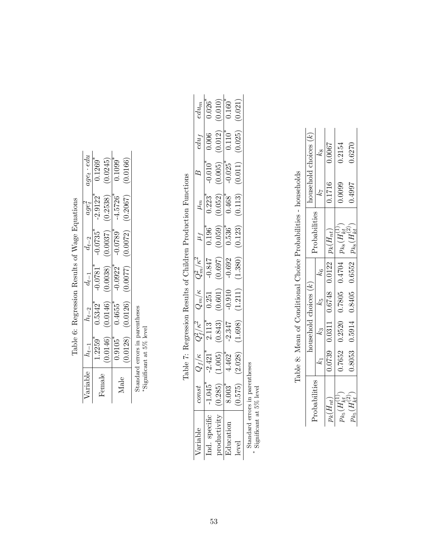|              |                                |                                                        |                                  | $\frac{1}{2}$                    |                             |                       |
|--------------|--------------------------------|--------------------------------------------------------|----------------------------------|----------------------------------|-----------------------------|-----------------------|
| Variable     | $n_{t-1}$                      | $h_{t-2}$                                              | $d_{t-1}$                        | $d_{t-2}$                        |                             | $age_t \cdot edu$     |
|              | $1.2259$ <sup>*</sup>          | $\sqrt{0.5342}$ *                                      | $-0.0781$ <sup>*</sup>           | $-0.0735$ <sup>*</sup>           | $\frac{age_t^2}{-2.9122^*}$ | $0.1269$ <sup>*</sup> |
| $\rm Female$ | (0.0146)                       |                                                        | $(0.0146)$ $(0.0038)$ $(0.0037)$ |                                  |                             | $(0.2538)$ $(0.0245)$ |
| Male         | $0.9105$ <sup>*</sup>          | $0.4655$ <sup>*</sup>                                  |                                  | $-0.0922$ $-0.0789$ <sup>*</sup> | $-4.5726$ <sup>*</sup>      | $0.1099$ <sup>*</sup> |
|              |                                | $(0.0128)$ $(0.0126)$ $(0.0077)$ $(0.0072)$ $(0.2067)$ |                                  |                                  |                             | (0.0166)              |
|              | standard errors in parentheses |                                                        |                                  |                                  |                             |                       |
|              | *Significant at 5% level       |                                                        |                                  |                                  |                             |                       |

Table 6: Regression Results of Wage Equations Table 6: Regression Results of Wage Equations

Table 7: Regression Results of Children Production Functions Table 7: Regression Results of Children Production Functions

|              | 300 <sup>2</sup>                                   | $\frac{Q_f/\kappa}{2.421}$ | $\frac{Q_f^2/\kappa^2}{2.113}$ |                                                          | $\frac{Q_m^2/\kappa^2}{-0.847}$<br>$\frac{-0.847}{-0.697}$ |                                                      |                         |                                       | $edu_f$                         | $edu_m$                 |
|--------------|----------------------------------------------------|----------------------------|--------------------------------|----------------------------------------------------------|------------------------------------------------------------|------------------------------------------------------|-------------------------|---------------------------------------|---------------------------------|-------------------------|
|              |                                                    |                            |                                |                                                          |                                                            |                                                      | $\frac{\mu_m}{0.223}$   |                                       | 0.006                           |                         |
|              | $\frac{1.045}{(0.285)}$<br>$\frac{(0.285)}{8.003}$ | $\frac{(1.005)}{4.462}$    | $\frac{(0.843)}{-2.347}$       | $\frac{Q_{m}/\kappa}{0.251}$<br>$\frac{(0.601)}{-0.910}$ |                                                            | $\frac{\mu_f}{0.196^*}$<br>$\frac{(0.059)}{0.536^*}$ | $\frac{(0.052)}{0.468}$ | $-0.010^*$<br>$(0.005)$<br>$-0.025^*$ | $\underbrace{(0.012)}_{0.110*}$ | $\frac{0.026^*}{0.010}$ |
|              |                                                    |                            |                                |                                                          |                                                            |                                                      |                         |                                       |                                 |                         |
|              | (0.575)                                            | (2.028)                    | (1.698)                        | (1.211)                                                  | 1.380)                                                     | (0.123)                                              | (0.113)                 | (0.011)                               | (0.025)                         | (0.021)                 |
| tandard erro |                                                    |                            |                                |                                                          |                                                            |                                                      |                         |                                       |                                 |                         |

Standard errors in parentheses significant at 5% level<br>\* Significant at 5% level Significant at 5% level

Table 8: Mean of Conditional Choice Probabilities - households Table 8: Mean of Conditional Choice Probabilities - households

| . robabilities                                | $\alpha$ as $\alpha$ dependence and $\alpha$ is $\alpha$ is $\alpha$ is $\alpha$ is $\alpha$ is $\alpha$ is $\alpha$ is $\alpha$ is $\alpha$ is $\alpha$ is $\alpha$ is $\alpha$ is $\alpha$ is $\alpha$ is $\alpha$ is $\alpha$ is $\alpha$ is $\alpha$ is $\alpha$ is $\alpha$ is $\alpha$ is $\alpha$ is $\alpha$ is $\alpha$ is |  | Probabilities                                               |        | nousehold choices $(k)$ |
|-----------------------------------------------|-------------------------------------------------------------------------------------------------------------------------------------------------------------------------------------------------------------------------------------------------------------------------------------------------------------------------------------|--|-------------------------------------------------------------|--------|-------------------------|
|                                               |                                                                                                                                                                                                                                                                                                                                     |  |                                                             |        | χğ                      |
| $\rho_k(H_{nt})$                              |                                                                                                                                                                                                                                                                                                                                     |  | $0.0739$ 0.0311 0.6748 0.0122 $p_k(H_{nt})$                 | 0.1716 | 1,000.0                 |
| $\nu_{k_5}(H_{kt}^{\scriptscriptstyle{(1)}})$ |                                                                                                                                                                                                                                                                                                                                     |  | $0.7652$ $0.2520$ $0.7805$ $0.4704$ $p_{k8}(H_{kt}^{(1)})$  | 0.0099 | 0.2154                  |
| $\eta_{k_5}(H_{kt}^{(\angle)}$                |                                                                                                                                                                                                                                                                                                                                     |  | $0.8053$ $0.5914$ $0.8405$ $0.6552$ $p_{k_8}(H_{kt}^{(2)})$ | 1.4997 | 0.6270                  |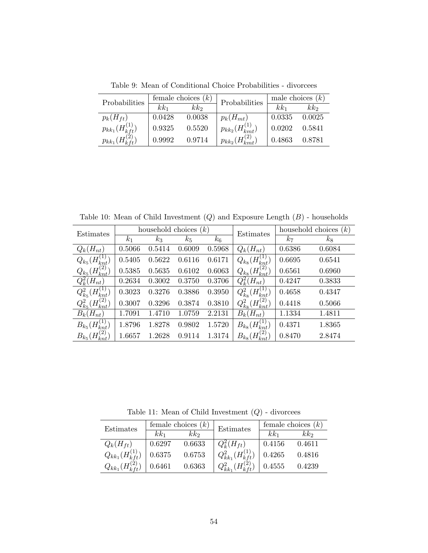Table 9: Mean of Conditional Choice Probabilities - divorcees

| Probabilities             |        | female choices $(k)$ | Probabilities             |        | male choices $(k)$ |
|---------------------------|--------|----------------------|---------------------------|--------|--------------------|
|                           | $kk_1$ | kk <sub>2</sub>      |                           | $kk_1$ | kk <sub>2</sub>    |
| $p_k(H_{ft})$             | 0.0428 | 0.0038               | $p_k(H_{mt})$             | 0.0335 | 0.0025             |
| $p_{kk_1}(H_{kft}^{(1)})$ | 0.9325 | 0.5520               | $p_{kk_2}(H_{kmt}^{(1)})$ | 0.0202 | 0.5841             |
| $p_{kk_1}(H_{kft}^{(2)})$ | 0.9992 | 0.9714               | $p_{kk_2}(H_{kmt}^{(2)})$ | 0.4863 | 0.8781             |

Table 10: Mean of Child Investment  $(Q)$  and Exposure Length  $(B)$  - households

|                                                  |                | household choices |        | (k)    |                                                                       |                | household choices $(k)$ |
|--------------------------------------------------|----------------|-------------------|--------|--------|-----------------------------------------------------------------------|----------------|-------------------------|
| Estimates                                        | k <sub>1</sub> | $k_3$             | $k_5$  | $k_6$  | Estimates                                                             | k <sub>7</sub> | $k_{8}$                 |
| $Q_k(H_{nt})$                                    | 0.5066         | 0.5414            | 0.6009 | 0.5968 | $Q_k(H_{nt})$                                                         | 0.6386         | 0.6084                  |
| T<br>$Q_{k_5}(H_{k_*}^{\langle}$                 | 0.5405         | 0.5622            | 0.6116 | 0.6171 | $H_{km}^{(1)}$<br>$Q_{k_8}$ (                                         | 0.6695         | 0.6541                  |
| $\left( 2\right)$<br>$\H H$<br>$Q_{k_5}$         | 0.5385         | 0.5635            | 0.6102 | 0.6063 | $\Gamma_{\!\scriptscriptstyle (\alpha)}(H_i^{\gamma_2})$<br>$Q_{k_8}$ | 0.6561         | 0.6960                  |
| $Q_k^2(H_{nt})$                                  | 0.2634         | 0.3002            | 0.3750 | 0.3706 | $Q_k^2(H_{nt})$                                                       | 0.4247         | 0.3833                  |
| $\mathbf{I}$<br>$Q_{k_5}^2$<br>$(H_{knt}^{(1)})$ | 0.3023         | 0.3276            | 0.3886 | 0.3950 | $(H_{knt}^{(1)})$<br>$Q^2_{k_8}$                                      | 0.4658         | 0.4347                  |
| $(H_{knt}^{(2)})$                                | 0.3007         | 0.3296            | 0.3874 | 0.3810 | $H_{knt}^{(2)}$                                                       | 0.4418         | 0.5066                  |
| $B_k(H_{nt})$                                    | 1.7091         | 1.4710            | 1.0759 | 2.2131 | $B_k(H_{nt})$                                                         | 1.1334         | 1.4811                  |
| (1)<br>H<br>$B_{k_5}$                            | 1.8796         | 1.8278            | 0.9802 | 1.5720 | $B_{k_8}(H_{knt}^{(1)})$                                              | 0.4371         | 1.8365                  |
| $\left( 2\right)$<br>$B_{k_5}$                   | 1.6657         | 1.2628            | 0.9114 | 1.3174 | $(H^{(2)} )$<br>$B_{k_8}$                                             | 0.8470         | 2.8474                  |

Table 11: Mean of Child Investment  $(Q)$  - divorcees

| Estimates                 |        | female choices $(k)$  | Estimates                   |        | female choices $(k)$ |
|---------------------------|--------|-----------------------|-----------------------------|--------|----------------------|
|                           | $kk_1$ | $k\hspace{-0.1cm}k_2$ |                             | $kk_1$ | kk <sub>2</sub>      |
| $Q_k(H_{ft})$             | 0.6297 | 0.6633                | $Q_k^2(H_{ft})$             | 0.4156 | 0.4611               |
| $Q_{kk_1}(H_{kft}^{(1)})$ | 0.6375 | 0.6753                | $Q_{kk_1}^2(H_{kft}^{(1)})$ | 0.4265 | 0.4816               |
| $Q_{kk_1}(H_{kft}^{(2)})$ | 0.6461 | 0.6363                | $Q^2_{kk_1}$                | 0.4555 | 0.4239               |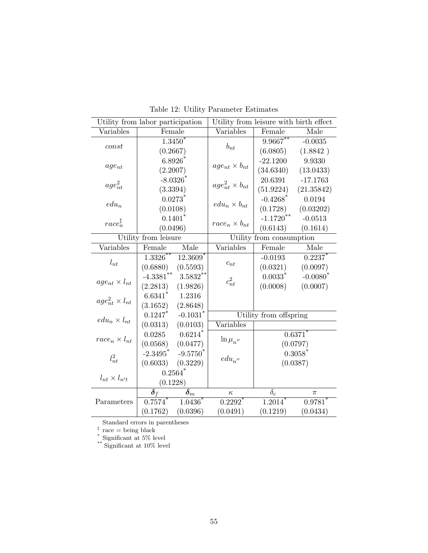| Utility from labor participation |                         |                          | Utility from leisure with birth effect |                          |                       |  |
|----------------------------------|-------------------------|--------------------------|----------------------------------------|--------------------------|-----------------------|--|
| Variables                        | Female                  |                          | Variables                              | Female                   | Male                  |  |
|                                  |                         | $1.3450*$                |                                        | $9.9667***$              | $-0.0035$             |  |
| const                            | (0.2667)                |                          | $b_{nt}$                               | (6.0805)                 | (1.8842)              |  |
|                                  | $6.8926*$               |                          |                                        | $-22.1200$               | 9.9330                |  |
| $age_{nt}$                       | (2.2007)                |                          | $age_{nt} \times b_{nt}$               | (34.6340)                | (13.0433)             |  |
|                                  |                         | $-8.0326*$               |                                        | 20.6391                  | $-17.1763$            |  |
| $age_{nt}^2$                     | (3.3394)                |                          | $age_{nt}^2 \times b_{nt}$             | (51.9224)                | (21.35842)            |  |
|                                  |                         | $0.0273$ <sup>*</sup>    |                                        | $-0.4268$ <sup>*</sup>   | 0.0194                |  |
| $edu_n$                          | (0.0108)                |                          | $edu_n \times b_{nt}$                  | (0.1728)                 | (0.03202)             |  |
|                                  |                         | $0.1401*$                |                                        | $-1.1720***$             | $-0.0513$             |  |
| $race_n^{\ddagger}$              | (0.0496)                |                          | $race_n \times b_{nt}$                 | (0.6143)                 | (0.1614)              |  |
|                                  | Utility from leisure    |                          |                                        | Utility from consumption |                       |  |
| Variables                        | Female                  | Male                     | Variables                              | Female                   | Male                  |  |
|                                  | $1.3326***$             | 12.3609 <sup>*</sup>     |                                        | $-0.0193$                | $0.2237$ *            |  |
| $l_{nt}$                         | (0.6880)                | (0.5593)                 | $\boldsymbol{c}_{nt}$                  | (0.0321)                 | (0.0097)              |  |
|                                  | $-4.3381$ <sup>**</sup> | $3.5832**$               | $c_{nt}^2$                             | $0.0033$ <sup>*</sup>    | $-0.0080^*$           |  |
| $age_{nt} \times l_{nt}$         | (2.2813)                | (1.9826)                 |                                        | (0.0008)                 | (0.0007)              |  |
| $age_{nt}^2 \times l_{nt}$       | $6.6341*$               | 1.2316                   |                                        |                          |                       |  |
|                                  | (3.1652)                | (2.8648)                 |                                        |                          |                       |  |
| $edu_n \times l_{nt}$            | 0.1247                  | $-0.1031$ <sup>*</sup>   |                                        | Utility from offspring   |                       |  |
|                                  | (0.0313)                | (0.0103)                 | Variables                              |                          |                       |  |
| $race_n \times l_{nt}$           | 0.0285                  | $0.6214$ <sup>*</sup>    | $\ln \mu_{n^{\prime\prime}}$           |                          | $0.6371$ <sup>*</sup> |  |
|                                  | (0.0568)                | (0.0477)                 |                                        |                          | (0.0797)              |  |
| $l_{nt}^2$                       | $-2.3495$ <sup>*</sup>  | $-9.5750*$               | $edu_{n^{\prime\prime}}$               |                          | $0.3058*$             |  |
|                                  | (0.6033)                | (0.3229)                 |                                        |                          | (0.0387)              |  |
| $l_{nt} \times l_{n't}$          |                         | $0.2564$ <sup>*</sup>    |                                        |                          |                       |  |
|                                  | (0.1228)                |                          |                                        |                          |                       |  |
|                                  | $\boldsymbol{\delta}_f$ | $\bar{\pmb{\delta}}_{m}$ | $\kappa$                               | $\delta_c$               | π                     |  |
| Parameters                       | 0.7574                  | $1.0436^*$               | ${0.2292}^\ast$                        | 1.2014                   | $0.9781$ <sup>*</sup> |  |
|                                  | (0.1762)                | (0.0396)                 | (0.0491)                               | (0.1219)                 | (0.0434)              |  |

Table 12: Utility Parameter Estimates

Standard errors in parentheses ‡ race = being black

\* Significant at 5% level

\*\* Significant at 10% level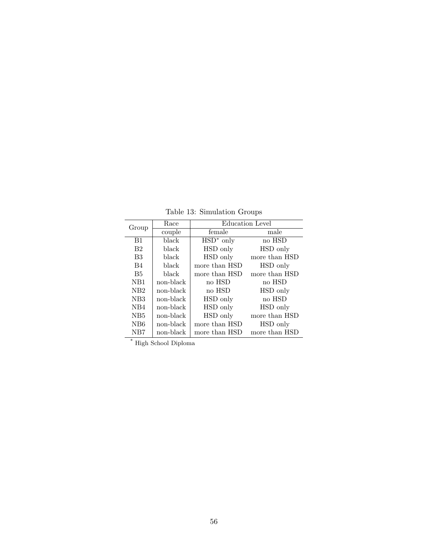Table 13: Simulation Groups

| Group            | Race      |               | <b>Education Level</b> |
|------------------|-----------|---------------|------------------------|
|                  | couple    | female        | male                   |
| B1               | black     | $HSD^*$ only  | no HSD                 |
| B <sub>2</sub>   | black     | HSD only      | HSD only               |
| B <sub>3</sub>   | black     | HSD only      | more than HSD          |
| B4               | black     | more than HSD | HSD only               |
| B <sub>5</sub>   | black     | more than HSD | more than HSD          |
| N <sub>B</sub> 1 | non-black | no HSD        | no HSD                 |
| N <sub>B</sub> 2 | non-black | no HSD        | HSD only               |
| NB <sub>3</sub>  | non-black | HSD only      | no HSD                 |
| N <sub>B4</sub>  | non-black | HSD only      | HSD only               |
| NB <sub>5</sub>  | non-black | HSD only      | more than HSD          |
| N <sub>B6</sub>  | non-black | more than HSD | HSD only               |
| NB7              | non-black | more than HSD | more than HSD          |

 $^\ast$  High School Diploma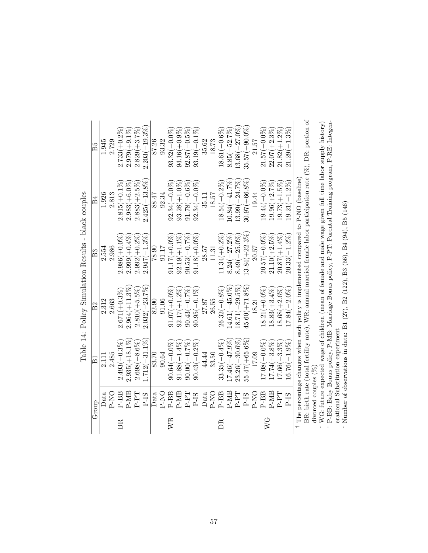Table 14: Policy Simulation Results - black couples Table 14: Policy Simulation Results - black couples

divorced couples (%) --WG: future expected wage of children (mean of female and male wage given full time labor supply history) - P-BB: Baby Bonus policy, P-MB: Marriage Bonus policy, P-PT: Parental Training program, P-RE: Integen-

erational Substitution experiment Number of observations in data: B1 (27), B2 (122), B3 (56), B4 (94), B5 (146)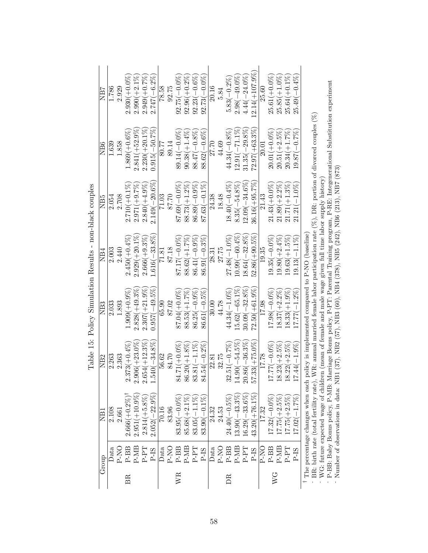| $33.81(-1.1\%$<br>$84.54(-0.2\%$<br>32.75<br>22.81 | $83.05(-1.1\%$<br>$83.90(-0.1\%$<br>24.32                                                                                                                                                                                                             |
|----------------------------------------------------|-------------------------------------------------------------------------------------------------------------------------------------------------------------------------------------------------------------------------------------------------------|
|                                                    | The percentage changes when each policy is implemented compared to $P-NO$ (baseline)<br>$4.90(-54.5\%$<br>$0.86(-36.3\%$<br>$7.33(+75.0\%$<br>$7.77(-0.0\%)$<br>$32.51(-0.7\%)$<br>$8.23(+2.5\%)$<br>$8.22(+2.5\%)$<br>$7.44(-1.9%$<br>17.78<br>من ای |

Table 15: Policy Simulation Results - non-black couples Table 15: Policy Simulation Results - non-black couples

<sup>-</sup> BR: birth rate (total fertility rate), WR: annual married female labor participation rate (%), DR: portion of divorced couples (%)<br><sup>-</sup> WG: future expected wage of children (mean of female and male wage given full time <sup>1</sup> The percentage changes when each policy is implemented compared to P-NO (baseline)<br>- BR: birth rate (total fertility rate), WR: annual married female labor participation rate (%), DR: portion of divorced couples (%)<br>-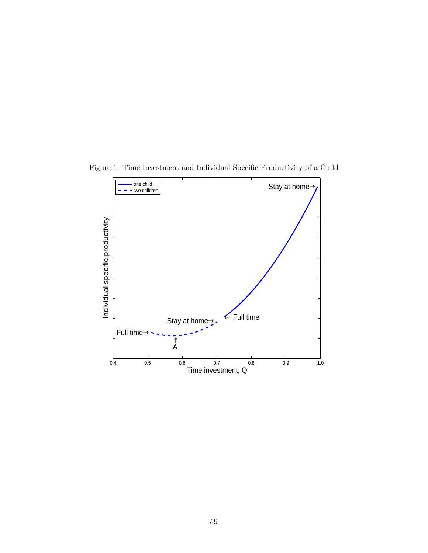

Figure 1: Time Investment and Individual Specific Productivity of a Child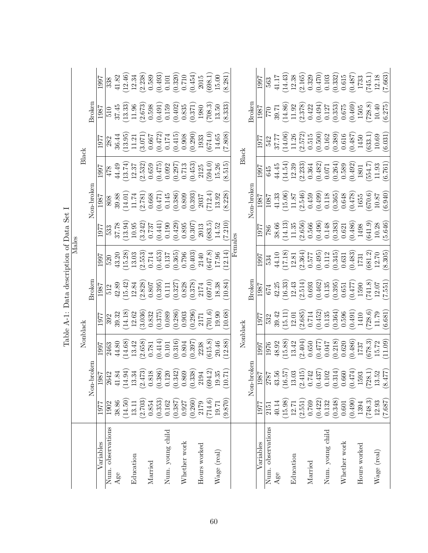|                   |         |                                                                                                                                                                                                                                                                        |           | Table A-1: Data description of Data Set I |                                                                     |                                                            |           |                                                           |                                                                                |                                                            |                                                        |                                                                                                    |
|-------------------|---------|------------------------------------------------------------------------------------------------------------------------------------------------------------------------------------------------------------------------------------------------------------------------|-----------|-------------------------------------------|---------------------------------------------------------------------|------------------------------------------------------------|-----------|-----------------------------------------------------------|--------------------------------------------------------------------------------|------------------------------------------------------------|--------------------------------------------------------|----------------------------------------------------------------------------------------------------|
|                   |         |                                                                                                                                                                                                                                                                        |           |                                           |                                                                     | Males                                                      |           |                                                           |                                                                                |                                                            |                                                        |                                                                                                    |
|                   |         |                                                                                                                                                                                                                                                                        |           | Nonblack                                  |                                                                     |                                                            |           |                                                           | Black                                                                          |                                                            |                                                        |                                                                                                    |
|                   |         | Non-broken                                                                                                                                                                                                                                                             |           |                                           | Broken                                                              |                                                            |           | Non-broken                                                |                                                                                |                                                            | <b>B</b> roken                                         |                                                                                                    |
| Variables         | 1977    | 1987                                                                                                                                                                                                                                                                   | 1997      | 1977                                      | 1987                                                                | 1997                                                       | 197       | 1987                                                      | 1997                                                                           | 197                                                        | 1987                                                   | 1997                                                                                               |
| Num. observations | 1902    | 2642                                                                                                                                                                                                                                                                   | 2463      | 392                                       | 512                                                                 | 520                                                        | 533       | 808                                                       | 478                                                                            | 282                                                        | 510                                                    | 338                                                                                                |
| Age               | 38.86   |                                                                                                                                                                                                                                                                        | 44.80     | 39.32                                     | 42.89                                                               | 43.20                                                      | 37.78     | 39.88                                                     | 44.49                                                                          | 36.44                                                      | 37.45                                                  | 41.82                                                                                              |
|                   | (14.50) |                                                                                                                                                                                                                                                                        | (14.68)   | (14.18)                                   | (15.42)                                                             | (15.28)                                                    | (13.94)   |                                                           |                                                                                |                                                            |                                                        |                                                                                                    |
| Education         | 13.11   |                                                                                                                                                                                                                                                                        | 13.42     | 12.62                                     |                                                                     | $\frac{13.03}{(2.553)}$                                    | $10.95\,$ |                                                           |                                                                                |                                                            | $(13.33)$<br>11.96                                     |                                                                                                    |
|                   | (2.703) |                                                                                                                                                                                                                                                                        | (2.658)   | (3.036)                                   |                                                                     |                                                            | (3.242)   |                                                           |                                                                                |                                                            | (2.673)                                                |                                                                                                    |
| Married           | 0.854   | $\begin{array}{l} 41.84 \\ (14.94) \\ (13.34) \\ (2.473) \\ (0.818) \\ (0.386) \\ (0.342) \\ (0.342) \\ (0.342) \\ \end{array}$                                                                                                                                        | 0.781     | 0.832                                     | $\begin{array}{c} 12.84 \\ (2.828) \\ 0.807 \\ (0.395) \end{array}$ | $\begin{array}{c} 0.714 \\ (0.453) \\ 0.137 \end{array}$   | 0.737     | $(14.01)$<br>$11.74$<br>$(2.781)$<br>$0.668$<br>$(0.471)$ | $\begin{array}{c} (13.74) \\ 12.37 \\ (2.532) \\ 0.659 \\ (0.475) \end{array}$ | $(13.95)$<br>$11.21$<br>$(3.071)$<br>$0.667$<br>$(0.472)$  | $\begin{array}{c} 0.598 \\ (0.491) \end{array}$        | $\begin{array}{c} (12.46) \\ 12.34 \\ (2.238) \\ 0.589 \\ (0.493) \\ \end{array}$                  |
|                   | (0.353) |                                                                                                                                                                                                                                                                        | (0.414)   | (0.375)                                   |                                                                     |                                                            | (0.441)   |                                                           |                                                                                |                                                            |                                                        |                                                                                                    |
| Num. young child  | 0.162   |                                                                                                                                                                                                                                                                        | $0.101\,$ | 0.089                                     | $0.111\,$                                                           |                                                            | 0.190     | 0.145                                                     | 0.092                                                                          | 0.174                                                      | 0.159                                                  |                                                                                                    |
|                   | (0.387) |                                                                                                                                                                                                                                                                        | (0.316)   | (0.286)                                   | (0.327)                                                             | (0.365)                                                    | (0.429)   | (0.386)                                                   | (0.297)                                                                        | (0.415)                                                    | (0.402)                                                | $\left( 0.320\right)$ $\left( 0.710\right)$                                                        |
| Whether work      | 0.927   |                                                                                                                                                                                                                                                                        | 0.804     | 0.903                                     | 0.828                                                               | 0.796                                                      | 0.895     | $0.809\,$                                                 | 0.713                                                                          | $0.908\,$                                                  | 0.835                                                  |                                                                                                    |
|                   | (0.260) | $\begin{array}{c} (0.338) \\ 2194 \\ (694.2) \\ 19.35 \end{array}$                                                                                                                                                                                                     | (0.397)   | (0.296)                                   | (0.378)                                                             | (0.403)                                                    | (0.307)   | (0.393)                                                   | (0.453)                                                                        | (0.290)                                                    | (0.371)                                                | (0.454)                                                                                            |
| Hours worked      | 2179    |                                                                                                                                                                                                                                                                        | 2238      | 2171                                      | 2174                                                                | 2140                                                       | 2013      | 2037                                                      | 2125                                                                           | 1933                                                       | 1980                                                   | 2015                                                                                               |
|                   | (714.6) |                                                                                                                                                                                                                                                                        | (615.8)   | (9.107)                                   | (0.769)                                                             | (647.8)                                                    | (683.5)   | 712.4                                                     | $(594.0)$<br>15.26                                                             | (674.0)                                                    | (708.3)                                                | (698.1                                                                                             |
| Wage (real)       | 19.71   |                                                                                                                                                                                                                                                                        | 20.46     | 19.90                                     | 18.38                                                               | 17.96                                                      | 14.52     | 13.92                                                     |                                                                                | 14.65                                                      | 13.50                                                  | 15.00                                                                                              |
|                   | (0.870) | $\overline{1}$<br>$\Xi$                                                                                                                                                                                                                                                | 12.88)    | (10.68)                                   | 10.84                                                               | 12.14                                                      | (7.210)   | (8.228)                                                   | (8.515)                                                                        | (7.808)                                                    | (8.333)                                                | 8.281                                                                                              |
|                   |         |                                                                                                                                                                                                                                                                        |           |                                           |                                                                     | $F$ e $_{\rm{nnales}}$                                     |           |                                                           |                                                                                |                                                            |                                                        |                                                                                                    |
|                   |         |                                                                                                                                                                                                                                                                        |           | Nonblack                                  |                                                                     |                                                            |           |                                                           |                                                                                | Black                                                      |                                                        |                                                                                                    |
|                   |         | Non-broken                                                                                                                                                                                                                                                             |           |                                           | Broken                                                              |                                                            |           | Non-broken                                                |                                                                                |                                                            | <b>Broken</b>                                          |                                                                                                    |
| Variables         | 1977    | $\begin{array}{r l} \hline 1987 \\ \hline 2787 \\ 43.56 \\ (16.57) \\ 13.03 \\ (2.415) \\ (0.742) \\ (0.437) \\ (0.314) \\ (0.314) \\ (0.314) \\ (0.474) \\ (0.315) \\ (0.472) \\ (728.1) \\ (728.1) \\ (13.52) \\ (13.52) \\ (13.53) \\ (2477) \\ \hline \end{array}$ | 1997      | 1977                                      | 1987                                                                | 1997                                                       | 1977      | 1987                                                      | 1997                                                                           | 1977                                                       | 1987                                                   | 1997                                                                                               |
| Num. observations | 2151    |                                                                                                                                                                                                                                                                        | 1976      | 532                                       | 674                                                                 | 534                                                        | 786       | 1087                                                      | 645                                                                            | 542                                                        | 770                                                    | 563                                                                                                |
| Age               | 40.14   |                                                                                                                                                                                                                                                                        | 48.92     | 39.42                                     | 42.25                                                               | 44.10                                                      | 38.66     |                                                           | 44.45                                                                          | <b>17.77</b>                                               | 39.71                                                  | 41.17                                                                                              |
|                   | (15.98) |                                                                                                                                                                                                                                                                        | (15.88)   | (15.11)                                   | (16.33)                                                             | (17.18)                                                    | (14.13)   | $\begin{array}{c} 41.33 \\ (15.06) \\ 11.87 \end{array}$  | (14.54)                                                                        | $(14.06)$<br>11.26                                         | (14.86)                                                |                                                                                                    |
| Education         | 12.71   |                                                                                                                                                                                                                                                                        | 13.42     | $12.01\,$                                 | 12.43                                                               | 12.81                                                      | 11.35     |                                                           | 12.39                                                                          |                                                            | 11.92                                                  | $(14.43)$<br>12.38                                                                                 |
|                   | (2.551) |                                                                                                                                                                                                                                                                        | (2.404)   | (2.685)                                   | (2.514)                                                             |                                                            | (2.656)   | (2.546)                                                   | $\begin{array}{c} (2.233) \\ 0.364 \end{array}$                                |                                                            | (2.378)                                                |                                                                                                    |
| Married           | 0.769   |                                                                                                                                                                                                                                                                        | 0.650     | 0.714                                     | 0.693                                                               | $\begin{array}{c} (2.364) \\ 0.577 \\ (0.495) \end{array}$ | 0.566     | 0.459                                                     |                                                                                | $\begin{array}{c} (2.572) \\ 0.515 \\ (0.500) \end{array}$ | 0.422                                                  | $\begin{array}{c} (2.165) \\ 0.329 \\ (0.470) \\ 0.103 \\ (0.332) \\ (0.332) \\ 0.615 \end{array}$ |
|                   | (0.422) |                                                                                                                                                                                                                                                                        | (0.477)   |                                           | (0.462)                                                             |                                                            | (0.496)   | (0.499)                                                   | (0.482)                                                                        |                                                            | (0.494)                                                |                                                                                                    |
| Num. young child  | 0.132   |                                                                                                                                                                                                                                                                        | 0.047     | $(0.452)$<br>$0.135$                      | 0.135                                                               | $\frac{0.112}{(0.345)}$                                    | 0.148     | $0.118\,$                                                 | $0.071\,$                                                                      | 0.162                                                      | $\begin{array}{c} 0.127 \\ 0.353 \\ 0.675 \end{array}$ |                                                                                                    |
|                   | (0.348) |                                                                                                                                                                                                                                                                        | (0.218)   | (0.364)                                   | (0.395)                                                             |                                                            | (0.383)   | (0.365)                                                   | (0.264)                                                                        | (0.389)                                                    |                                                        |                                                                                                    |
| Whether work      | 0.601   |                                                                                                                                                                                                                                                                        | 0.620     | 0.596                                     | 0.651                                                               | 0.631                                                      | 0.621     | 0.648                                                     | 0.589                                                                          | 0.616                                                      |                                                        |                                                                                                    |
|                   | (0.490) |                                                                                                                                                                                                                                                                        | (0.486)   | (0.491)                                   | (0.477)                                                             | (0.483)                                                    | (0.486)   | (0.478)                                                   | (0.492)                                                                        | (0.487)                                                    | (0.469)                                                | (0.487)                                                                                            |
| Hours worked      | 1394    |                                                                                                                                                                                                                                                                        | 1737      | 1410                                      | 1590                                                                | 1731                                                       | 1498      | $1655\,$                                                  | 1801                                                                           | 1450                                                       | (728.8)                                                | 1733                                                                                               |
|                   | (748.3) |                                                                                                                                                                                                                                                                        | (678.3)   | (728.6)                                   | 741.8)                                                              | (681.2)                                                    | (641.9)   | (670.6)                                                   | (554.7)                                                                        | (633.1)                                                    |                                                        | $(745.1)$<br>12.18                                                                                 |
| Wage (real)       | 12.93   |                                                                                                                                                                                                                                                                        | 15.72     | $\frac{11.79}{(6.681)}$                   | 12.07                                                               | 12.70                                                      | 10.28     | 10.87                                                     | 11.93                                                                          | 10.69                                                      | 10.40                                                  |                                                                                                    |
|                   | (7.687) |                                                                                                                                                                                                                                                                        | (11.09)   |                                           | (7.551)                                                             | (8.305)                                                    | (5.646)   | (6.940)                                                   | (6.761)                                                                        | (6.031)                                                    | (6.275)                                                | (7.663)                                                                                            |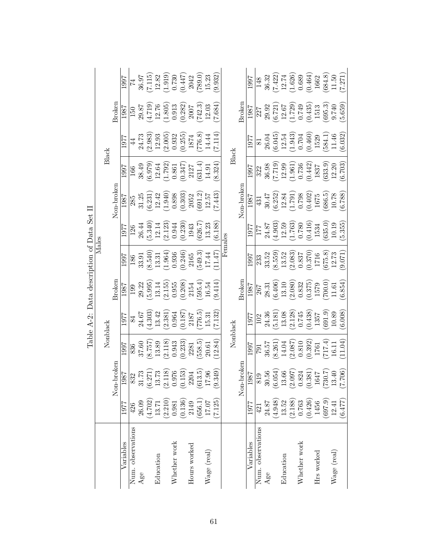|                   |                                                 |                                                                                                                                                                            |                                                                                                                            |                                                                                                                          | Table A-2: Data description of Data Set II                                                                                      |                                                                                                                                                              |                                                                                                                            |                                                                                                                                            |                                                                                                                                                                                        |                                                                                                                            |                                                                                                                                                   |                                                                                                                                               |
|-------------------|-------------------------------------------------|----------------------------------------------------------------------------------------------------------------------------------------------------------------------------|----------------------------------------------------------------------------------------------------------------------------|--------------------------------------------------------------------------------------------------------------------------|---------------------------------------------------------------------------------------------------------------------------------|--------------------------------------------------------------------------------------------------------------------------------------------------------------|----------------------------------------------------------------------------------------------------------------------------|--------------------------------------------------------------------------------------------------------------------------------------------|----------------------------------------------------------------------------------------------------------------------------------------------------------------------------------------|----------------------------------------------------------------------------------------------------------------------------|---------------------------------------------------------------------------------------------------------------------------------------------------|-----------------------------------------------------------------------------------------------------------------------------------------------|
|                   |                                                 |                                                                                                                                                                            |                                                                                                                            | Nonblack                                                                                                                 |                                                                                                                                 |                                                                                                                                                              | Males                                                                                                                      |                                                                                                                                            | Black                                                                                                                                                                                  |                                                                                                                            |                                                                                                                                                   |                                                                                                                                               |
|                   |                                                 | Non-broker                                                                                                                                                                 |                                                                                                                            |                                                                                                                          | <b>Broker</b>                                                                                                                   |                                                                                                                                                              |                                                                                                                            | Non-broken                                                                                                                                 |                                                                                                                                                                                        |                                                                                                                            | <b>Broker</b>                                                                                                                                     |                                                                                                                                               |
| Variables         | 1977                                            | $\begin{array}{r l} \hline 1987 \\ \hline 832 \\ 31.73 \\ (6.271) \\ 13.73 \\ (2.118) \\ 0.976 \\ (0.153) \\ (0.13.5) \\ (0.13.5) \\ 17.96 \\ 17.96 \\ \hline \end{array}$ | 1997                                                                                                                       | 1977                                                                                                                     | 1987                                                                                                                            | 1997                                                                                                                                                         | 1977                                                                                                                       | 1987                                                                                                                                       | 1997                                                                                                                                                                                   | 1977                                                                                                                       | 1987                                                                                                                                              | 1997                                                                                                                                          |
| Num. observations | 426                                             |                                                                                                                                                                            | 836                                                                                                                        |                                                                                                                          |                                                                                                                                 |                                                                                                                                                              | 126                                                                                                                        |                                                                                                                                            | 166                                                                                                                                                                                    |                                                                                                                            |                                                                                                                                                   |                                                                                                                                               |
| Age               | 26.09                                           |                                                                                                                                                                            | 37.60                                                                                                                      |                                                                                                                          |                                                                                                                                 |                                                                                                                                                              |                                                                                                                            |                                                                                                                                            |                                                                                                                                                                                        |                                                                                                                            |                                                                                                                                                   |                                                                                                                                               |
|                   | $\begin{array}{c} (4.702) \\ 13.71 \end{array}$ |                                                                                                                                                                            |                                                                                                                            |                                                                                                                          |                                                                                                                                 |                                                                                                                                                              |                                                                                                                            |                                                                                                                                            |                                                                                                                                                                                        |                                                                                                                            |                                                                                                                                                   |                                                                                                                                               |
| Education         |                                                 |                                                                                                                                                                            |                                                                                                                            |                                                                                                                          |                                                                                                                                 |                                                                                                                                                              |                                                                                                                            |                                                                                                                                            |                                                                                                                                                                                        |                                                                                                                            |                                                                                                                                                   |                                                                                                                                               |
|                   |                                                 |                                                                                                                                                                            | $\begin{array}{l} (8.757) \\ 13.89 \\ (2.118) \\ 0.943 \\ (0.233) \\ 2281 \\ (558.5) \end{array}$                          | $\begin{array}{c} 84 \\ 24.67 \\ (4.303) \\ 13.42 \\ (2.381) \\ (0.187) \\ (0.187) \\ (776.5) \\ (776.5) \\ \end{array}$ | $\frac{199}{199}$<br>$29.22$<br>$29.23$<br>$13.14$<br>$13.14$<br>$13.155$<br>$20.208$<br>$2154$<br>$2154$<br>$16.54$<br>$16.54$ | $\begin{array}{c} 186 \\ 1891 \\ 33.91 \\ 33.41 \\ 13.31 \\ 13.32 \\ (1.964) \\ (0.246) \\ 2165 \\ 316 \\ 11.47 \\ \end{array}$                              | $\begin{array}{l} 26.44 \\ (5.340) \\ 12.14 \\ (2.123) \\ (0.944) \\ (0.230) \\ (0.230) \\ 1943 \\ 13.23 \\ \end{array}$   | $\begin{array}{l} 285 \\ 31.25 \\ 31.31 \\ (6.231) \\ (1.940) \\ (1.940) \\ (0.303) \\ (0.303) \\ 2052 \\ 201.2 \\ 11.57 \end{array}$      | $\begin{array}{l} 38.49 \\ (6.979) \\ 12.64 \\ (1.792) \\ (0.861) \\ (0.347) \\ (0.347) \\ (31.4) \\ (1.91) \\ (31.4) \\ (31.4) \\ 14.9 \\ \hline \end{array}$                         | $\begin{array}{c} 44 \\ 24.73 \\ 2.983 \\ 12.93 \\ 12.93 \\ 2.005 \\ 0.932 \\ 1874 \\ 14.44 \\ 14.44 \\ \end{array}$       | $\begin{array}{r} \hline 150 \\ 29.87 \\ 24.719 \\ (4.719) \\ 12.76 \\ (1.805) \\ (0.913) \\ (0.282) \\ (742.3) \\ (7.684) \\ \hline \end{array}$ | $\begin{array}{l} \mathbf{74} \\ 36.97 \\ (7.115) \\ 12.82 \\ (1.919) \\ 0.730 \\ (0.447) \\ 2042 \\ (789.0) \\ (789.0) \\ 15.23 \end{array}$ |
| Whether work      | $(2.210)$<br>0.981<br>0.136)                    |                                                                                                                                                                            |                                                                                                                            |                                                                                                                          |                                                                                                                                 |                                                                                                                                                              |                                                                                                                            |                                                                                                                                            |                                                                                                                                                                                        |                                                                                                                            |                                                                                                                                                   |                                                                                                                                               |
|                   |                                                 |                                                                                                                                                                            |                                                                                                                            |                                                                                                                          |                                                                                                                                 |                                                                                                                                                              |                                                                                                                            |                                                                                                                                            |                                                                                                                                                                                        |                                                                                                                            |                                                                                                                                                   |                                                                                                                                               |
| Hours worked      | 2149                                            |                                                                                                                                                                            |                                                                                                                            |                                                                                                                          |                                                                                                                                 |                                                                                                                                                              |                                                                                                                            |                                                                                                                                            |                                                                                                                                                                                        |                                                                                                                            |                                                                                                                                                   |                                                                                                                                               |
|                   | (656.1)                                         |                                                                                                                                                                            |                                                                                                                            |                                                                                                                          |                                                                                                                                 |                                                                                                                                                              |                                                                                                                            |                                                                                                                                            |                                                                                                                                                                                        |                                                                                                                            |                                                                                                                                                   |                                                                                                                                               |
| Wage (real)       | $17.07\,$                                       |                                                                                                                                                                            | 20.61                                                                                                                      |                                                                                                                          |                                                                                                                                 |                                                                                                                                                              |                                                                                                                            |                                                                                                                                            |                                                                                                                                                                                        |                                                                                                                            |                                                                                                                                                   |                                                                                                                                               |
|                   | (7.125)                                         |                                                                                                                                                                            | 12.84                                                                                                                      | 7.132                                                                                                                    |                                                                                                                                 |                                                                                                                                                              |                                                                                                                            | 7.443                                                                                                                                      |                                                                                                                                                                                        |                                                                                                                            |                                                                                                                                                   | (9.932)                                                                                                                                       |
|                   |                                                 |                                                                                                                                                                            |                                                                                                                            |                                                                                                                          |                                                                                                                                 |                                                                                                                                                              | Females                                                                                                                    |                                                                                                                                            |                                                                                                                                                                                        |                                                                                                                            |                                                                                                                                                   |                                                                                                                                               |
|                   |                                                 |                                                                                                                                                                            |                                                                                                                            | Nonblack                                                                                                                 |                                                                                                                                 |                                                                                                                                                              |                                                                                                                            |                                                                                                                                            |                                                                                                                                                                                        | Black                                                                                                                      |                                                                                                                                                   |                                                                                                                                               |
|                   |                                                 | Non-broker                                                                                                                                                                 |                                                                                                                            |                                                                                                                          | Broker                                                                                                                          |                                                                                                                                                              |                                                                                                                            | Non-broker                                                                                                                                 |                                                                                                                                                                                        |                                                                                                                            | Broker                                                                                                                                            |                                                                                                                                               |
| Variables         | 1977                                            | 1987                                                                                                                                                                       | 1997                                                                                                                       | 1977                                                                                                                     | 1987                                                                                                                            | 1997                                                                                                                                                         |                                                                                                                            | 1987                                                                                                                                       | 1997                                                                                                                                                                                   | 1977                                                                                                                       | 1987                                                                                                                                              | 1997                                                                                                                                          |
| Num. observations | 421                                             |                                                                                                                                                                            | 187                                                                                                                        | 102                                                                                                                      | 267                                                                                                                             | 233                                                                                                                                                          |                                                                                                                            |                                                                                                                                            | 322                                                                                                                                                                                    |                                                                                                                            |                                                                                                                                                   | 148                                                                                                                                           |
| Age               | 24.87                                           |                                                                                                                                                                            |                                                                                                                            |                                                                                                                          |                                                                                                                                 |                                                                                                                                                              |                                                                                                                            |                                                                                                                                            |                                                                                                                                                                                        |                                                                                                                            |                                                                                                                                                   |                                                                                                                                               |
|                   | (4.948)                                         |                                                                                                                                                                            |                                                                                                                            |                                                                                                                          |                                                                                                                                 |                                                                                                                                                              |                                                                                                                            |                                                                                                                                            |                                                                                                                                                                                        |                                                                                                                            |                                                                                                                                                   |                                                                                                                                               |
| Education         | 13.52                                           |                                                                                                                                                                            |                                                                                                                            |                                                                                                                          |                                                                                                                                 |                                                                                                                                                              |                                                                                                                            |                                                                                                                                            |                                                                                                                                                                                        |                                                                                                                            |                                                                                                                                                   |                                                                                                                                               |
|                   | $\begin{array}{c} (2.188) \\ 0.763 \end{array}$ | $\begin{array}{r} 819 \\ 30.56 \\ (6.054) \\ 13.66 \\ (2.097) \\ (3.824 \\ (0.381) \\ (1647) \\ (190.7) \\ (190.7) \\ (13.40 \\ (13.40 \\ \end{array}$                     | $\begin{array}{c} 36.57\\ (8.261)\\ 14.04\\ (2.087)\\ 0.810\\ (0.392)\\ 1761\\ 17.4)\\ 11.1\\ 16.11\\ 16.11\\ \end{array}$ | $\begin{array}{c} 24.36\\ (5.181)\\ 13.08\\ (2.128)\\ 0.745\\ (691.9)\\ 1357\\ (691.9)\\ 10.89\\ (6.008) \end{array}$    | $\begin{array}{l} 28.31 \\ (6.406) \\ 13.10 \\ (2.080) \\ 0.832 \\ (0.375) \\ 1579 \\ (700.0) \\ 11.61 \\ (6.854) \end{array}$  | $\begin{array}{l} 33.52\\ (8.559)\\ (13.52)\\ (2.083)\\ (0.837)\\ (0.370)\\ (0.370)\\ (0.55)\\ (0.370)\\ (0.5,8)\\ (0.71)\\ (0.071)\\ (0.071)\\ \end{array}$ | $\begin{array}{l} 177 \\ 24.87 \\ (4.903) \\ 12.59 \\ (1.763) \\ 0.780 \\ (0.416) \\ 1534 \\ 1534 \\ 10.19 \\ \end{array}$ | $\begin{array}{c} 431 \\ 30.47 \\ (6.252) \\ (1.791) \\ (1.791) \\ (0.402) \\ (6.686.5) \\ 1675 \\ 160402 \\ 1608 \\ 0.788 \\ \end{array}$ | $\begin{array}{c} 36.98\\ (7.719)\\ 12.96\\ (1.961)\\ 0.736\\ (0.442)\\ 1837\\ 1837\\ 1837\\ 1837\\ 1837\\ 12.20\\ 12.30\\ 21.20\\ 22.30\\ 23.30\\ 24.30\\ 25.30\\ 26.703 \end{array}$ | $\begin{array}{c} 81 \\ 26.04 \\ 6.045 \\ 12.54 \\ 12.943 \\ 0.704 \\ 0.704 \\ 1529 \\ 1524 \\ 11.46 \\ 6.032 \end{array}$ | $\begin{array}{l} 227 \\ 29.92 \\ 29.92 \\ (6.721) \\ 12.67 \\ (1.729) \\ (1.749) \\ (0.435) \\ 1513 \\ 9.740 \\ 9.740 \\ \end{array}$            | $\begin{array}{l} 36.32 \\ (7.422) \\ 12.74 \\ (1.626) \\ 0.689 \\ (0.464) \\ 1662 \\ 1663 \\ (84.8) \\ (1.50 \\ (1.71) \\ \end{array}$       |
| Whether work      |                                                 |                                                                                                                                                                            |                                                                                                                            |                                                                                                                          |                                                                                                                                 |                                                                                                                                                              |                                                                                                                            |                                                                                                                                            |                                                                                                                                                                                        |                                                                                                                            |                                                                                                                                                   |                                                                                                                                               |
|                   | $\begin{array}{c} (0.426) \\ 1456 \end{array}$  |                                                                                                                                                                            |                                                                                                                            |                                                                                                                          |                                                                                                                                 |                                                                                                                                                              |                                                                                                                            |                                                                                                                                            |                                                                                                                                                                                        |                                                                                                                            |                                                                                                                                                   |                                                                                                                                               |
| Hrs worked        |                                                 |                                                                                                                                                                            |                                                                                                                            |                                                                                                                          |                                                                                                                                 |                                                                                                                                                              |                                                                                                                            |                                                                                                                                            |                                                                                                                                                                                        |                                                                                                                            |                                                                                                                                                   |                                                                                                                                               |
|                   | $\begin{array}{c} (697.9) \\ 12.41 \end{array}$ |                                                                                                                                                                            |                                                                                                                            |                                                                                                                          |                                                                                                                                 |                                                                                                                                                              |                                                                                                                            |                                                                                                                                            |                                                                                                                                                                                        |                                                                                                                            |                                                                                                                                                   |                                                                                                                                               |
| Wage (real)       |                                                 |                                                                                                                                                                            |                                                                                                                            |                                                                                                                          |                                                                                                                                 |                                                                                                                                                              |                                                                                                                            |                                                                                                                                            |                                                                                                                                                                                        |                                                                                                                            |                                                                                                                                                   |                                                                                                                                               |
|                   | (6.477)                                         |                                                                                                                                                                            |                                                                                                                            |                                                                                                                          |                                                                                                                                 |                                                                                                                                                              |                                                                                                                            |                                                                                                                                            |                                                                                                                                                                                        |                                                                                                                            |                                                                                                                                                   |                                                                                                                                               |

 $S_{\text{af}}$  II Table A-2: Data description of Data Set II  $\ddot{\cdot}$  $\Gamma$  $\ddot{\cdot}$  $\cdot$ ŀ,  $\tilde{\mathsf{C}}$  $\dot{\sigma}$  $\overline{\phantom{a}}$  $T_0$ blo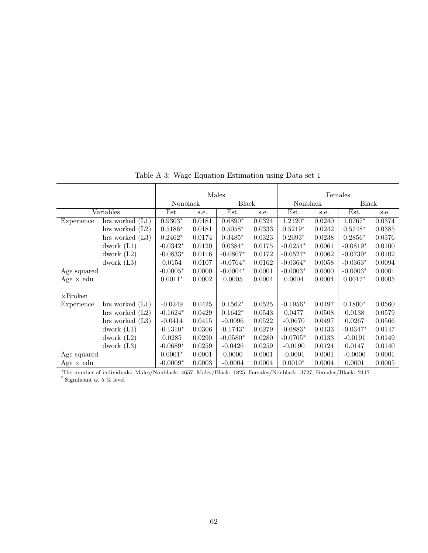|                  |                   |            |        | Males      |        |            |        | Females    |        |
|------------------|-------------------|------------|--------|------------|--------|------------|--------|------------|--------|
|                  |                   | Nonblack   |        | Black      |        | Nonblack   |        | Black      |        |
|                  | Variables         | Est.       | s.e.   | Est.       | s.e.   | Est.       | s.e.   | Est.       | s.e.   |
| Experience       | hrs worked $(L1)$ | $0.9303*$  | 0.0181 | $0.6890*$  | 0.0324 | $1.2120*$  | 0.0240 | 1.0767*    | 0.0374 |
|                  | hrs worked $(L2)$ | $0.5186*$  | 0.0181 | $0.5058*$  | 0.0333 | $0.5219*$  | 0.0242 | $0.5748*$  | 0.0385 |
|                  | hrs worked $(L3)$ | $0.2462*$  | 0.0174 | $0.3485*$  | 0.0323 | $0.2693*$  | 0.0238 | $0.2856*$  | 0.0376 |
|                  | dwork $(L1)$      | $-0.0342*$ | 0.0120 | $0.0384*$  | 0.0175 | $-0.0254*$ | 0.0061 | $-0.0819*$ | 0.0100 |
|                  | dwork $(L2)$      | $-0.0833*$ | 0.0116 | $-0.0807*$ | 0.0172 | $-0.0527*$ | 0.0062 | $-0.0730*$ | 0.0102 |
|                  | dwork $(L3)$      | 0.0154     | 0.0107 | $-0.0764*$ | 0.0162 | $-0.0364*$ | 0.0058 | $-0.0363*$ | 0.0094 |
| Age squared      |                   | $-0.0005*$ | 0.0000 | $-0.0004*$ | 0.0001 | $-0.0003*$ | 0.0000 | $-0.0003*$ | 0.0001 |
| Age $\times$ edu |                   | $0.0011*$  | 0.0002 | 0.0005     | 0.0004 | 0.0004     | 0.0004 | $0.0017*$  | 0.0005 |
|                  |                   |            |        |            |        |            |        |            |        |
| $\times$ Broken  |                   |            |        |            |        |            |        |            |        |
| Experience       | hrs worked $(L1)$ | $-0.0249$  | 0.0425 | $0.1562*$  | 0.0525 | $-0.1956*$ | 0.0497 | $0.1800*$  | 0.0560 |
|                  | hrs worked $(L2)$ | $-0.1624*$ | 0.0429 | $0.1642*$  | 0.0543 | 0.0477     | 0.0508 | 0.0138     | 0.0579 |
|                  | hrs worked $(L3)$ | $-0.0414$  | 0.0415 | $-0.0096$  | 0.0522 | $-0.0670$  | 0.0497 | 0.0267     | 0.0566 |
|                  | dwork $(L1)$      | $-0.1310*$ | 0.0306 | $-0.1743*$ | 0.0279 | $-0.0883*$ | 0.0133 | $-0.0347*$ | 0.0147 |
|                  | dwork $(L2)$      | 0.0285     | 0.0290 | $-0.0580*$ | 0.0280 | $-0.0705*$ | 0.0133 | $-0.0191$  | 0.0149 |
|                  | dwork $(L3)$      | $-0.0689*$ | 0.0259 | $-0.0426$  | 0.0259 | $-0.0190$  | 0.0124 | 0.0147     | 0.0140 |
| Age squared      |                   | $0.0001*$  | 0.0001 | 0.0000     | 0.0001 | $-0.0001$  | 0.0001 | $-0.0000$  | 0.0001 |
| Age $\times$ edu |                   | $-0.0009*$ | 0.0003 | $-0.0004$  | 0.0004 | $0.0010*$  | 0.0004 | 0.0001     | 0.0005 |

Table A-3: Wage Equation Estimation using Data set 1

The number of individuals: Males/Nonblack: 4657, Males/Black: 1825, Females/Nonblack: 3727, Females/Black: 2117 ∗ Significant at 5 % level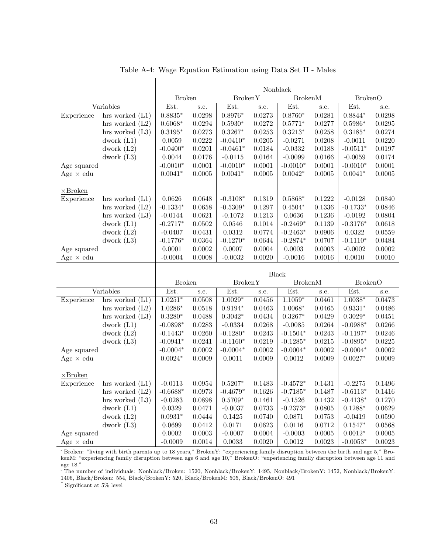|                                 |                   | Nonblack<br><b>Broken</b><br><b>BrokenY</b><br><b>BrokenM</b><br><b>BrokenO</b> |                  |                     |                  |                     |                  |                         |                  |
|---------------------------------|-------------------|---------------------------------------------------------------------------------|------------------|---------------------|------------------|---------------------|------------------|-------------------------|------------------|
|                                 |                   |                                                                                 |                  |                     |                  |                     |                  |                         |                  |
|                                 | Variables         | Est.                                                                            | s.e.             | Est.                | s.e.             | Est.                | $_{\rm s.e.}$    | Est.                    | $_{\rm s.e.}$    |
| Experience                      | hrs worked $(L1)$ | $0.8835*$                                                                       | 0.0298           | $0.8976*$           | 0.0273           | $0.8760*$           | 0.0281           | $0.8844*$               | 0.0298           |
|                                 | hrs worked $(L2)$ | $0.6068*$                                                                       | 0.0294           | $0.5930*$           | 0.0272           | $0.5771*$           | 0.0277           | $0.5986*$               | 0.0295           |
|                                 | hrs worked $(L3)$ | $0.3195*$                                                                       | 0.0273           | $0.3267*$           | 0.0253           | $0.3213*$           | 0.0258           | $0.3185*$               | 0.0274           |
|                                 | dwork $(L1)$      | 0.0059                                                                          | 0.0222           | $-0.0410*$          | 0.0205           | $-0.0271$           | 0.0208           | $-0.0011$               | 0.0220           |
|                                 | dwork $(L2)$      | $-0.0400*$                                                                      | 0.0201           | $-0.0461*$          | 0.0184           | $-0.0332$           | 0.0188           | $-0.0511*$              | 0.0197           |
|                                 | dwork $(L3)$      | 0.0044                                                                          | 0.0176           | $-0.0115$           | 0.0164           | $-0.0099$           | 0.0166           | $-0.0059$               | 0.0174           |
| Age squared                     |                   | $-0.0010*$                                                                      | 0.0001           | $-0.0010*$          | 0.0001           | $-0.0010*$          | 0.0001           | $-0.0010*$              | 0.0001           |
| Age $\times$ edu                |                   | $0.0041*$                                                                       | 0.0005           | $0.0041*$           | 0.0005           | $0.0042*$           | 0.0005           | $0.0041*$               | 0.0005           |
|                                 |                   |                                                                                 |                  |                     |                  |                     |                  |                         |                  |
| $\times$ Broken                 |                   |                                                                                 |                  |                     |                  |                     |                  |                         |                  |
| Experience                      | hrs worked $(L1)$ | 0.0626                                                                          | 0.0648           | $-0.3108*$          | 0.1319           | $0.5868*$           | 0.1222           | $-0.0128$               | 0.0840           |
|                                 | hrs worked $(L2)$ | $-0.1334*$                                                                      | 0.0658           | $-0.5309*$          | 0.1297           | $0.4504*$           | 0.1336           | $-0.1733*$              | 0.0846           |
|                                 | hrs worked $(L3)$ | $-0.0144$                                                                       | 0.0621           | $-0.1072$           | 0.1213           | 0.0636              | 0.1236           | $-0.0192$               | 0.0804           |
|                                 | dwork $(L1)$      | $-0.2717*$                                                                      | 0.0502           | 0.0546              | $0.1014\,$       | $-0.2469*$          | 0.1139           | $-0.3176*$              | 0.0618           |
|                                 | dwork $(L2)$      | $-0.0407$                                                                       | 0.0431           | 0.0312              | 0.0774           | $-0.2463*$          | 0.0906           | 0.0322                  | 0.0559           |
|                                 | dwork $(L3)$      | $-0.1776*$                                                                      | 0.0364           | $-0.1270*$          | 0.0644           | $-0.2874*$          | 0.0707           | $-0.1110*$              | 0.0484           |
| Age squared                     |                   | 0.0001                                                                          | 0.0002           | 0.0007              | 0.0004           | 0.0003              | 0.0003           | $-0.0002$               | 0.0002           |
| Age $\times$ edu                |                   | $-0.0004$                                                                       | 0.0008           | $-0.0032$           | 0.0020           | $-0.0016$           | 0.0016           | 0.0010                  | 0.0010           |
|                                 |                   |                                                                                 |                  |                     |                  |                     |                  |                         |                  |
|                                 |                   |                                                                                 |                  |                     |                  | <b>Black</b>        |                  |                         |                  |
|                                 |                   | <b>Broken</b>                                                                   |                  | <b>BrokenY</b>      |                  | <b>BrokenM</b>      |                  | <b>BrokenO</b>          |                  |
|                                 | Variables         | Est.                                                                            | s.e.             | Est.                | s.e.             | Est.                | s.e.             | Est.                    | s.e.             |
| Experience                      | hrs worked $(L1)$ | $1.0251*$                                                                       | 0.0508           | $1.0029*$           | 0.0456           | $1.1059*$           | 0.0461           | $1.0038*$               | 0.0473           |
|                                 | hrs worked $(L2)$ | $1.0286*$                                                                       | 0.0518           | $0.9194*$           | 0.0463           | $1.0068*$           | 0.0465           | $0.9331*$               | 0.0486           |
|                                 | hrs worked $(L3)$ | $0.3280*$                                                                       | 0.0488           | $0.3042^{\ast}$     | 0.0434           | $0.3267*$           | 0.0429           | $0.3029*$               | 0.0451           |
|                                 | dwork $(L1)$      | $-0.0898*$                                                                      | 0.0283           | $-0.0334$           | 0.0268           | $-0.0085$           | 0.0264           | $-0.0988*$              | 0.0266           |
|                                 | dwork $(L2)$      | $-0.1443*$                                                                      | 0.0260           | $-0.1280*$          | 0.0243           | $-0.1504*$          | 0.0243           | $-0.1197*$              | 0.0246           |
|                                 | dwork $(L3)$      | $-0.0941*$                                                                      | 0.0241           | $-0.1160*$          | 0.0219           | $-0.1285*$          | 0.0215           | $-0.0895*$              | 0.0225           |
| Age squared                     |                   | $-0.0004*$                                                                      | 0.0002           | $-0.0004*$          | 0.0002           | $-0.0004*$          | 0.0002           | $-0.0004*$              | 0.0002           |
| Age $\times$ edu                |                   | $0.0024*$                                                                       | 0.0009           | 0.0011              | 0.0009           | 0.0012              | 0.0009           | $0.0027*$               | 0.0009           |
|                                 |                   |                                                                                 |                  |                     |                  |                     |                  |                         |                  |
| $\times$ Broken                 |                   |                                                                                 |                  |                     |                  |                     |                  |                         |                  |
| Experience                      | hrs worked $(L1)$ | $-0.0113$                                                                       | 0.0954           | $0.5207*$           | 0.1483           | $-0.4572*$          | 0.1431           | $-0.2275$               | 0.1496           |
|                                 | hrs worked $(L2)$ | $-0.6688*$                                                                      | 0.0973           | $-0.4679*$          | 0.1626           | $-0.7185*$          | 0.1487           | $-0.6113*$              | 0.1416<br>0.1270 |
|                                 |                   |                                                                                 |                  |                     |                  |                     |                  |                         |                  |
|                                 | hrs worked $(L3)$ | $-0.0283$                                                                       | 0.0898           | $0.5709*$           | 0.1461           | $-0.1526$           | 0.1432           | $-0.4138*$              |                  |
|                                 | dwork $(L1)$      | 0.0329                                                                          | 0.0471           | $-0.0037$           | 0.0733           | $-0.2373*$          | 0.0805           | $0.1288*$               | 0.0629           |
|                                 | dwork $(L2)$      | $0.0931*$                                                                       | 0.0444           | 0.1425              | 0.0740           | 0.0871              | 0.0753           | $-0.0419$               | 0.0590           |
|                                 | dwork $(L3)$      | 0.0699                                                                          | 0.0412           | 0.0171              | 0.0623           | 0.0116              | 0.0712           | $0.1547*$               | 0.0568           |
| Age squared<br>Age $\times$ edu |                   | 0.0002<br>$-0.0009$                                                             | 0.0003<br>0.0014 | $-0.0007$<br>0.0033 | 0.0004<br>0.0020 | $-0.0003$<br>0.0012 | 0.0005<br>0.0023 | $0.0012*$<br>$-0.0053*$ | 0.0005<br>0.0023 |

Table A-4: Wage Equation Estimation using Data Set II - Males

- Broken: "living with birth parents up to 18 years," BrokenY: "experiencing family disruption between the birth and age 5," BrokenM: "experiencing family disruption between age 6 and age 10," BrokenO: "experiencing family disruption between age 11 and age 18."

- The number of individuals: Nonblack/Broken: 1520, Nonblack/BrokenY: 1495, Nonblack/BrokenY: 1452, Nonblack/BrokenY: 1406, Black/Broken: 554, Black/BrokenY: 520, Black/BrokenM: 505, Black/BrokenO: 491 ∗

Significant at 5% level